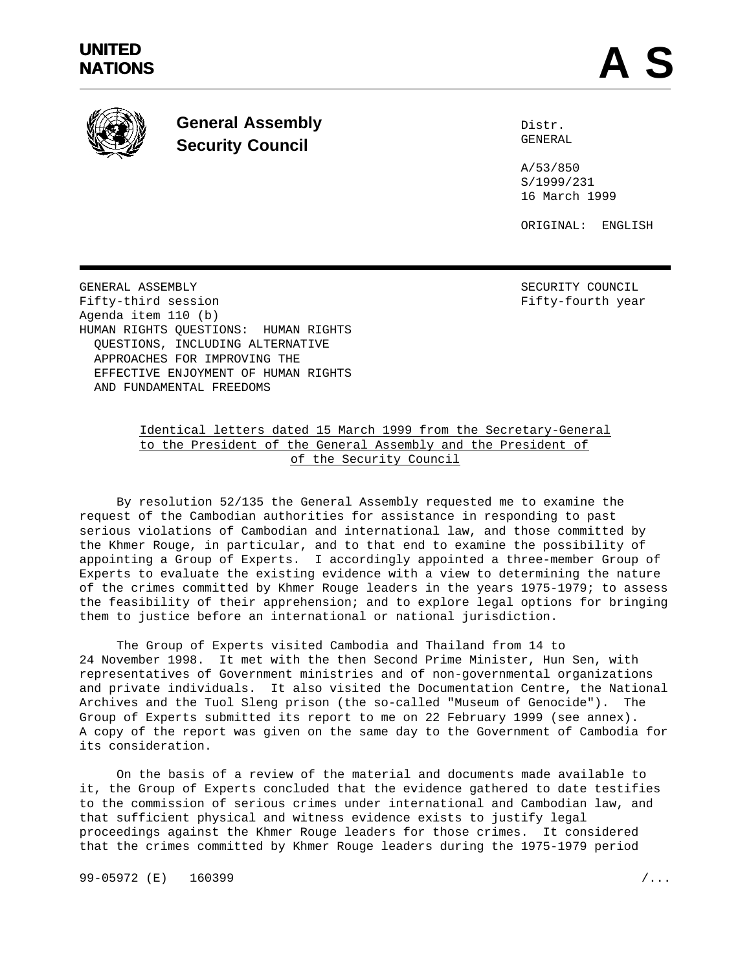

**General Assembly Security Council**

Distr. GENERAL

A/53/850 S/1999/231 16 March 1999

ORIGINAL: ENGLISH

GENERAL ASSEMBLY SECURITY COUNCIL Fifty-third session **Fifty-fourth** year Agenda item 110 (b) HUMAN RIGHTS QUESTIONS: HUMAN RIGHTS QUESTIONS, INCLUDING ALTERNATIVE APPROACHES FOR IMPROVING THE EFFECTIVE ENJOYMENT OF HUMAN RIGHTS AND FUNDAMENTAL FREEDOMS

# Identical letters dated 15 March 1999 from the Secretary-General to the President of the General Assembly and the President of of the Security Council

By resolution 52/135 the General Assembly requested me to examine the request of the Cambodian authorities for assistance in responding to past serious violations of Cambodian and international law, and those committed by the Khmer Rouge, in particular, and to that end to examine the possibility of appointing a Group of Experts. I accordingly appointed a three-member Group of Experts to evaluate the existing evidence with a view to determining the nature of the crimes committed by Khmer Rouge leaders in the years 1975-1979; to assess the feasibility of their apprehension; and to explore legal options for bringing them to justice before an international or national jurisdiction.

The Group of Experts visited Cambodia and Thailand from 14 to 24 November 1998. It met with the then Second Prime Minister, Hun Sen, with representatives of Government ministries and of non-governmental organizations and private individuals. It also visited the Documentation Centre, the National Archives and the Tuol Sleng prison (the so-called "Museum of Genocide"). The Group of Experts submitted its report to me on 22 February 1999 (see annex). A copy of the report was given on the same day to the Government of Cambodia for its consideration.

On the basis of a review of the material and documents made available to it, the Group of Experts concluded that the evidence gathered to date testifies to the commission of serious crimes under international and Cambodian law, and that sufficient physical and witness evidence exists to justify legal proceedings against the Khmer Rouge leaders for those crimes. It considered that the crimes committed by Khmer Rouge leaders during the 1975-1979 period

99-05972 (E) 160399 /...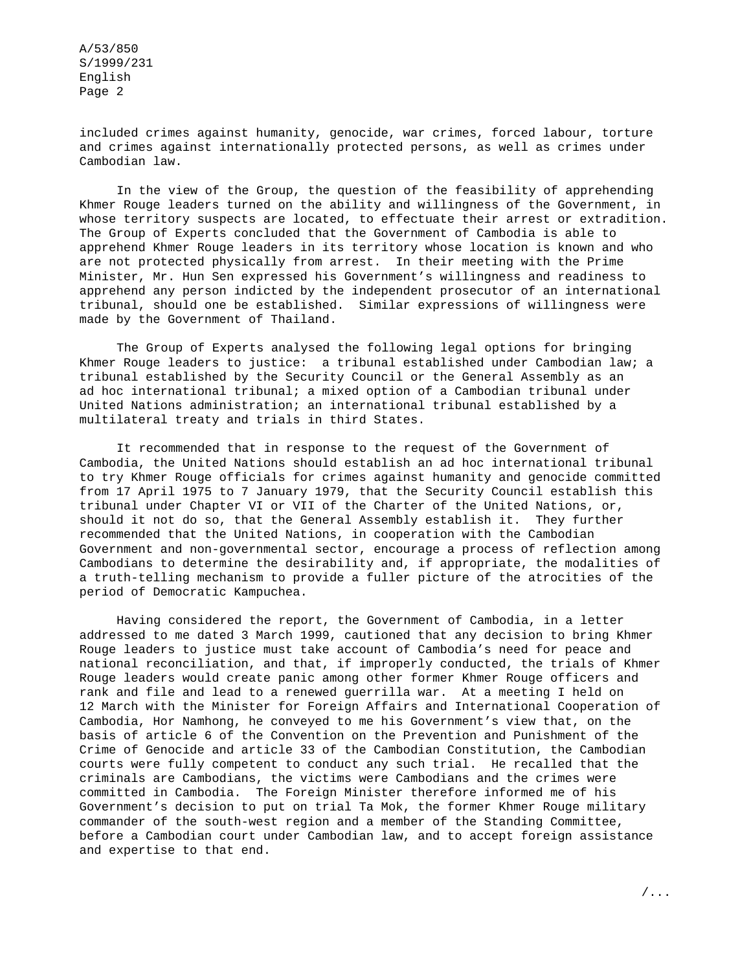included crimes against humanity, genocide, war crimes, forced labour, torture and crimes against internationally protected persons, as well as crimes under Cambodian law.

In the view of the Group, the question of the feasibility of apprehending Khmer Rouge leaders turned on the ability and willingness of the Government, in whose territory suspects are located, to effectuate their arrest or extradition. The Group of Experts concluded that the Government of Cambodia is able to apprehend Khmer Rouge leaders in its territory whose location is known and who are not protected physically from arrest. In their meeting with the Prime Minister, Mr. Hun Sen expressed his Government's willingness and readiness to apprehend any person indicted by the independent prosecutor of an international tribunal, should one be established. Similar expressions of willingness were made by the Government of Thailand.

The Group of Experts analysed the following legal options for bringing Khmer Rouge leaders to justice: a tribunal established under Cambodian law; a tribunal established by the Security Council or the General Assembly as an ad hoc international tribunal; a mixed option of a Cambodian tribunal under United Nations administration; an international tribunal established by a multilateral treaty and trials in third States.

It recommended that in response to the request of the Government of Cambodia, the United Nations should establish an ad hoc international tribunal to try Khmer Rouge officials for crimes against humanity and genocide committed from 17 April 1975 to 7 January 1979, that the Security Council establish this tribunal under Chapter VI or VII of the Charter of the United Nations, or, should it not do so, that the General Assembly establish it. They further recommended that the United Nations, in cooperation with the Cambodian Government and non-governmental sector, encourage a process of reflection among Cambodians to determine the desirability and, if appropriate, the modalities of a truth-telling mechanism to provide a fuller picture of the atrocities of the period of Democratic Kampuchea.

Having considered the report, the Government of Cambodia, in a letter addressed to me dated 3 March 1999, cautioned that any decision to bring Khmer Rouge leaders to justice must take account of Cambodia's need for peace and national reconciliation, and that, if improperly conducted, the trials of Khmer Rouge leaders would create panic among other former Khmer Rouge officers and rank and file and lead to a renewed guerrilla war. At a meeting I held on 12 March with the Minister for Foreign Affairs and International Cooperation of Cambodia, Hor Namhong, he conveyed to me his Government's view that, on the basis of article 6 of the Convention on the Prevention and Punishment of the Crime of Genocide and article 33 of the Cambodian Constitution, the Cambodian courts were fully competent to conduct any such trial. He recalled that the criminals are Cambodians, the victims were Cambodians and the crimes were committed in Cambodia. The Foreign Minister therefore informed me of his Government's decision to put on trial Ta Mok, the former Khmer Rouge military commander of the south-west region and a member of the Standing Committee, before a Cambodian court under Cambodian law, and to accept foreign assistance and expertise to that end.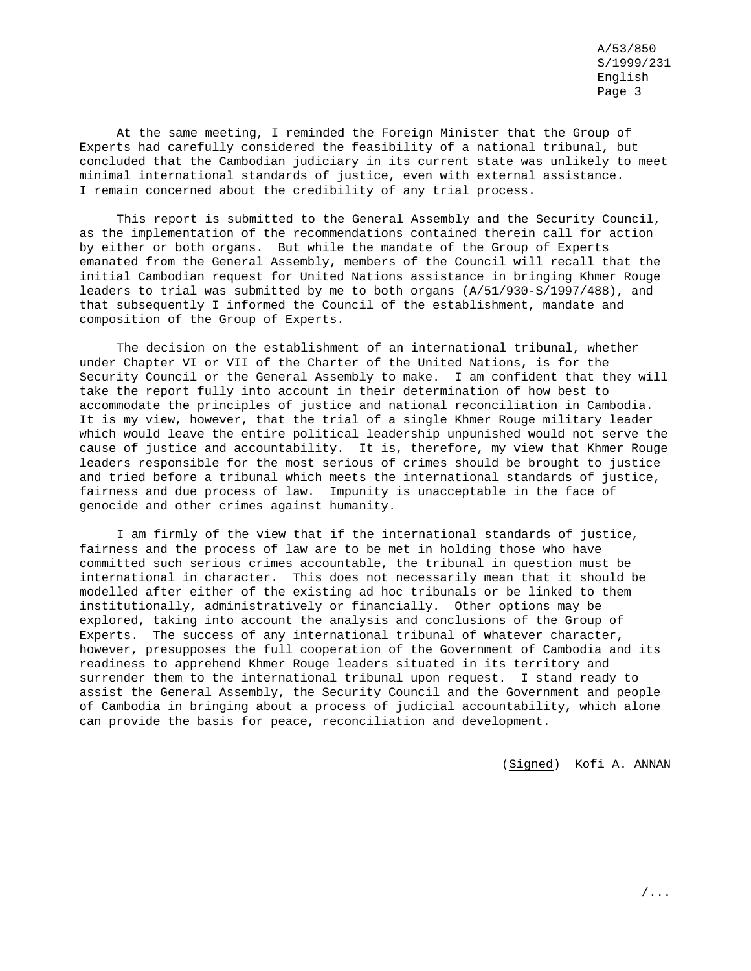At the same meeting, I reminded the Foreign Minister that the Group of Experts had carefully considered the feasibility of a national tribunal, but concluded that the Cambodian judiciary in its current state was unlikely to meet minimal international standards of justice, even with external assistance. I remain concerned about the credibility of any trial process.

This report is submitted to the General Assembly and the Security Council, as the implementation of the recommendations contained therein call for action by either or both organs. But while the mandate of the Group of Experts emanated from the General Assembly, members of the Council will recall that the initial Cambodian request for United Nations assistance in bringing Khmer Rouge leaders to trial was submitted by me to both organs (A/51/930-S/1997/488), and that subsequently I informed the Council of the establishment, mandate and composition of the Group of Experts.

The decision on the establishment of an international tribunal, whether under Chapter VI or VII of the Charter of the United Nations, is for the Security Council or the General Assembly to make. I am confident that they will take the report fully into account in their determination of how best to accommodate the principles of justice and national reconciliation in Cambodia. It is my view, however, that the trial of a single Khmer Rouge military leader which would leave the entire political leadership unpunished would not serve the cause of justice and accountability. It is, therefore, my view that Khmer Rouge leaders responsible for the most serious of crimes should be brought to justice and tried before a tribunal which meets the international standards of justice, fairness and due process of law. Impunity is unacceptable in the face of genocide and other crimes against humanity.

I am firmly of the view that if the international standards of justice, fairness and the process of law are to be met in holding those who have committed such serious crimes accountable, the tribunal in question must be international in character. This does not necessarily mean that it should be modelled after either of the existing ad hoc tribunals or be linked to them institutionally, administratively or financially. Other options may be explored, taking into account the analysis and conclusions of the Group of Experts. The success of any international tribunal of whatever character, however, presupposes the full cooperation of the Government of Cambodia and its readiness to apprehend Khmer Rouge leaders situated in its territory and surrender them to the international tribunal upon request. I stand ready to assist the General Assembly, the Security Council and the Government and people of Cambodia in bringing about a process of judicial accountability, which alone can provide the basis for peace, reconciliation and development.

(Signed) Kofi A. ANNAN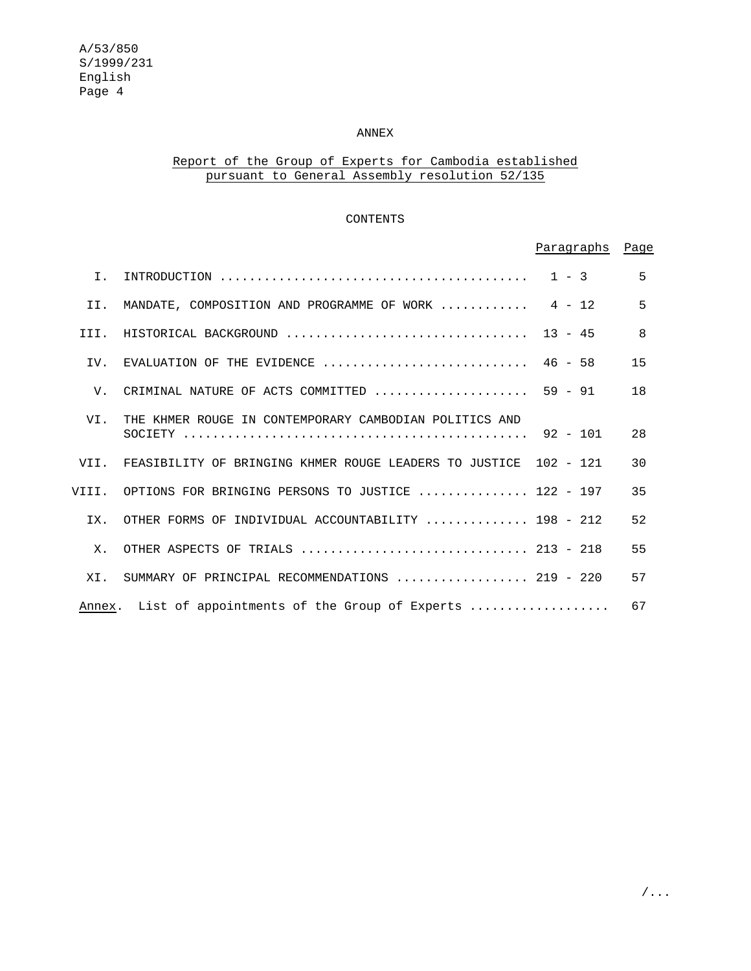## ANNEX

# Report of the Group of Experts for Cambodia established pursuant to General Assembly resolution 52/135

## CONTENTS

|             |                                                                                              | Paragraphs Page |              |
|-------------|----------------------------------------------------------------------------------------------|-----------------|--------------|
| $T$ .       |                                                                                              |                 | 5            |
| II.         | MANDATE, COMPOSITION AND PROGRAMME OF WORK $4 - 12$                                          |                 | 5            |
| III.        | HISTORICAL BACKGROUND  13 - 45                                                               |                 | $\mathsf{R}$ |
| IV.         | EVALUATION OF THE EVIDENCE $\ldots \ldots \ldots \ldots \ldots \ldots \ldots \ldots$ 46 - 58 |                 | 15           |
| $V_{\rm A}$ | CRIMINAL NATURE OF ACTS COMMITTED $\ldots \ldots \ldots \ldots \ldots \ldots$ 59 - 91        |                 | 18           |
| VI.         | THE KHMER ROUGE IN CONTEMPORARY CAMBODIAN POLITICS AND                                       |                 | 2.8          |
|             | VII. FEASIBILITY OF BRINGING KHMER ROUGE LEADERS TO JUSTICE 102 - 121                        |                 | 30           |
|             | VIII. OPTIONS FOR BRINGING PERSONS TO JUSTICE  122 - 197                                     |                 | 35           |
| IX.         | OTHER FORMS OF INDIVIDUAL ACCOUNTABILITY  198 - 212                                          |                 | 52           |
| Х.          |                                                                                              |                 | 55           |
| XI.         | SUMMARY OF PRINCIPAL RECOMMENDATIONS  219 - 220                                              |                 | 57           |
|             | Annex. List of appointments of the Group of Experts                                          |                 | 67           |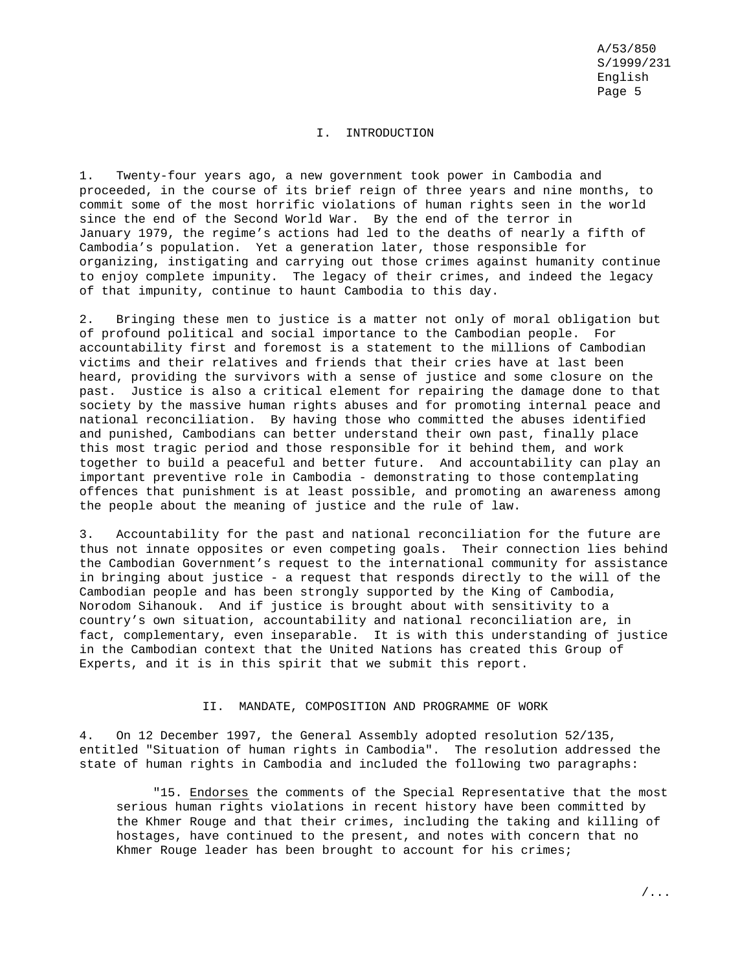### I. INTRODUCTION

1. Twenty-four years ago, a new government took power in Cambodia and proceeded, in the course of its brief reign of three years and nine months, to commit some of the most horrific violations of human rights seen in the world since the end of the Second World War. By the end of the terror in January 1979, the regime's actions had led to the deaths of nearly a fifth of Cambodia's population. Yet a generation later, those responsible for organizing, instigating and carrying out those crimes against humanity continue to enjoy complete impunity. The legacy of their crimes, and indeed the legacy of that impunity, continue to haunt Cambodia to this day.

2. Bringing these men to justice is a matter not only of moral obligation but of profound political and social importance to the Cambodian people. For accountability first and foremost is a statement to the millions of Cambodian victims and their relatives and friends that their cries have at last been heard, providing the survivors with a sense of justice and some closure on the past. Justice is also a critical element for repairing the damage done to that society by the massive human rights abuses and for promoting internal peace and national reconciliation. By having those who committed the abuses identified and punished, Cambodians can better understand their own past, finally place this most tragic period and those responsible for it behind them, and work together to build a peaceful and better future. And accountability can play an important preventive role in Cambodia - demonstrating to those contemplating offences that punishment is at least possible, and promoting an awareness among the people about the meaning of justice and the rule of law.

3. Accountability for the past and national reconciliation for the future are thus not innate opposites or even competing goals. Their connection lies behind the Cambodian Government's request to the international community for assistance in bringing about justice - a request that responds directly to the will of the Cambodian people and has been strongly supported by the King of Cambodia, Norodom Sihanouk. And if justice is brought about with sensitivity to a country's own situation, accountability and national reconciliation are, in fact, complementary, even inseparable. It is with this understanding of justice in the Cambodian context that the United Nations has created this Group of Experts, and it is in this spirit that we submit this report.

## II. MANDATE, COMPOSITION AND PROGRAMME OF WORK

4. On 12 December 1997, the General Assembly adopted resolution 52/135, entitled "Situation of human rights in Cambodia". The resolution addressed the state of human rights in Cambodia and included the following two paragraphs:

"15. Endorses the comments of the Special Representative that the most serious human rights violations in recent history have been committed by the Khmer Rouge and that their crimes, including the taking and killing of hostages, have continued to the present, and notes with concern that no Khmer Rouge leader has been brought to account for his crimes;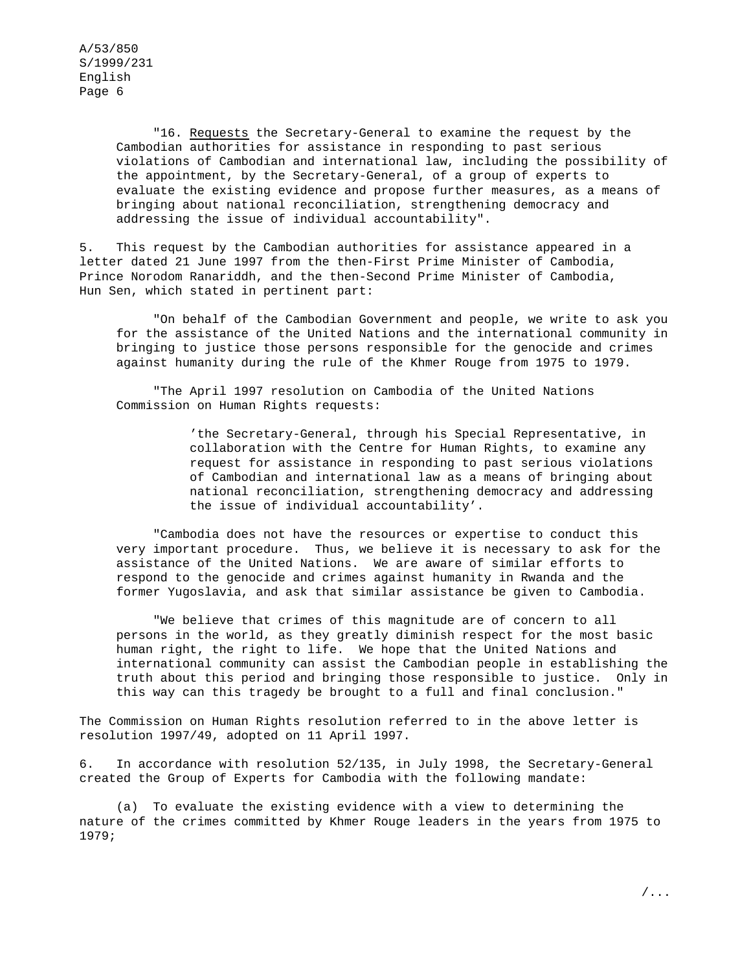"16. Requests the Secretary-General to examine the request by the Cambodian authorities for assistance in responding to past serious violations of Cambodian and international law, including the possibility of the appointment, by the Secretary-General, of a group of experts to evaluate the existing evidence and propose further measures, as a means of bringing about national reconciliation, strengthening democracy and addressing the issue of individual accountability".

5. This request by the Cambodian authorities for assistance appeared in a letter dated 21 June 1997 from the then-First Prime Minister of Cambodia, Prince Norodom Ranariddh, and the then-Second Prime Minister of Cambodia, Hun Sen, which stated in pertinent part:

"On behalf of the Cambodian Government and people, we write to ask you for the assistance of the United Nations and the international community in bringing to justice those persons responsible for the genocide and crimes against humanity during the rule of the Khmer Rouge from 1975 to 1979.

"The April 1997 resolution on Cambodia of the United Nations Commission on Human Rights requests:

> 'the Secretary-General, through his Special Representative, in collaboration with the Centre for Human Rights, to examine any request for assistance in responding to past serious violations of Cambodian and international law as a means of bringing about national reconciliation, strengthening democracy and addressing the issue of individual accountability'.

"Cambodia does not have the resources or expertise to conduct this very important procedure. Thus, we believe it is necessary to ask for the assistance of the United Nations. We are aware of similar efforts to respond to the genocide and crimes against humanity in Rwanda and the former Yugoslavia, and ask that similar assistance be given to Cambodia.

"We believe that crimes of this magnitude are of concern to all persons in the world, as they greatly diminish respect for the most basic human right, the right to life. We hope that the United Nations and international community can assist the Cambodian people in establishing the truth about this period and bringing those responsible to justice. Only in this way can this tragedy be brought to a full and final conclusion."

The Commission on Human Rights resolution referred to in the above letter is resolution 1997/49, adopted on 11 April 1997.

6. In accordance with resolution 52/135, in July 1998, the Secretary-General created the Group of Experts for Cambodia with the following mandate:

(a) To evaluate the existing evidence with a view to determining the nature of the crimes committed by Khmer Rouge leaders in the years from 1975 to 1979;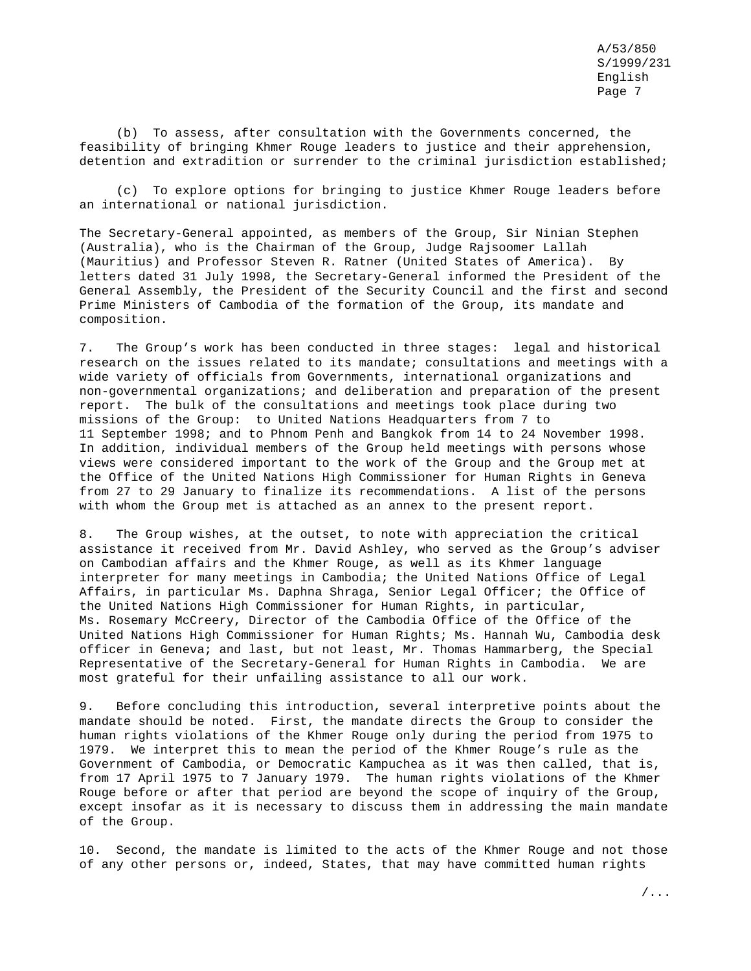(b) To assess, after consultation with the Governments concerned, the feasibility of bringing Khmer Rouge leaders to justice and their apprehension, detention and extradition or surrender to the criminal jurisdiction established;

(c) To explore options for bringing to justice Khmer Rouge leaders before an international or national jurisdiction.

The Secretary-General appointed, as members of the Group, Sir Ninian Stephen (Australia), who is the Chairman of the Group, Judge Rajsoomer Lallah (Mauritius) and Professor Steven R. Ratner (United States of America). By letters dated 31 July 1998, the Secretary-General informed the President of the General Assembly, the President of the Security Council and the first and second Prime Ministers of Cambodia of the formation of the Group, its mandate and composition.

7. The Group's work has been conducted in three stages: legal and historical research on the issues related to its mandate; consultations and meetings with a wide variety of officials from Governments, international organizations and non-governmental organizations; and deliberation and preparation of the present report. The bulk of the consultations and meetings took place during two missions of the Group: to United Nations Headquarters from 7 to 11 September 1998; and to Phnom Penh and Bangkok from 14 to 24 November 1998. In addition, individual members of the Group held meetings with persons whose views were considered important to the work of the Group and the Group met at the Office of the United Nations High Commissioner for Human Rights in Geneva from 27 to 29 January to finalize its recommendations. A list of the persons with whom the Group met is attached as an annex to the present report.

8. The Group wishes, at the outset, to note with appreciation the critical assistance it received from Mr. David Ashley, who served as the Group's adviser on Cambodian affairs and the Khmer Rouge, as well as its Khmer language interpreter for many meetings in Cambodia; the United Nations Office of Legal Affairs, in particular Ms. Daphna Shraga, Senior Legal Officer; the Office of the United Nations High Commissioner for Human Rights, in particular, Ms. Rosemary McCreery, Director of the Cambodia Office of the Office of the United Nations High Commissioner for Human Rights; Ms. Hannah Wu, Cambodia desk officer in Geneva; and last, but not least, Mr. Thomas Hammarberg, the Special Representative of the Secretary-General for Human Rights in Cambodia. We are most grateful for their unfailing assistance to all our work.

9. Before concluding this introduction, several interpretive points about the mandate should be noted. First, the mandate directs the Group to consider the human rights violations of the Khmer Rouge only during the period from 1975 to 1979. We interpret this to mean the period of the Khmer Rouge's rule as the Government of Cambodia, or Democratic Kampuchea as it was then called, that is, from 17 April 1975 to 7 January 1979. The human rights violations of the Khmer Rouge before or after that period are beyond the scope of inquiry of the Group, except insofar as it is necessary to discuss them in addressing the main mandate of the Group.

10. Second, the mandate is limited to the acts of the Khmer Rouge and not those of any other persons or, indeed, States, that may have committed human rights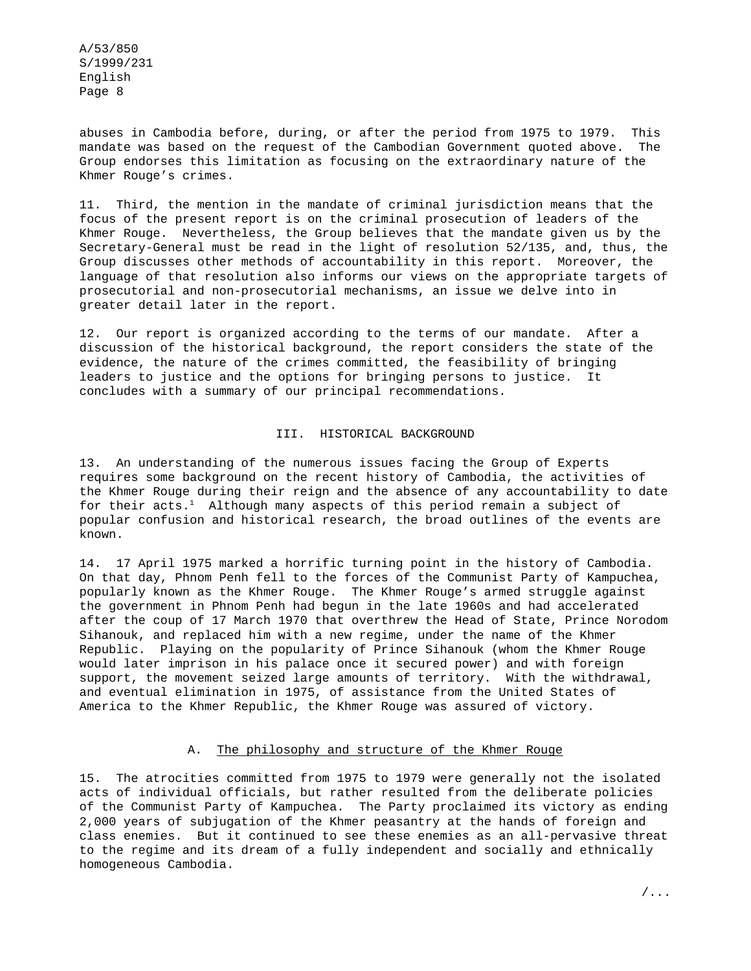abuses in Cambodia before, during, or after the period from 1975 to 1979. This mandate was based on the request of the Cambodian Government quoted above. The Group endorses this limitation as focusing on the extraordinary nature of the Khmer Rouge's crimes.

11. Third, the mention in the mandate of criminal jurisdiction means that the focus of the present report is on the criminal prosecution of leaders of the Khmer Rouge. Nevertheless, the Group believes that the mandate given us by the Secretary-General must be read in the light of resolution 52/135, and, thus, the Group discusses other methods of accountability in this report. Moreover, the language of that resolution also informs our views on the appropriate targets of prosecutorial and non-prosecutorial mechanisms, an issue we delve into in greater detail later in the report.

12. Our report is organized according to the terms of our mandate. After a discussion of the historical background, the report considers the state of the evidence, the nature of the crimes committed, the feasibility of bringing leaders to justice and the options for bringing persons to justice. It concludes with a summary of our principal recommendations.

#### III. HISTORICAL BACKGROUND

13. An understanding of the numerous issues facing the Group of Experts requires some background on the recent history of Cambodia, the activities of the Khmer Rouge during their reign and the absence of any accountability to date for their acts.<sup>1</sup> Although many aspects of this period remain a subject of popular confusion and historical research, the broad outlines of the events are known.

14. 17 April 1975 marked a horrific turning point in the history of Cambodia. On that day, Phnom Penh fell to the forces of the Communist Party of Kampuchea, popularly known as the Khmer Rouge. The Khmer Rouge's armed struggle against the government in Phnom Penh had begun in the late 1960s and had accelerated after the coup of 17 March 1970 that overthrew the Head of State, Prince Norodom Sihanouk, and replaced him with a new regime, under the name of the Khmer Republic. Playing on the popularity of Prince Sihanouk (whom the Khmer Rouge would later imprison in his palace once it secured power) and with foreign support, the movement seized large amounts of territory. With the withdrawal, and eventual elimination in 1975, of assistance from the United States of America to the Khmer Republic, the Khmer Rouge was assured of victory.

### A. The philosophy and structure of the Khmer Rouge

15. The atrocities committed from 1975 to 1979 were generally not the isolated acts of individual officials, but rather resulted from the deliberate policies of the Communist Party of Kampuchea. The Party proclaimed its victory as ending 2,000 years of subjugation of the Khmer peasantry at the hands of foreign and class enemies. But it continued to see these enemies as an all-pervasive threat to the regime and its dream of a fully independent and socially and ethnically homogeneous Cambodia.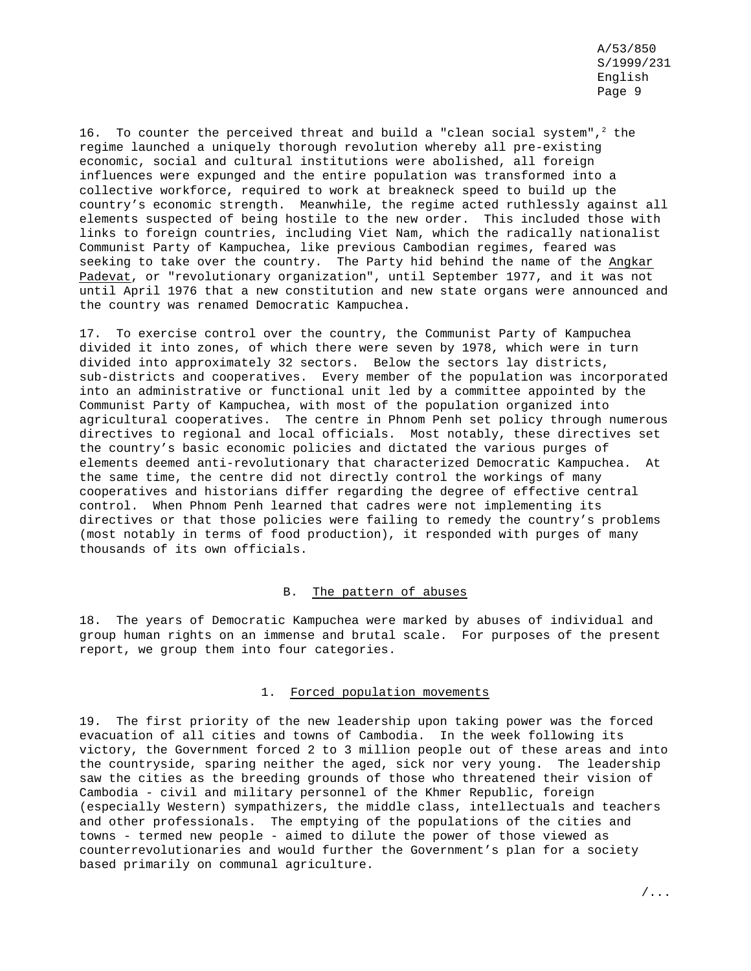16. To counter the perceived threat and build a "clean social system",<sup>2</sup> the regime launched a uniquely thorough revolution whereby all pre-existing economic, social and cultural institutions were abolished, all foreign influences were expunged and the entire population was transformed into a collective workforce, required to work at breakneck speed to build up the country's economic strength. Meanwhile, the regime acted ruthlessly against all elements suspected of being hostile to the new order. This included those with links to foreign countries, including Viet Nam, which the radically nationalist Communist Party of Kampuchea, like previous Cambodian regimes, feared was seeking to take over the country. The Party hid behind the name of the Angkar Padevat, or "revolutionary organization", until September 1977, and it was not until April 1976 that a new constitution and new state organs were announced and the country was renamed Democratic Kampuchea.

17. To exercise control over the country, the Communist Party of Kampuchea divided it into zones, of which there were seven by 1978, which were in turn divided into approximately 32 sectors. Below the sectors lay districts, sub-districts and cooperatives. Every member of the population was incorporated into an administrative or functional unit led by a committee appointed by the Communist Party of Kampuchea, with most of the population organized into agricultural cooperatives. The centre in Phnom Penh set policy through numerous directives to regional and local officials. Most notably, these directives set the country's basic economic policies and dictated the various purges of elements deemed anti-revolutionary that characterized Democratic Kampuchea. At the same time, the centre did not directly control the workings of many cooperatives and historians differ regarding the degree of effective central control. When Phnom Penh learned that cadres were not implementing its directives or that those policies were failing to remedy the country's problems (most notably in terms of food production), it responded with purges of many thousands of its own officials.

### B. The pattern of abuses

18. The years of Democratic Kampuchea were marked by abuses of individual and group human rights on an immense and brutal scale. For purposes of the present report, we group them into four categories.

#### 1. Forced population movements

19. The first priority of the new leadership upon taking power was the forced evacuation of all cities and towns of Cambodia. In the week following its victory, the Government forced 2 to 3 million people out of these areas and into the countryside, sparing neither the aged, sick nor very young. The leadership saw the cities as the breeding grounds of those who threatened their vision of Cambodia - civil and military personnel of the Khmer Republic, foreign (especially Western) sympathizers, the middle class, intellectuals and teachers and other professionals. The emptying of the populations of the cities and towns - termed new people - aimed to dilute the power of those viewed as counterrevolutionaries and would further the Government's plan for a society based primarily on communal agriculture.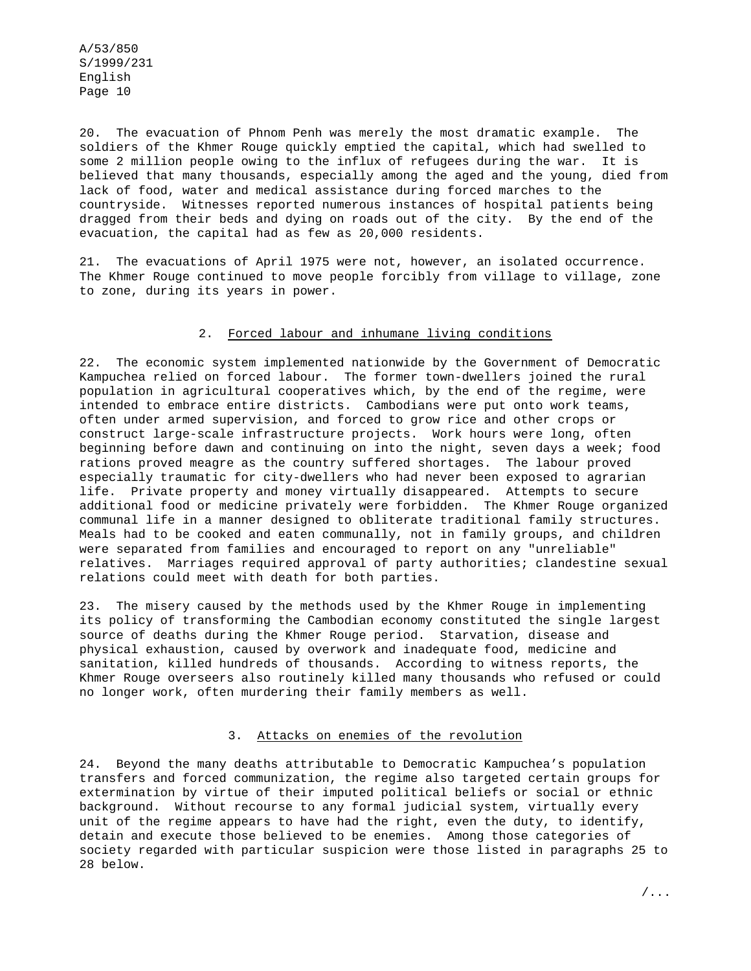20. The evacuation of Phnom Penh was merely the most dramatic example. The soldiers of the Khmer Rouge quickly emptied the capital, which had swelled to some 2 million people owing to the influx of refugees during the war. It is believed that many thousands, especially among the aged and the young, died from lack of food, water and medical assistance during forced marches to the countryside. Witnesses reported numerous instances of hospital patients being dragged from their beds and dying on roads out of the city. By the end of the evacuation, the capital had as few as 20,000 residents.

21. The evacuations of April 1975 were not, however, an isolated occurrence. The Khmer Rouge continued to move people forcibly from village to village, zone to zone, during its years in power.

### 2. Forced labour and inhumane living conditions

22. The economic system implemented nationwide by the Government of Democratic Kampuchea relied on forced labour. The former town-dwellers joined the rural population in agricultural cooperatives which, by the end of the regime, were intended to embrace entire districts. Cambodians were put onto work teams, often under armed supervision, and forced to grow rice and other crops or construct large-scale infrastructure projects. Work hours were long, often beginning before dawn and continuing on into the night, seven days a week; food rations proved meagre as the country suffered shortages. The labour proved especially traumatic for city-dwellers who had never been exposed to agrarian life. Private property and money virtually disappeared. Attempts to secure additional food or medicine privately were forbidden. The Khmer Rouge organized communal life in a manner designed to obliterate traditional family structures. Meals had to be cooked and eaten communally, not in family groups, and children were separated from families and encouraged to report on any "unreliable" relatives. Marriages required approval of party authorities; clandestine sexual relations could meet with death for both parties.

23. The misery caused by the methods used by the Khmer Rouge in implementing its policy of transforming the Cambodian economy constituted the single largest source of deaths during the Khmer Rouge period. Starvation, disease and physical exhaustion, caused by overwork and inadequate food, medicine and sanitation, killed hundreds of thousands. According to witness reports, the Khmer Rouge overseers also routinely killed many thousands who refused or could no longer work, often murdering their family members as well.

## 3. Attacks on enemies of the revolution

24. Beyond the many deaths attributable to Democratic Kampuchea's population transfers and forced communization, the regime also targeted certain groups for extermination by virtue of their imputed political beliefs or social or ethnic background. Without recourse to any formal judicial system, virtually every unit of the regime appears to have had the right, even the duty, to identify, detain and execute those believed to be enemies. Among those categories of society regarded with particular suspicion were those listed in paragraphs 25 to 28 below.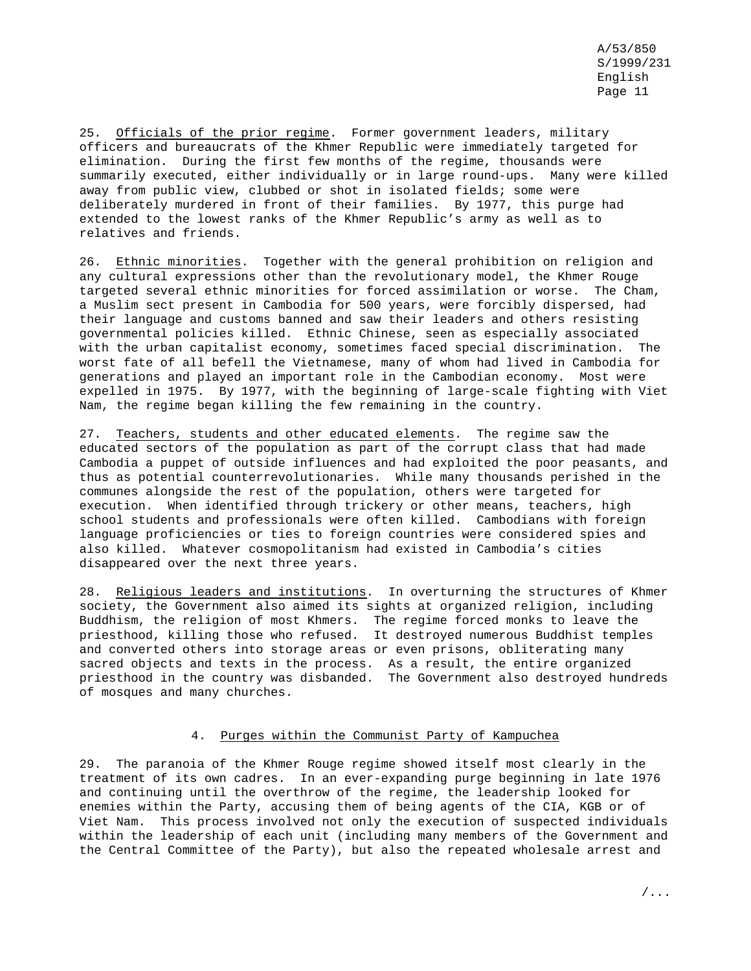25. Officials of the prior regime. Former government leaders, military officers and bureaucrats of the Khmer Republic were immediately targeted for elimination. During the first few months of the regime, thousands were summarily executed, either individually or in large round-ups. Many were killed away from public view, clubbed or shot in isolated fields; some were deliberately murdered in front of their families. By 1977, this purge had extended to the lowest ranks of the Khmer Republic's army as well as to relatives and friends.

26. Ethnic minorities. Together with the general prohibition on religion and any cultural expressions other than the revolutionary model, the Khmer Rouge targeted several ethnic minorities for forced assimilation or worse. The Cham, a Muslim sect present in Cambodia for 500 years, were forcibly dispersed, had their language and customs banned and saw their leaders and others resisting governmental policies killed. Ethnic Chinese, seen as especially associated with the urban capitalist economy, sometimes faced special discrimination. The worst fate of all befell the Vietnamese, many of whom had lived in Cambodia for generations and played an important role in the Cambodian economy. Most were expelled in 1975. By 1977, with the beginning of large-scale fighting with Viet Nam, the regime began killing the few remaining in the country.

27. Teachers, students and other educated elements. The regime saw the educated sectors of the population as part of the corrupt class that had made Cambodia a puppet of outside influences and had exploited the poor peasants, and thus as potential counterrevolutionaries. While many thousands perished in the communes alongside the rest of the population, others were targeted for execution. When identified through trickery or other means, teachers, high school students and professionals were often killed. Cambodians with foreign language proficiencies or ties to foreign countries were considered spies and also killed. Whatever cosmopolitanism had existed in Cambodia's cities disappeared over the next three years.

28. Religious leaders and institutions. In overturning the structures of Khmer society, the Government also aimed its sights at organized religion, including Buddhism, the religion of most Khmers. The regime forced monks to leave the priesthood, killing those who refused. It destroyed numerous Buddhist temples and converted others into storage areas or even prisons, obliterating many sacred objects and texts in the process. As a result, the entire organized priesthood in the country was disbanded. The Government also destroyed hundreds of mosques and many churches.

### 4. Purges within the Communist Party of Kampuchea

29. The paranoia of the Khmer Rouge regime showed itself most clearly in the treatment of its own cadres. In an ever-expanding purge beginning in late 1976 and continuing until the overthrow of the regime, the leadership looked for enemies within the Party, accusing them of being agents of the CIA, KGB or of Viet Nam. This process involved not only the execution of suspected individuals within the leadership of each unit (including many members of the Government and the Central Committee of the Party), but also the repeated wholesale arrest and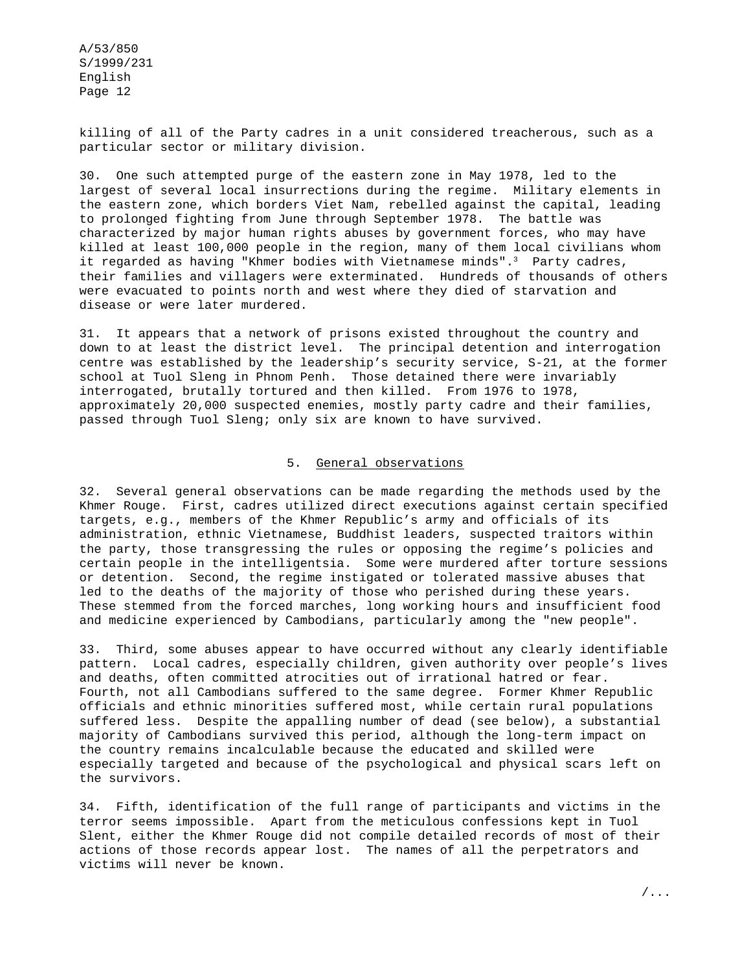killing of all of the Party cadres in a unit considered treacherous, such as a particular sector or military division.

30. One such attempted purge of the eastern zone in May 1978, led to the largest of several local insurrections during the regime. Military elements in the eastern zone, which borders Viet Nam, rebelled against the capital, leading to prolonged fighting from June through September 1978. The battle was characterized by major human rights abuses by government forces, who may have killed at least 100,000 people in the region, many of them local civilians whom it regarded as having "Khmer bodies with Vietnamese minds". $3$  Party cadres, their families and villagers were exterminated. Hundreds of thousands of others were evacuated to points north and west where they died of starvation and disease or were later murdered.

31. It appears that a network of prisons existed throughout the country and down to at least the district level. The principal detention and interrogation centre was established by the leadership's security service, S-21, at the former school at Tuol Sleng in Phnom Penh. Those detained there were invariably interrogated, brutally tortured and then killed. From 1976 to 1978, approximately 20,000 suspected enemies, mostly party cadre and their families, passed through Tuol Sleng; only six are known to have survived.

## 5. General observations

32. Several general observations can be made regarding the methods used by the Khmer Rouge. First, cadres utilized direct executions against certain specified targets, e.g., members of the Khmer Republic's army and officials of its administration, ethnic Vietnamese, Buddhist leaders, suspected traitors within the party, those transgressing the rules or opposing the regime's policies and certain people in the intelligentsia. Some were murdered after torture sessions or detention. Second, the regime instigated or tolerated massive abuses that led to the deaths of the majority of those who perished during these years. These stemmed from the forced marches, long working hours and insufficient food and medicine experienced by Cambodians, particularly among the "new people".

33. Third, some abuses appear to have occurred without any clearly identifiable pattern. Local cadres, especially children, given authority over people's lives and deaths, often committed atrocities out of irrational hatred or fear. Fourth, not all Cambodians suffered to the same degree. Former Khmer Republic officials and ethnic minorities suffered most, while certain rural populations suffered less. Despite the appalling number of dead (see below), a substantial majority of Cambodians survived this period, although the long-term impact on the country remains incalculable because the educated and skilled were especially targeted and because of the psychological and physical scars left on the survivors.

34. Fifth, identification of the full range of participants and victims in the terror seems impossible. Apart from the meticulous confessions kept in Tuol Slent, either the Khmer Rouge did not compile detailed records of most of their actions of those records appear lost. The names of all the perpetrators and victims will never be known.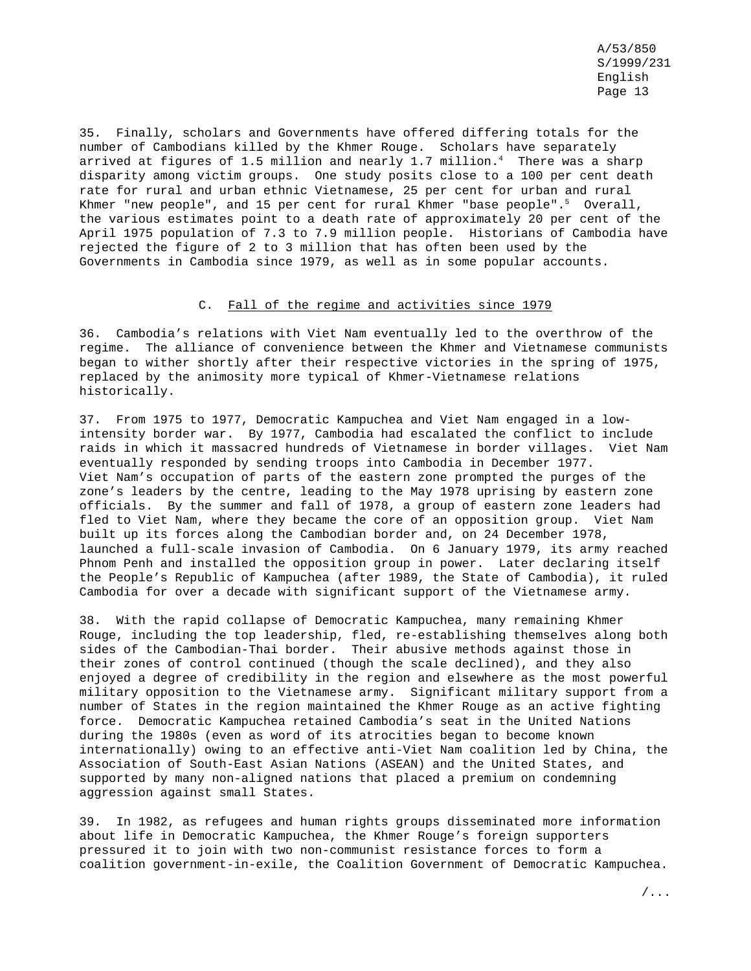35. Finally, scholars and Governments have offered differing totals for the number of Cambodians killed by the Khmer Rouge. Scholars have separately arrived at figures of 1.5 million and nearly 1.7 million.<sup>4</sup> There was a sharp disparity among victim groups. One study posits close to a 100 per cent death rate for rural and urban ethnic Vietnamese, 25 per cent for urban and rural Khmer "new people", and 15 per cent for rural Khmer "base people".<sup>5</sup> Overall, the various estimates point to a death rate of approximately 20 per cent of the April 1975 population of 7.3 to 7.9 million people. Historians of Cambodia have rejected the figure of 2 to 3 million that has often been used by the Governments in Cambodia since 1979, as well as in some popular accounts.

#### C. Fall of the regime and activities since 1979

36. Cambodia's relations with Viet Nam eventually led to the overthrow of the regime. The alliance of convenience between the Khmer and Vietnamese communists began to wither shortly after their respective victories in the spring of 1975, replaced by the animosity more typical of Khmer-Vietnamese relations historically.

37. From 1975 to 1977, Democratic Kampuchea and Viet Nam engaged in a lowintensity border war. By 1977, Cambodia had escalated the conflict to include raids in which it massacred hundreds of Vietnamese in border villages. Viet Nam eventually responded by sending troops into Cambodia in December 1977. Viet Nam's occupation of parts of the eastern zone prompted the purges of the zone's leaders by the centre, leading to the May 1978 uprising by eastern zone officials. By the summer and fall of 1978, a group of eastern zone leaders had fled to Viet Nam, where they became the core of an opposition group. Viet Nam built up its forces along the Cambodian border and, on 24 December 1978, launched a full-scale invasion of Cambodia. On 6 January 1979, its army reached Phnom Penh and installed the opposition group in power. Later declaring itself the People's Republic of Kampuchea (after 1989, the State of Cambodia), it ruled Cambodia for over a decade with significant support of the Vietnamese army.

38. With the rapid collapse of Democratic Kampuchea, many remaining Khmer Rouge, including the top leadership, fled, re-establishing themselves along both sides of the Cambodian-Thai border. Their abusive methods against those in their zones of control continued (though the scale declined), and they also enjoyed a degree of credibility in the region and elsewhere as the most powerful military opposition to the Vietnamese army. Significant military support from a number of States in the region maintained the Khmer Rouge as an active fighting force. Democratic Kampuchea retained Cambodia's seat in the United Nations during the 1980s (even as word of its atrocities began to become known internationally) owing to an effective anti-Viet Nam coalition led by China, the Association of South-East Asian Nations (ASEAN) and the United States, and supported by many non-aligned nations that placed a premium on condemning aggression against small States.

39. In 1982, as refugees and human rights groups disseminated more information about life in Democratic Kampuchea, the Khmer Rouge's foreign supporters pressured it to join with two non-communist resistance forces to form a coalition government-in-exile, the Coalition Government of Democratic Kampuchea.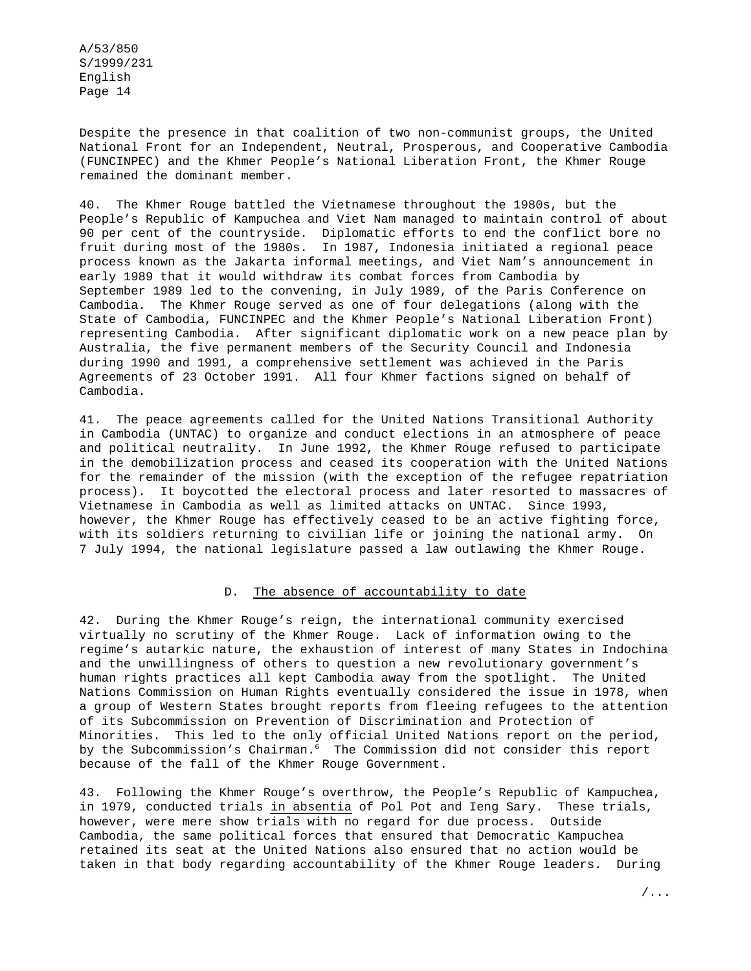Despite the presence in that coalition of two non-communist groups, the United National Front for an Independent, Neutral, Prosperous, and Cooperative Cambodia (FUNCINPEC) and the Khmer People's National Liberation Front, the Khmer Rouge remained the dominant member.

40. The Khmer Rouge battled the Vietnamese throughout the 1980s, but the People's Republic of Kampuchea and Viet Nam managed to maintain control of about 90 per cent of the countryside. Diplomatic efforts to end the conflict bore no fruit during most of the 1980s. In 1987, Indonesia initiated a regional peace process known as the Jakarta informal meetings, and Viet Nam's announcement in early 1989 that it would withdraw its combat forces from Cambodia by September 1989 led to the convening, in July 1989, of the Paris Conference on Cambodia. The Khmer Rouge served as one of four delegations (along with the State of Cambodia, FUNCINPEC and the Khmer People's National Liberation Front) representing Cambodia. After significant diplomatic work on a new peace plan by Australia, the five permanent members of the Security Council and Indonesia during 1990 and 1991, a comprehensive settlement was achieved in the Paris Agreements of 23 October 1991. All four Khmer factions signed on behalf of Cambodia.

41. The peace agreements called for the United Nations Transitional Authority in Cambodia (UNTAC) to organize and conduct elections in an atmosphere of peace and political neutrality. In June 1992, the Khmer Rouge refused to participate in the demobilization process and ceased its cooperation with the United Nations for the remainder of the mission (with the exception of the refugee repatriation process). It boycotted the electoral process and later resorted to massacres of Vietnamese in Cambodia as well as limited attacks on UNTAC. Since 1993, however, the Khmer Rouge has effectively ceased to be an active fighting force, with its soldiers returning to civilian life or joining the national army. On 7 July 1994, the national legislature passed a law outlawing the Khmer Rouge.

### D. The absence of accountability to date

42. During the Khmer Rouge's reign, the international community exercised virtually no scrutiny of the Khmer Rouge. Lack of information owing to the regime's autarkic nature, the exhaustion of interest of many States in Indochina and the unwillingness of others to question a new revolutionary government's human rights practices all kept Cambodia away from the spotlight. The United Nations Commission on Human Rights eventually considered the issue in 1978, when a group of Western States brought reports from fleeing refugees to the attention of its Subcommission on Prevention of Discrimination and Protection of Minorities. This led to the only official United Nations report on the period, by the Subcommission's Chairman.<sup>6</sup> The Commission did not consider this report because of the fall of the Khmer Rouge Government.

43. Following the Khmer Rouge's overthrow, the People's Republic of Kampuchea, in 1979, conducted trials in absentia of Pol Pot and Ieng Sary. These trials, however, were mere show trials with no regard for due process. Outside Cambodia, the same political forces that ensured that Democratic Kampuchea retained its seat at the United Nations also ensured that no action would be taken in that body regarding accountability of the Khmer Rouge leaders. During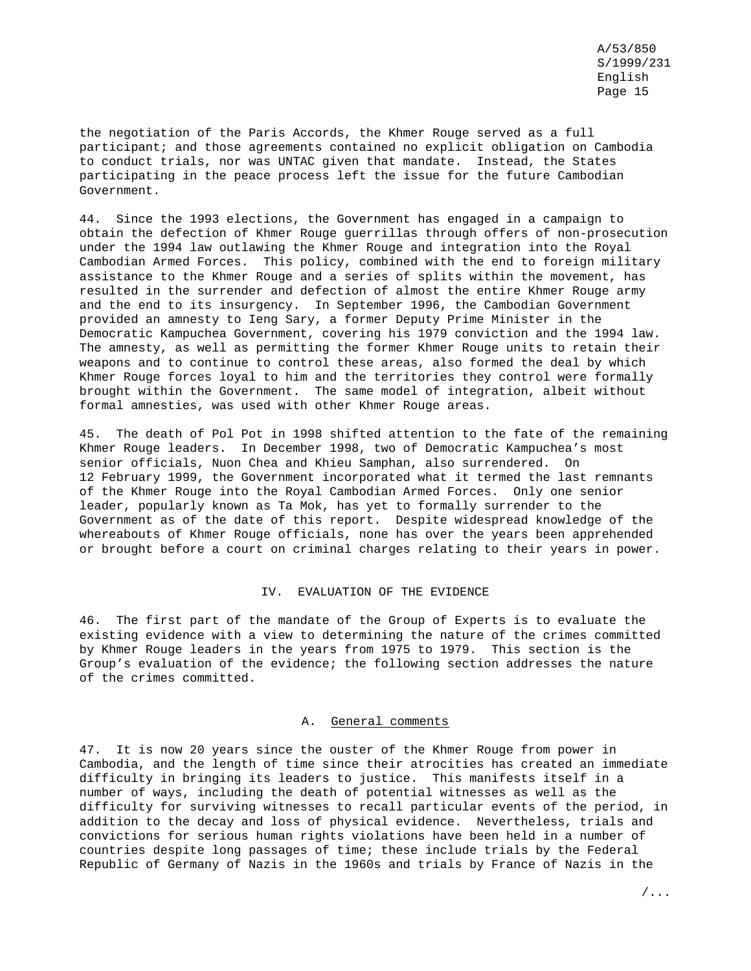the negotiation of the Paris Accords, the Khmer Rouge served as a full participant; and those agreements contained no explicit obligation on Cambodia to conduct trials, nor was UNTAC given that mandate. Instead, the States participating in the peace process left the issue for the future Cambodian Government.

44. Since the 1993 elections, the Government has engaged in a campaign to obtain the defection of Khmer Rouge guerrillas through offers of non-prosecution under the 1994 law outlawing the Khmer Rouge and integration into the Royal Cambodian Armed Forces. This policy, combined with the end to foreign military assistance to the Khmer Rouge and a series of splits within the movement, has resulted in the surrender and defection of almost the entire Khmer Rouge army and the end to its insurgency. In September 1996, the Cambodian Government provided an amnesty to Ieng Sary, a former Deputy Prime Minister in the Democratic Kampuchea Government, covering his 1979 conviction and the 1994 law. The amnesty, as well as permitting the former Khmer Rouge units to retain their weapons and to continue to control these areas, also formed the deal by which Khmer Rouge forces loyal to him and the territories they control were formally brought within the Government. The same model of integration, albeit without formal amnesties, was used with other Khmer Rouge areas.

45. The death of Pol Pot in 1998 shifted attention to the fate of the remaining Khmer Rouge leaders. In December 1998, two of Democratic Kampuchea's most senior officials, Nuon Chea and Khieu Samphan, also surrendered. On 12 February 1999, the Government incorporated what it termed the last remnants of the Khmer Rouge into the Royal Cambodian Armed Forces. Only one senior leader, popularly known as Ta Mok, has yet to formally surrender to the Government as of the date of this report. Despite widespread knowledge of the whereabouts of Khmer Rouge officials, none has over the years been apprehended or brought before a court on criminal charges relating to their years in power.

#### IV. EVALUATION OF THE EVIDENCE

46. The first part of the mandate of the Group of Experts is to evaluate the existing evidence with a view to determining the nature of the crimes committed by Khmer Rouge leaders in the years from 1975 to 1979. This section is the Group's evaluation of the evidence; the following section addresses the nature of the crimes committed.

### A. General comments

47. It is now 20 years since the ouster of the Khmer Rouge from power in Cambodia, and the length of time since their atrocities has created an immediate difficulty in bringing its leaders to justice. This manifests itself in a number of ways, including the death of potential witnesses as well as the difficulty for surviving witnesses to recall particular events of the period, in addition to the decay and loss of physical evidence. Nevertheless, trials and convictions for serious human rights violations have been held in a number of countries despite long passages of time; these include trials by the Federal Republic of Germany of Nazis in the 1960s and trials by France of Nazis in the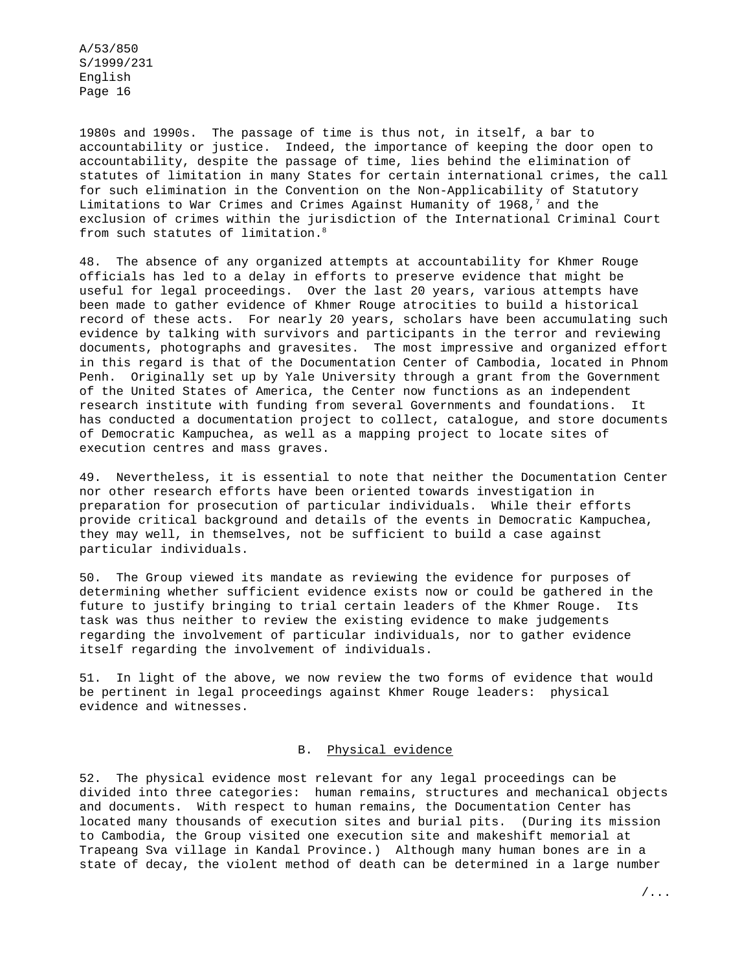1980s and 1990s. The passage of time is thus not, in itself, a bar to accountability or justice. Indeed, the importance of keeping the door open to accountability, despite the passage of time, lies behind the elimination of statutes of limitation in many States for certain international crimes, the call for such elimination in the Convention on the Non-Applicability of Statutory Limitations to War Crimes and Crimes Against Humanity of  $1968,^7$  and the exclusion of crimes within the jurisdiction of the International Criminal Court from such statutes of limitation.<sup>8</sup>

48. The absence of any organized attempts at accountability for Khmer Rouge officials has led to a delay in efforts to preserve evidence that might be useful for legal proceedings. Over the last 20 years, various attempts have been made to gather evidence of Khmer Rouge atrocities to build a historical record of these acts. For nearly 20 years, scholars have been accumulating such evidence by talking with survivors and participants in the terror and reviewing documents, photographs and gravesites. The most impressive and organized effort in this regard is that of the Documentation Center of Cambodia, located in Phnom Penh. Originally set up by Yale University through a grant from the Government of the United States of America, the Center now functions as an independent research institute with funding from several Governments and foundations. It has conducted a documentation project to collect, catalogue, and store documents of Democratic Kampuchea, as well as a mapping project to locate sites of execution centres and mass graves.

49. Nevertheless, it is essential to note that neither the Documentation Center nor other research efforts have been oriented towards investigation in preparation for prosecution of particular individuals. While their efforts provide critical background and details of the events in Democratic Kampuchea, they may well, in themselves, not be sufficient to build a case against particular individuals.

50. The Group viewed its mandate as reviewing the evidence for purposes of determining whether sufficient evidence exists now or could be gathered in the future to justify bringing to trial certain leaders of the Khmer Rouge. Its task was thus neither to review the existing evidence to make judgements regarding the involvement of particular individuals, nor to gather evidence itself regarding the involvement of individuals.

51. In light of the above, we now review the two forms of evidence that would be pertinent in legal proceedings against Khmer Rouge leaders: physical evidence and witnesses.

### B. Physical evidence

52. The physical evidence most relevant for any legal proceedings can be divided into three categories: human remains, structures and mechanical objects and documents. With respect to human remains, the Documentation Center has located many thousands of execution sites and burial pits. (During its mission to Cambodia, the Group visited one execution site and makeshift memorial at Trapeang Sva village in Kandal Province.) Although many human bones are in a state of decay, the violent method of death can be determined in a large number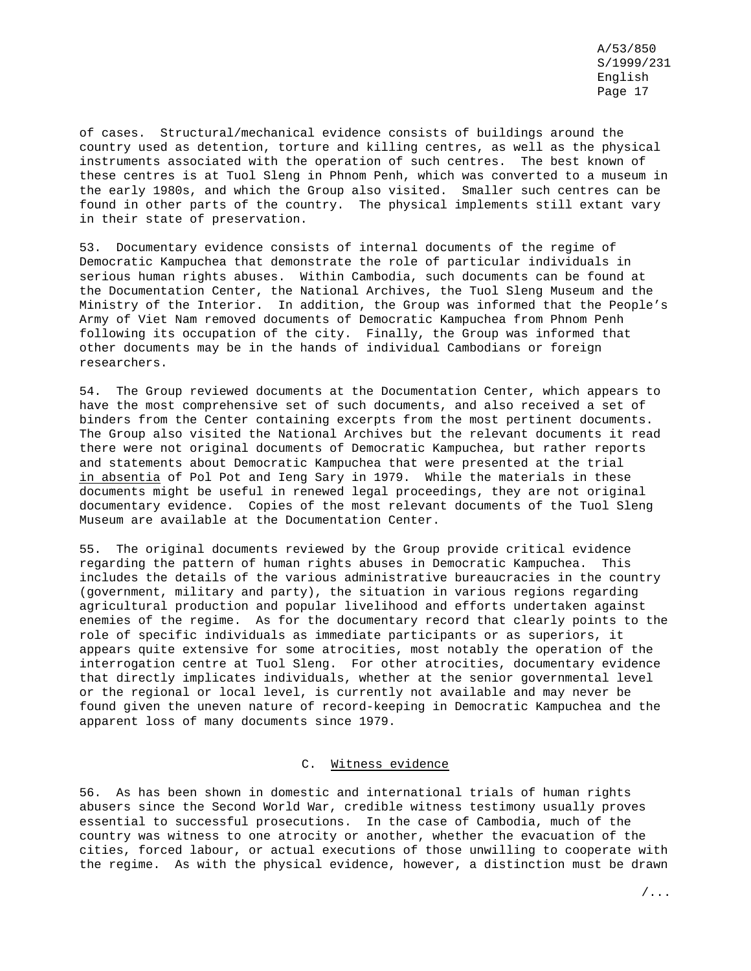of cases. Structural/mechanical evidence consists of buildings around the country used as detention, torture and killing centres, as well as the physical instruments associated with the operation of such centres. The best known of these centres is at Tuol Sleng in Phnom Penh, which was converted to a museum in the early 1980s, and which the Group also visited. Smaller such centres can be found in other parts of the country. The physical implements still extant vary in their state of preservation.

53. Documentary evidence consists of internal documents of the regime of Democratic Kampuchea that demonstrate the role of particular individuals in serious human rights abuses. Within Cambodia, such documents can be found at the Documentation Center, the National Archives, the Tuol Sleng Museum and the Ministry of the Interior. In addition, the Group was informed that the People's Army of Viet Nam removed documents of Democratic Kampuchea from Phnom Penh following its occupation of the city. Finally, the Group was informed that other documents may be in the hands of individual Cambodians or foreign researchers.

54. The Group reviewed documents at the Documentation Center, which appears to have the most comprehensive set of such documents, and also received a set of binders from the Center containing excerpts from the most pertinent documents. The Group also visited the National Archives but the relevant documents it read there were not original documents of Democratic Kampuchea, but rather reports and statements about Democratic Kampuchea that were presented at the trial in absentia of Pol Pot and Ieng Sary in 1979. While the materials in these documents might be useful in renewed legal proceedings, they are not original documentary evidence. Copies of the most relevant documents of the Tuol Sleng Museum are available at the Documentation Center.

55. The original documents reviewed by the Group provide critical evidence regarding the pattern of human rights abuses in Democratic Kampuchea. This includes the details of the various administrative bureaucracies in the country (government, military and party), the situation in various regions regarding agricultural production and popular livelihood and efforts undertaken against enemies of the regime. As for the documentary record that clearly points to the role of specific individuals as immediate participants or as superiors, it appears quite extensive for some atrocities, most notably the operation of the interrogation centre at Tuol Sleng. For other atrocities, documentary evidence that directly implicates individuals, whether at the senior governmental level or the regional or local level, is currently not available and may never be found given the uneven nature of record-keeping in Democratic Kampuchea and the apparent loss of many documents since 1979.

## C. Witness evidence

56. As has been shown in domestic and international trials of human rights abusers since the Second World War, credible witness testimony usually proves essential to successful prosecutions. In the case of Cambodia, much of the country was witness to one atrocity or another, whether the evacuation of the cities, forced labour, or actual executions of those unwilling to cooperate with the regime. As with the physical evidence, however, a distinction must be drawn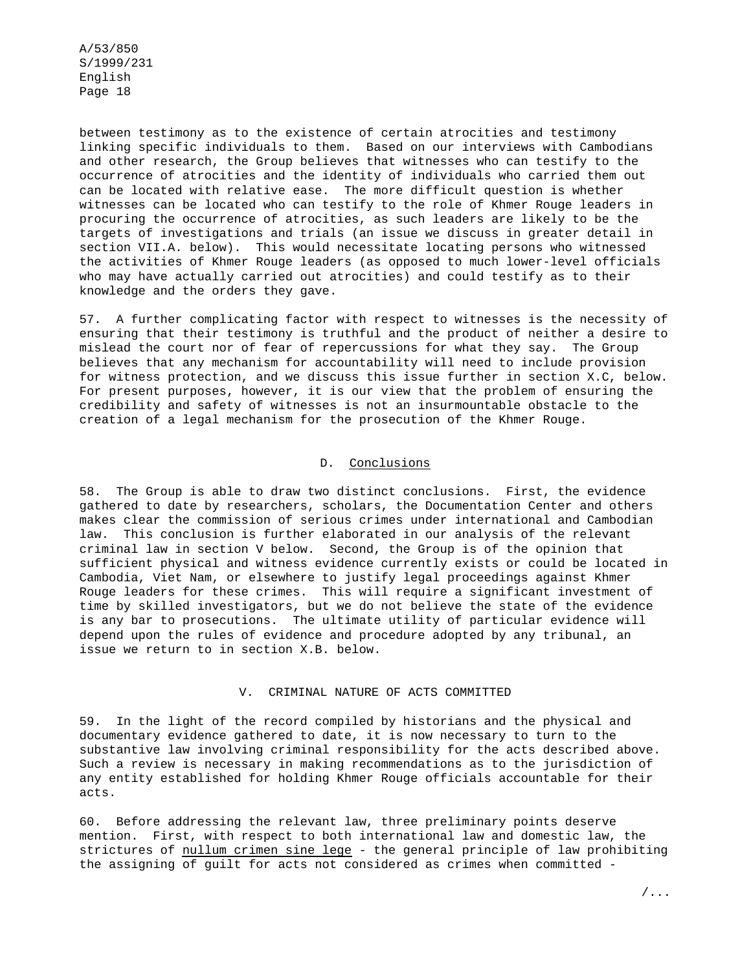between testimony as to the existence of certain atrocities and testimony linking specific individuals to them. Based on our interviews with Cambodians and other research, the Group believes that witnesses who can testify to the occurrence of atrocities and the identity of individuals who carried them out can be located with relative ease. The more difficult question is whether witnesses can be located who can testify to the role of Khmer Rouge leaders in procuring the occurrence of atrocities, as such leaders are likely to be the targets of investigations and trials (an issue we discuss in greater detail in section VII.A. below). This would necessitate locating persons who witnessed the activities of Khmer Rouge leaders (as opposed to much lower-level officials who may have actually carried out atrocities) and could testify as to their knowledge and the orders they gave.

57. A further complicating factor with respect to witnesses is the necessity of ensuring that their testimony is truthful and the product of neither a desire to mislead the court nor of fear of repercussions for what they say. The Group believes that any mechanism for accountability will need to include provision for witness protection, and we discuss this issue further in section X.C, below. For present purposes, however, it is our view that the problem of ensuring the credibility and safety of witnesses is not an insurmountable obstacle to the creation of a legal mechanism for the prosecution of the Khmer Rouge.

## D. Conclusions

58. The Group is able to draw two distinct conclusions. First, the evidence gathered to date by researchers, scholars, the Documentation Center and others makes clear the commission of serious crimes under international and Cambodian law. This conclusion is further elaborated in our analysis of the relevant criminal law in section V below. Second, the Group is of the opinion that sufficient physical and witness evidence currently exists or could be located in Cambodia, Viet Nam, or elsewhere to justify legal proceedings against Khmer Rouge leaders for these crimes. This will require a significant investment of time by skilled investigators, but we do not believe the state of the evidence is any bar to prosecutions. The ultimate utility of particular evidence will depend upon the rules of evidence and procedure adopted by any tribunal, an issue we return to in section X.B. below.

#### V. CRIMINAL NATURE OF ACTS COMMITTED

59. In the light of the record compiled by historians and the physical and documentary evidence gathered to date, it is now necessary to turn to the substantive law involving criminal responsibility for the acts described above. Such a review is necessary in making recommendations as to the jurisdiction of any entity established for holding Khmer Rouge officials accountable for their acts.

60. Before addressing the relevant law, three preliminary points deserve mention. First, with respect to both international law and domestic law, the strictures of nullum crimen sine lege - the general principle of law prohibiting the assigning of guilt for acts not considered as crimes when committed -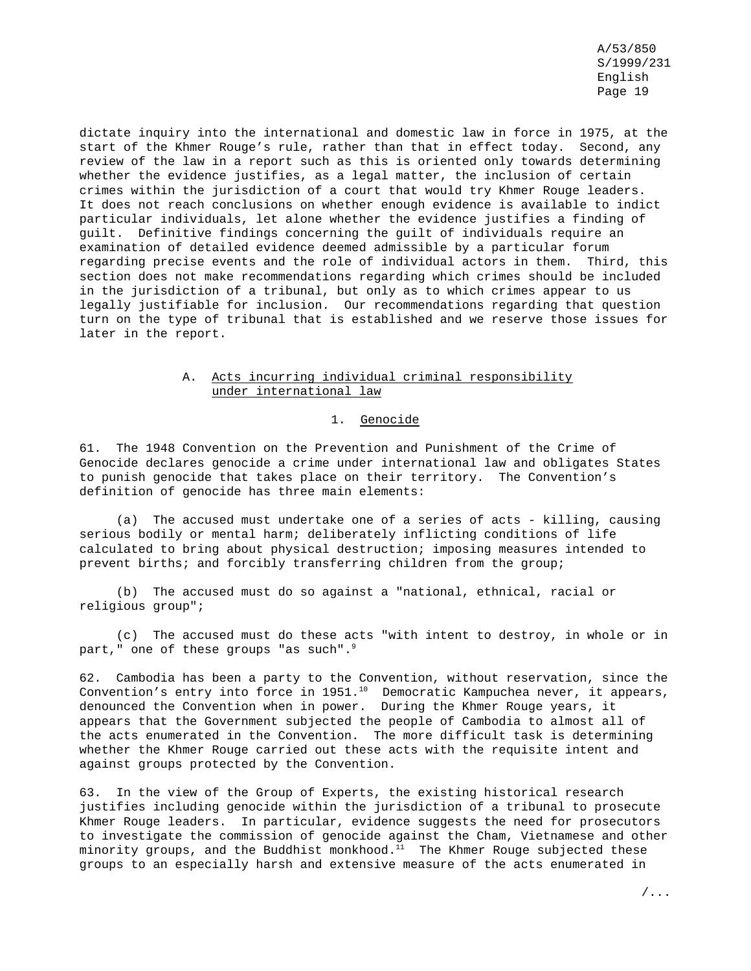dictate inquiry into the international and domestic law in force in 1975, at the start of the Khmer Rouge's rule, rather than that in effect today. Second, any review of the law in a report such as this is oriented only towards determining whether the evidence justifies, as a legal matter, the inclusion of certain crimes within the jurisdiction of a court that would try Khmer Rouge leaders. It does not reach conclusions on whether enough evidence is available to indict particular individuals, let alone whether the evidence justifies a finding of guilt. Definitive findings concerning the guilt of individuals require an examination of detailed evidence deemed admissible by a particular forum regarding precise events and the role of individual actors in them. Third, this section does not make recommendations regarding which crimes should be included in the jurisdiction of a tribunal, but only as to which crimes appear to us legally justifiable for inclusion. Our recommendations regarding that question turn on the type of tribunal that is established and we reserve those issues for later in the report.

## A. Acts incurring individual criminal responsibility under international law

## 1. Genocide

61. The 1948 Convention on the Prevention and Punishment of the Crime of Genocide declares genocide a crime under international law and obligates States to punish genocide that takes place on their territory. The Convention's definition of genocide has three main elements:

(a) The accused must undertake one of a series of acts - killing, causing serious bodily or mental harm; deliberately inflicting conditions of life calculated to bring about physical destruction; imposing measures intended to prevent births; and forcibly transferring children from the group;

(b) The accused must do so against a "national, ethnical, racial or religious group";

(c) The accused must do these acts "with intent to destroy, in whole or in part," one of these groups "as such".<sup>9</sup>

62. Cambodia has been a party to the Convention, without reservation, since the Convention's entry into force in 1951.<sup>10</sup> Democratic Kampuchea never, it appears, denounced the Convention when in power. During the Khmer Rouge years, it appears that the Government subjected the people of Cambodia to almost all of the acts enumerated in the Convention. The more difficult task is determining whether the Khmer Rouge carried out these acts with the requisite intent and against groups protected by the Convention.

63. In the view of the Group of Experts, the existing historical research justifies including genocide within the jurisdiction of a tribunal to prosecute Khmer Rouge leaders. In particular, evidence suggests the need for prosecutors to investigate the commission of genocide against the Cham, Vietnamese and other minority groups, and the Buddhist monkhood. $11$  The Khmer Rouge subjected these groups to an especially harsh and extensive measure of the acts enumerated in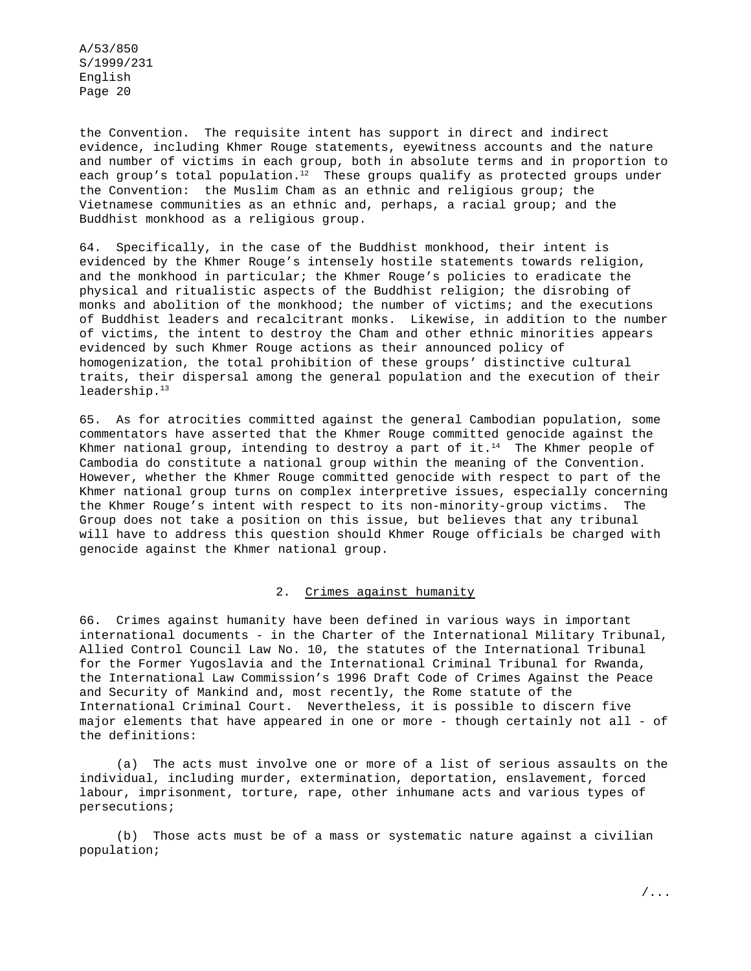the Convention. The requisite intent has support in direct and indirect evidence, including Khmer Rouge statements, eyewitness accounts and the nature and number of victims in each group, both in absolute terms and in proportion to each group's total population.<sup>12</sup> These groups qualify as protected groups under the Convention: the Muslim Cham as an ethnic and religious group; the Vietnamese communities as an ethnic and, perhaps, a racial group; and the Buddhist monkhood as a religious group.

64. Specifically, in the case of the Buddhist monkhood, their intent is evidenced by the Khmer Rouge's intensely hostile statements towards religion, and the monkhood in particular; the Khmer Rouge's policies to eradicate the physical and ritualistic aspects of the Buddhist religion; the disrobing of monks and abolition of the monkhood; the number of victims; and the executions of Buddhist leaders and recalcitrant monks. Likewise, in addition to the number of victims, the intent to destroy the Cham and other ethnic minorities appears evidenced by such Khmer Rouge actions as their announced policy of homogenization, the total prohibition of these groups' distinctive cultural traits, their dispersal among the general population and the execution of their leadership.<sup>13</sup>

65. As for atrocities committed against the general Cambodian population, some commentators have asserted that the Khmer Rouge committed genocide against the Khmer national group, intending to destroy a part of it. $14$  The Khmer people of Cambodia do constitute a national group within the meaning of the Convention. However, whether the Khmer Rouge committed genocide with respect to part of the Khmer national group turns on complex interpretive issues, especially concerning the Khmer Rouge's intent with respect to its non-minority-group victims. The Group does not take a position on this issue, but believes that any tribunal will have to address this question should Khmer Rouge officials be charged with genocide against the Khmer national group.

### 2. Crimes against humanity

66. Crimes against humanity have been defined in various ways in important international documents - in the Charter of the International Military Tribunal, Allied Control Council Law No. 10, the statutes of the International Tribunal for the Former Yugoslavia and the International Criminal Tribunal for Rwanda, the International Law Commission's 1996 Draft Code of Crimes Against the Peace and Security of Mankind and, most recently, the Rome statute of the International Criminal Court. Nevertheless, it is possible to discern five major elements that have appeared in one or more - though certainly not all - of the definitions:

(a) The acts must involve one or more of a list of serious assaults on the individual, including murder, extermination, deportation, enslavement, forced labour, imprisonment, torture, rape, other inhumane acts and various types of persecutions;

(b) Those acts must be of a mass or systematic nature against a civilian population;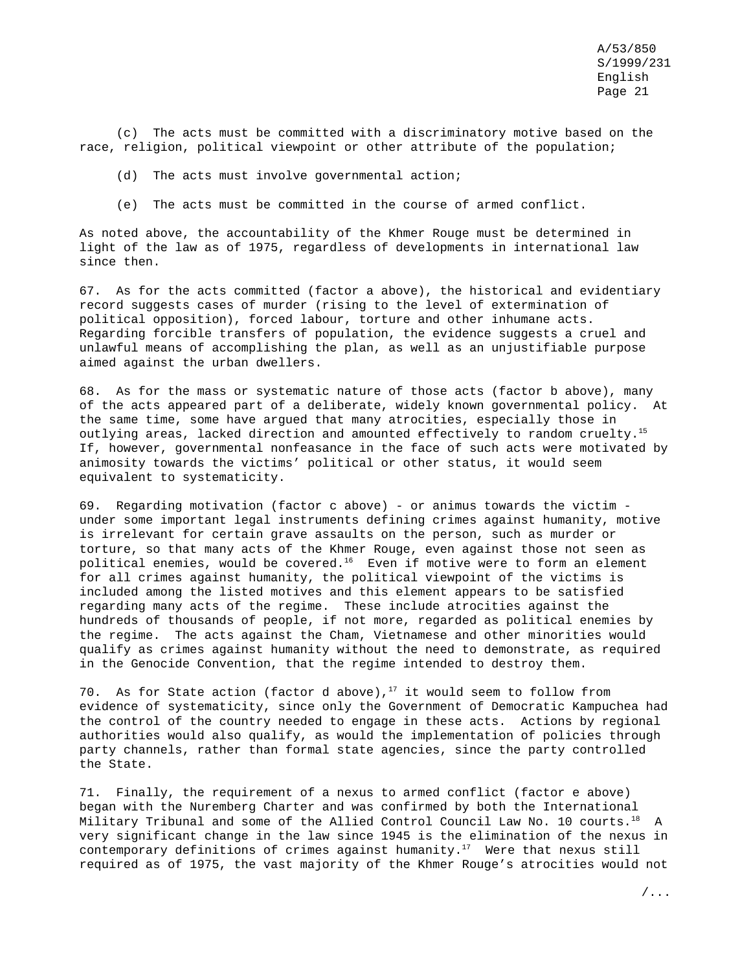(c) The acts must be committed with a discriminatory motive based on the race, religion, political viewpoint or other attribute of the population;

- (d) The acts must involve governmental action;
- (e) The acts must be committed in the course of armed conflict.

As noted above, the accountability of the Khmer Rouge must be determined in light of the law as of 1975, regardless of developments in international law since then.

67. As for the acts committed (factor a above), the historical and evidentiary record suggests cases of murder (rising to the level of extermination of political opposition), forced labour, torture and other inhumane acts. Regarding forcible transfers of population, the evidence suggests a cruel and unlawful means of accomplishing the plan, as well as an unjustifiable purpose aimed against the urban dwellers.

68. As for the mass or systematic nature of those acts (factor b above), many of the acts appeared part of a deliberate, widely known governmental policy. At the same time, some have argued that many atrocities, especially those in outlying areas, lacked direction and amounted effectively to random cruelty.15 If, however, governmental nonfeasance in the face of such acts were motivated by animosity towards the victims' political or other status, it would seem equivalent to systematicity.

69. Regarding motivation (factor c above) - or animus towards the victim under some important legal instruments defining crimes against humanity, motive is irrelevant for certain grave assaults on the person, such as murder or torture, so that many acts of the Khmer Rouge, even against those not seen as political enemies, would be covered.<sup>16</sup> Even if motive were to form an element for all crimes against humanity, the political viewpoint of the victims is included among the listed motives and this element appears to be satisfied regarding many acts of the regime. These include atrocities against the hundreds of thousands of people, if not more, regarded as political enemies by the regime. The acts against the Cham, Vietnamese and other minorities would qualify as crimes against humanity without the need to demonstrate, as required in the Genocide Convention, that the regime intended to destroy them.

70. As for State action (factor d above), $17$  it would seem to follow from evidence of systematicity, since only the Government of Democratic Kampuchea had the control of the country needed to engage in these acts. Actions by regional authorities would also qualify, as would the implementation of policies through party channels, rather than formal state agencies, since the party controlled the State.

71. Finally, the requirement of a nexus to armed conflict (factor e above) began with the Nuremberg Charter and was confirmed by both the International Military Tribunal and some of the Allied Control Council Law No. 10 courts.<sup>18</sup> A very significant change in the law since 1945 is the elimination of the nexus in contemporary definitions of crimes against humanity.<sup>17</sup> Were that nexus still required as of 1975, the vast majority of the Khmer Rouge's atrocities would not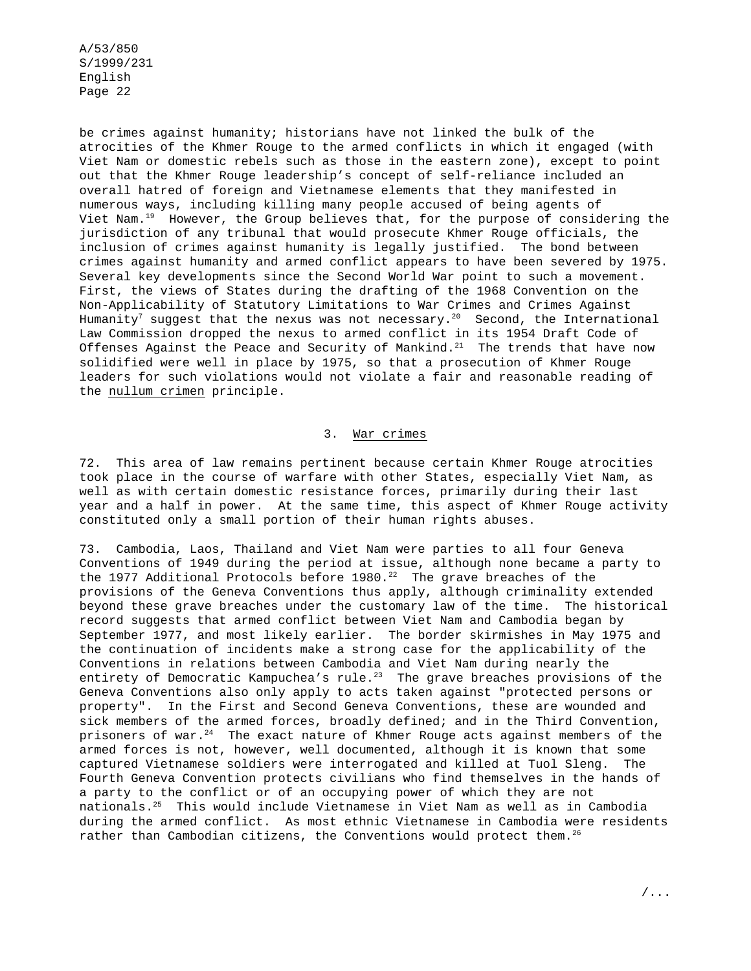be crimes against humanity; historians have not linked the bulk of the atrocities of the Khmer Rouge to the armed conflicts in which it engaged (with Viet Nam or domestic rebels such as those in the eastern zone), except to point out that the Khmer Rouge leadership's concept of self-reliance included an overall hatred of foreign and Vietnamese elements that they manifested in numerous ways, including killing many people accused of being agents of Viet Nam.<sup>19</sup> However, the Group believes that, for the purpose of considering the jurisdiction of any tribunal that would prosecute Khmer Rouge officials, the inclusion of crimes against humanity is legally justified. The bond between crimes against humanity and armed conflict appears to have been severed by 1975. Several key developments since the Second World War point to such a movement. First, the views of States during the drafting of the 1968 Convention on the Non-Applicability of Statutory Limitations to War Crimes and Crimes Against Humanity<sup>7</sup> suggest that the nexus was not necessary.<sup>20</sup> Second, the International Law Commission dropped the nexus to armed conflict in its 1954 Draft Code of Offenses Against the Peace and Security of Mankind. $21$  The trends that have now solidified were well in place by 1975, so that a prosecution of Khmer Rouge leaders for such violations would not violate a fair and reasonable reading of the nullum crimen principle.

### 3. War crimes

72. This area of law remains pertinent because certain Khmer Rouge atrocities took place in the course of warfare with other States, especially Viet Nam, as well as with certain domestic resistance forces, primarily during their last year and a half in power. At the same time, this aspect of Khmer Rouge activity constituted only a small portion of their human rights abuses.

73. Cambodia, Laos, Thailand and Viet Nam were parties to all four Geneva Conventions of 1949 during the period at issue, although none became a party to the 1977 Additional Protocols before 1980.<sup>22</sup> The grave breaches of the provisions of the Geneva Conventions thus apply, although criminality extended beyond these grave breaches under the customary law of the time. The historical record suggests that armed conflict between Viet Nam and Cambodia began by September 1977, and most likely earlier. The border skirmishes in May 1975 and the continuation of incidents make a strong case for the applicability of the Conventions in relations between Cambodia and Viet Nam during nearly the entirety of Democratic Kampuchea's rule.<sup>23</sup> The grave breaches provisions of the Geneva Conventions also only apply to acts taken against "protected persons or property". In the First and Second Geneva Conventions, these are wounded and sick members of the armed forces, broadly defined; and in the Third Convention, prisoners of war. $24$  The exact nature of Khmer Rouge acts against members of the armed forces is not, however, well documented, although it is known that some captured Vietnamese soldiers were interrogated and killed at Tuol Sleng. The Fourth Geneva Convention protects civilians who find themselves in the hands of a party to the conflict or of an occupying power of which they are not nationals.25 This would include Vietnamese in Viet Nam as well as in Cambodia during the armed conflict. As most ethnic Vietnamese in Cambodia were residents rather than Cambodian citizens, the Conventions would protect them.<sup>26</sup>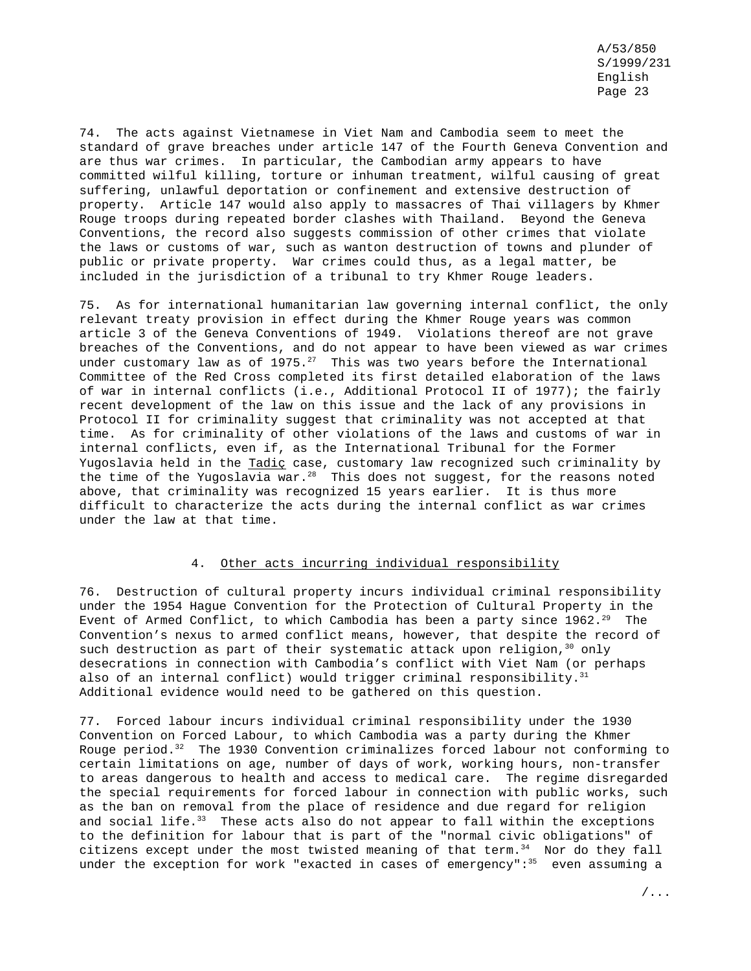74. The acts against Vietnamese in Viet Nam and Cambodia seem to meet the standard of grave breaches under article 147 of the Fourth Geneva Convention and are thus war crimes. In particular, the Cambodian army appears to have committed wilful killing, torture or inhuman treatment, wilful causing of great suffering, unlawful deportation or confinement and extensive destruction of property. Article 147 would also apply to massacres of Thai villagers by Khmer Rouge troops during repeated border clashes with Thailand. Beyond the Geneva Conventions, the record also suggests commission of other crimes that violate the laws or customs of war, such as wanton destruction of towns and plunder of public or private property. War crimes could thus, as a legal matter, be included in the jurisdiction of a tribunal to try Khmer Rouge leaders.

75. As for international humanitarian law governing internal conflict, the only relevant treaty provision in effect during the Khmer Rouge years was common article 3 of the Geneva Conventions of 1949. Violations thereof are not grave breaches of the Conventions, and do not appear to have been viewed as war crimes under customary law as of  $1975.^{27}$  This was two years before the International Committee of the Red Cross completed its first detailed elaboration of the laws of war in internal conflicts (i.e., Additional Protocol II of 1977); the fairly recent development of the law on this issue and the lack of any provisions in Protocol II for criminality suggest that criminality was not accepted at that time. As for criminality of other violations of the laws and customs of war in internal conflicts, even if, as the International Tribunal for the Former Yugoslavia held in the Tadic case, customary law recognized such criminality by the time of the Yugoslavia war. $^{28}$  This does not suggest, for the reasons noted above, that criminality was recognized 15 years earlier. It is thus more difficult to characterize the acts during the internal conflict as war crimes under the law at that time.

### 4. Other acts incurring individual responsibility

76. Destruction of cultural property incurs individual criminal responsibility under the 1954 Hague Convention for the Protection of Cultural Property in the Event of Armed Conflict, to which Cambodia has been a party since  $1962.^{29}$  The Convention's nexus to armed conflict means, however, that despite the record of such destruction as part of their systematic attack upon religion,  $30$  only desecrations in connection with Cambodia's conflict with Viet Nam (or perhaps also of an internal conflict) would trigger criminal responsibility.<sup>31</sup> Additional evidence would need to be gathered on this question.

77. Forced labour incurs individual criminal responsibility under the 1930 Convention on Forced Labour, to which Cambodia was a party during the Khmer Rouge period.<sup>32</sup> The 1930 Convention criminalizes forced labour not conforming to certain limitations on age, number of days of work, working hours, non-transfer to areas dangerous to health and access to medical care. The regime disregarded the special requirements for forced labour in connection with public works, such as the ban on removal from the place of residence and due regard for religion and social life.<sup>33</sup> These acts also do not appear to fall within the exceptions to the definition for labour that is part of the "normal civic obligations" of citizens except under the most twisted meaning of that term.<sup>34</sup> Nor do they fall under the exception for work "exacted in cases of emergency": $35$  even assuming a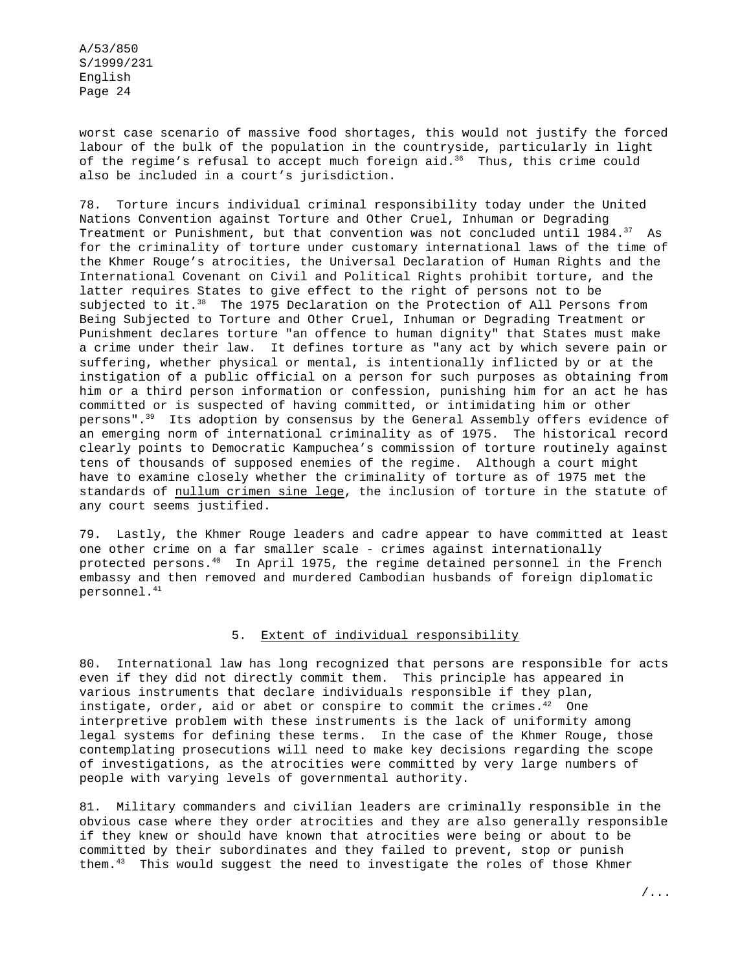worst case scenario of massive food shortages, this would not justify the forced labour of the bulk of the population in the countryside, particularly in light of the regime's refusal to accept much foreign aid.<sup>36</sup> Thus, this crime could also be included in a court's jurisdiction.

78. Torture incurs individual criminal responsibility today under the United Nations Convention against Torture and Other Cruel, Inhuman or Degrading Treatment or Punishment, but that convention was not concluded until  $1984.^{37}$  As for the criminality of torture under customary international laws of the time of the Khmer Rouge's atrocities, the Universal Declaration of Human Rights and the International Covenant on Civil and Political Rights prohibit torture, and the latter requires States to give effect to the right of persons not to be subjected to it.<sup>38</sup> The 1975 Declaration on the Protection of All Persons from Being Subjected to Torture and Other Cruel, Inhuman or Degrading Treatment or Punishment declares torture "an offence to human dignity" that States must make a crime under their law. It defines torture as "any act by which severe pain or suffering, whether physical or mental, is intentionally inflicted by or at the instigation of a public official on a person for such purposes as obtaining from him or a third person information or confession, punishing him for an act he has committed or is suspected of having committed, or intimidating him or other persons".39 Its adoption by consensus by the General Assembly offers evidence of an emerging norm of international criminality as of 1975. The historical record clearly points to Democratic Kampuchea's commission of torture routinely against tens of thousands of supposed enemies of the regime. Although a court might have to examine closely whether the criminality of torture as of 1975 met the standards of nullum crimen sine lege, the inclusion of torture in the statute of any court seems justified.

79. Lastly, the Khmer Rouge leaders and cadre appear to have committed at least one other crime on a far smaller scale - crimes against internationally protected persons.<sup>40</sup> In April 1975, the regime detained personnel in the French embassy and then removed and murdered Cambodian husbands of foreign diplomatic personnel.41

# 5. Extent of individual responsibility

80. International law has long recognized that persons are responsible for acts even if they did not directly commit them. This principle has appeared in various instruments that declare individuals responsible if they plan, instigate, order, aid or abet or conspire to commit the crimes. $42$  One interpretive problem with these instruments is the lack of uniformity among legal systems for defining these terms. In the case of the Khmer Rouge, those contemplating prosecutions will need to make key decisions regarding the scope of investigations, as the atrocities were committed by very large numbers of people with varying levels of governmental authority.

81. Military commanders and civilian leaders are criminally responsible in the obvious case where they order atrocities and they are also generally responsible if they knew or should have known that atrocities were being or about to be committed by their subordinates and they failed to prevent, stop or punish them.<sup>43</sup> This would suggest the need to investigate the roles of those Khmer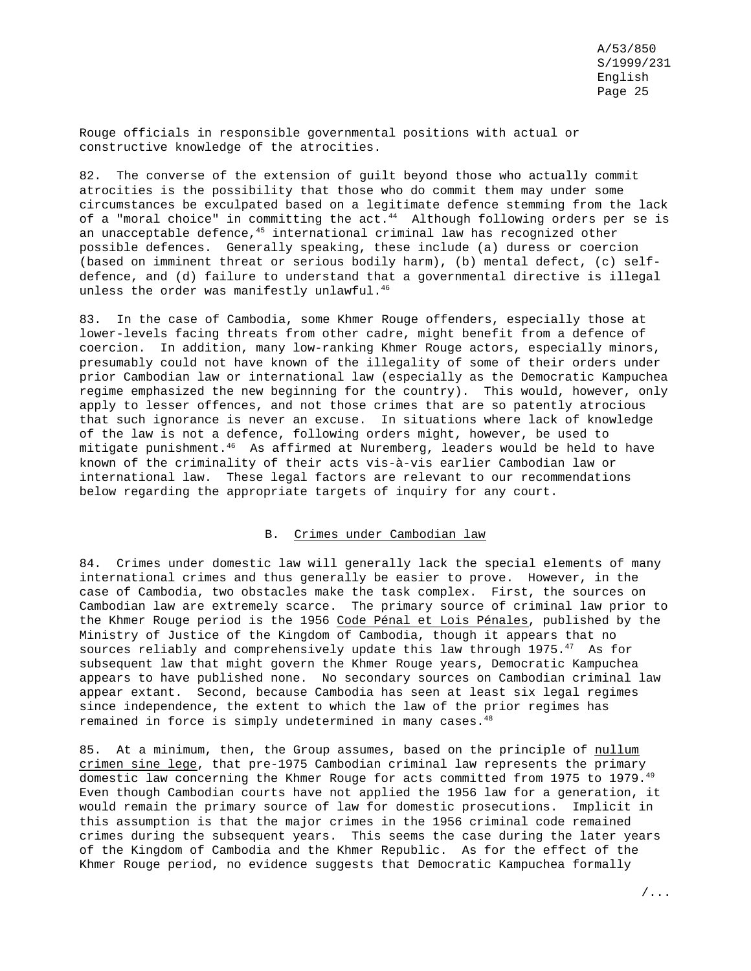Rouge officials in responsible governmental positions with actual or constructive knowledge of the atrocities.

82. The converse of the extension of guilt beyond those who actually commit atrocities is the possibility that those who do commit them may under some circumstances be exculpated based on a legitimate defence stemming from the lack of a "moral choice" in committing the act. $44$  Although following orders per se is an unacceptable defence,<sup>45</sup> international criminal law has recognized other possible defences. Generally speaking, these include (a) duress or coercion (based on imminent threat or serious bodily harm), (b) mental defect, (c) selfdefence, and (d) failure to understand that a governmental directive is illegal unless the order was manifestly unlawful.<sup>46</sup>

83. In the case of Cambodia, some Khmer Rouge offenders, especially those at lower-levels facing threats from other cadre, might benefit from a defence of coercion. In addition, many low-ranking Khmer Rouge actors, especially minors, presumably could not have known of the illegality of some of their orders under prior Cambodian law or international law (especially as the Democratic Kampuchea regime emphasized the new beginning for the country). This would, however, only apply to lesser offences, and not those crimes that are so patently atrocious that such ignorance is never an excuse. In situations where lack of knowledge of the law is not a defence, following orders might, however, be used to mitigate punishment.46 As affirmed at Nuremberg, leaders would be held to have known of the criminality of their acts vis-à-vis earlier Cambodian law or international law. These legal factors are relevant to our recommendations below regarding the appropriate targets of inquiry for any court.

#### B. Crimes under Cambodian law

84. Crimes under domestic law will generally lack the special elements of many international crimes and thus generally be easier to prove. However, in the case of Cambodia, two obstacles make the task complex. First, the sources on Cambodian law are extremely scarce. The primary source of criminal law prior to the Khmer Rouge period is the 1956 Code Pénal et Lois Pénales, published by the Ministry of Justice of the Kingdom of Cambodia, though it appears that no sources reliably and comprehensively update this law through 1975.<sup>47</sup> As for subsequent law that might govern the Khmer Rouge years, Democratic Kampuchea appears to have published none. No secondary sources on Cambodian criminal law appear extant. Second, because Cambodia has seen at least six legal regimes since independence, the extent to which the law of the prior regimes has remained in force is simply undetermined in many cases.<sup>48</sup>

85. At a minimum, then, the Group assumes, based on the principle of nullum crimen sine lege, that pre-1975 Cambodian criminal law represents the primary domestic law concerning the Khmer Rouge for acts committed from 1975 to 1979.<sup>49</sup> Even though Cambodian courts have not applied the 1956 law for a generation, it would remain the primary source of law for domestic prosecutions. Implicit in this assumption is that the major crimes in the 1956 criminal code remained crimes during the subsequent years. This seems the case during the later years of the Kingdom of Cambodia and the Khmer Republic. As for the effect of the Khmer Rouge period, no evidence suggests that Democratic Kampuchea formally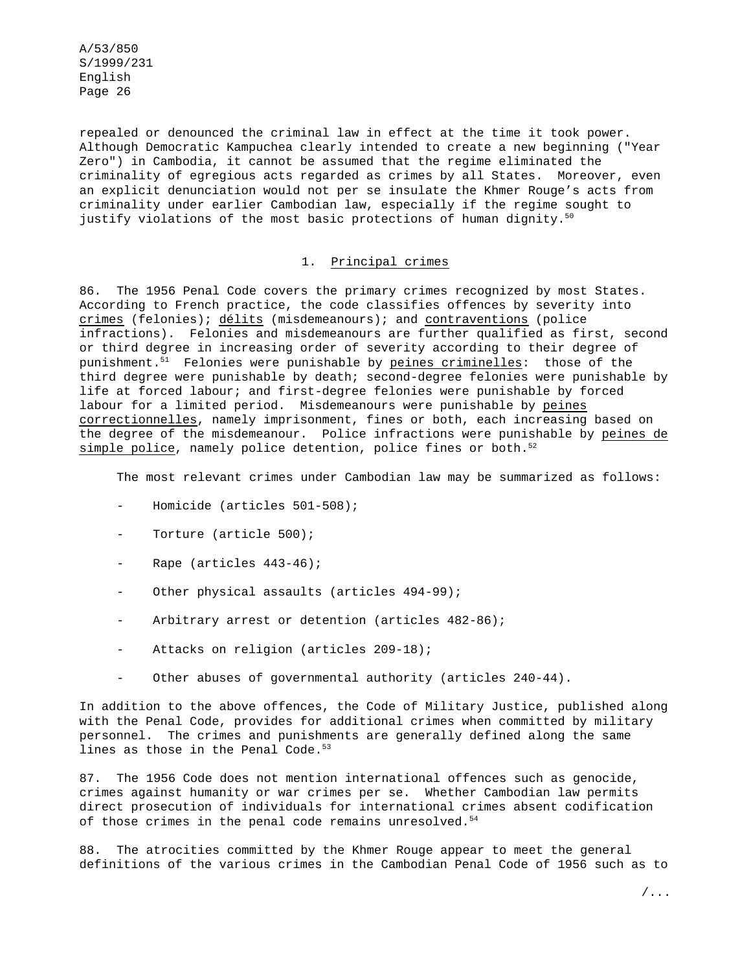repealed or denounced the criminal law in effect at the time it took power. Although Democratic Kampuchea clearly intended to create a new beginning ("Year Zero") in Cambodia, it cannot be assumed that the regime eliminated the criminality of egregious acts regarded as crimes by all States. Moreover, even an explicit denunciation would not per se insulate the Khmer Rouge's acts from criminality under earlier Cambodian law, especially if the regime sought to justify violations of the most basic protections of human dignity. $50$ 

# 1. Principal crimes

86. The 1956 Penal Code covers the primary crimes recognized by most States. According to French practice, the code classifies offences by severity into crimes (felonies); délits (misdemeanours); and contraventions (police infractions). Felonies and misdemeanours are further qualified as first, second or third degree in increasing order of severity according to their degree of punishment.<sup>51</sup> Felonies were punishable by peines criminelles: those of the third degree were punishable by death; second-degree felonies were punishable by life at forced labour; and first-degree felonies were punishable by forced labour for a limited period. Misdemeanours were punishable by peines correctionnelles, namely imprisonment, fines or both, each increasing based on the degree of the misdemeanour. Police infractions were punishable by peines de simple police, namely police detention, police fines or both.<sup>52</sup>

The most relevant crimes under Cambodian law may be summarized as follows:

- Homicide (articles 501-508);
- Torture (article 500);
- Rape (articles 443-46);
- Other physical assaults (articles 494-99);
- Arbitrary arrest or detention (articles 482-86);
- Attacks on religion (articles 209-18);
- Other abuses of governmental authority (articles 240-44).

In addition to the above offences, the Code of Military Justice, published along with the Penal Code, provides for additional crimes when committed by military personnel. The crimes and punishments are generally defined along the same lines as those in the Penal Code. $53$ 

87. The 1956 Code does not mention international offences such as genocide, crimes against humanity or war crimes per se. Whether Cambodian law permits direct prosecution of individuals for international crimes absent codification of those crimes in the penal code remains unresolved.<sup>54</sup>

88. The atrocities committed by the Khmer Rouge appear to meet the general definitions of the various crimes in the Cambodian Penal Code of 1956 such as to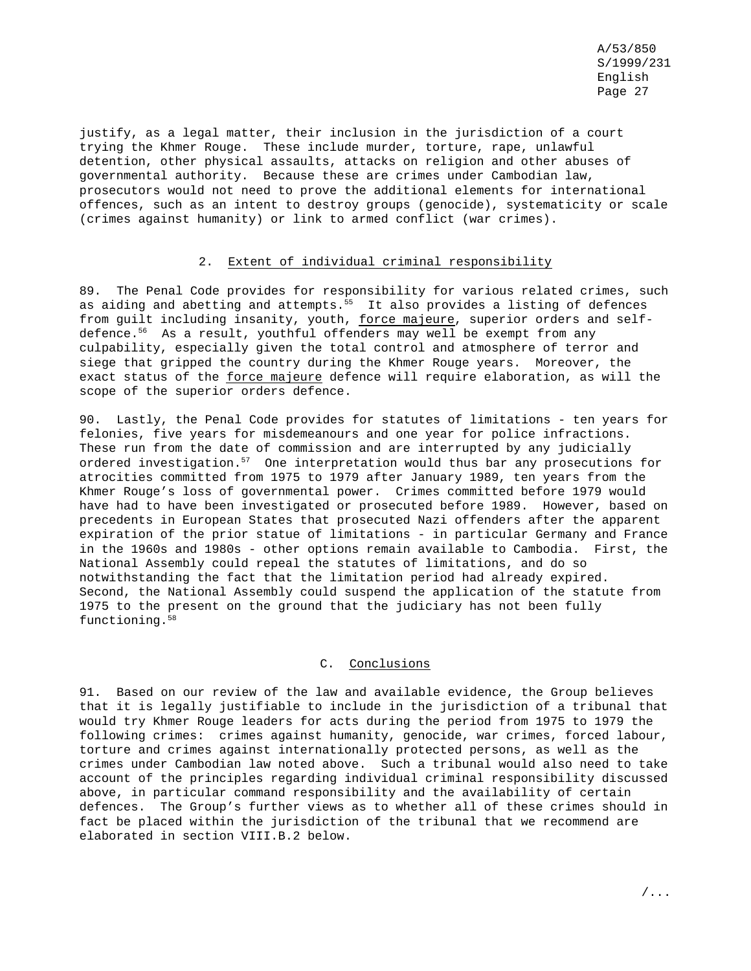justify, as a legal matter, their inclusion in the jurisdiction of a court trying the Khmer Rouge. These include murder, torture, rape, unlawful detention, other physical assaults, attacks on religion and other abuses of governmental authority. Because these are crimes under Cambodian law, prosecutors would not need to prove the additional elements for international offences, such as an intent to destroy groups (genocide), systematicity or scale (crimes against humanity) or link to armed conflict (war crimes).

## 2. Extent of individual criminal responsibility

89. The Penal Code provides for responsibility for various related crimes, such as aiding and abetting and attempts.<sup>55</sup> It also provides a listing of defences from guilt including insanity, youth, force majeure, superior orders and selfdefence.<sup>56</sup> As a result, youthful offenders may well be exempt from any culpability, especially given the total control and atmosphere of terror and siege that gripped the country during the Khmer Rouge years. Moreover, the exact status of the force majeure defence will require elaboration, as will the scope of the superior orders defence.

90. Lastly, the Penal Code provides for statutes of limitations - ten years for felonies, five years for misdemeanours and one year for police infractions. These run from the date of commission and are interrupted by any judicially ordered investigation.<sup>57</sup> One interpretation would thus bar any prosecutions for atrocities committed from 1975 to 1979 after January 1989, ten years from the Khmer Rouge's loss of governmental power. Crimes committed before 1979 would have had to have been investigated or prosecuted before 1989. However, based on precedents in European States that prosecuted Nazi offenders after the apparent expiration of the prior statue of limitations - in particular Germany and France in the 1960s and 1980s - other options remain available to Cambodia. First, the National Assembly could repeal the statutes of limitations, and do so notwithstanding the fact that the limitation period had already expired. Second, the National Assembly could suspend the application of the statute from 1975 to the present on the ground that the judiciary has not been fully functioning.<sup>58</sup>

#### C. Conclusions

91. Based on our review of the law and available evidence, the Group believes that it is legally justifiable to include in the jurisdiction of a tribunal that would try Khmer Rouge leaders for acts during the period from 1975 to 1979 the following crimes: crimes against humanity, genocide, war crimes, forced labour, torture and crimes against internationally protected persons, as well as the crimes under Cambodian law noted above. Such a tribunal would also need to take account of the principles regarding individual criminal responsibility discussed above, in particular command responsibility and the availability of certain defences. The Group's further views as to whether all of these crimes should in fact be placed within the jurisdiction of the tribunal that we recommend are elaborated in section VIII.B.2 below.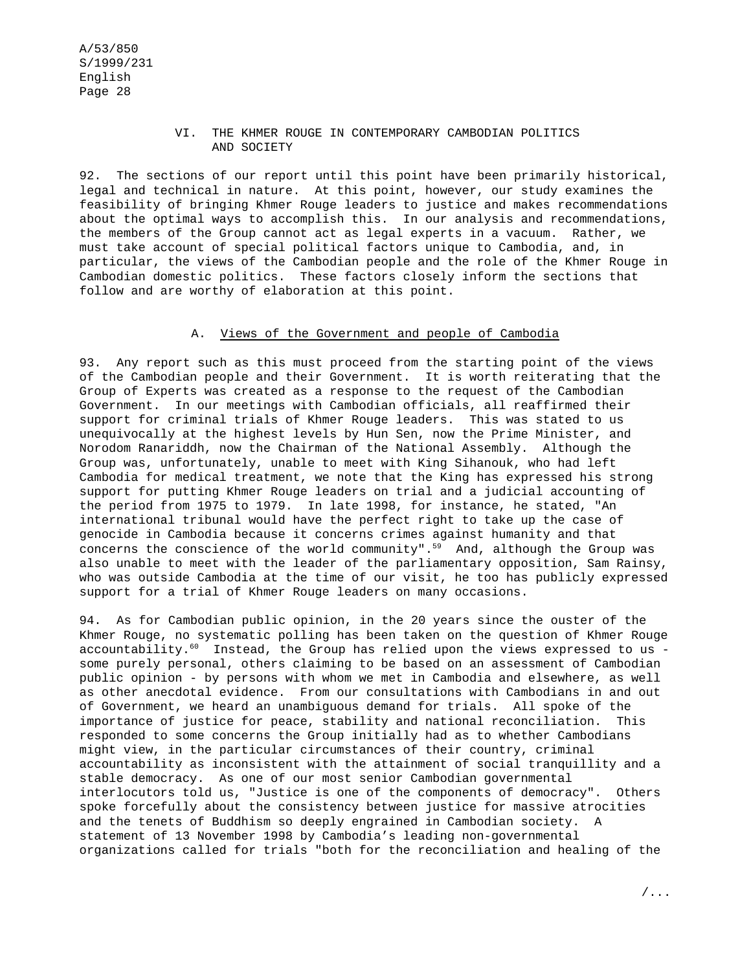### VI. THE KHMER ROUGE IN CONTEMPORARY CAMBODIAN POLITICS AND SOCIETY

92. The sections of our report until this point have been primarily historical, legal and technical in nature. At this point, however, our study examines the feasibility of bringing Khmer Rouge leaders to justice and makes recommendations about the optimal ways to accomplish this. In our analysis and recommendations, the members of the Group cannot act as legal experts in a vacuum. Rather, we must take account of special political factors unique to Cambodia, and, in particular, the views of the Cambodian people and the role of the Khmer Rouge in Cambodian domestic politics. These factors closely inform the sections that follow and are worthy of elaboration at this point.

### A. Views of the Government and people of Cambodia

93. Any report such as this must proceed from the starting point of the views of the Cambodian people and their Government. It is worth reiterating that the Group of Experts was created as a response to the request of the Cambodian Government. In our meetings with Cambodian officials, all reaffirmed their support for criminal trials of Khmer Rouge leaders. This was stated to us unequivocally at the highest levels by Hun Sen, now the Prime Minister, and Norodom Ranariddh, now the Chairman of the National Assembly. Although the Group was, unfortunately, unable to meet with King Sihanouk, who had left Cambodia for medical treatment, we note that the King has expressed his strong support for putting Khmer Rouge leaders on trial and a judicial accounting of the period from 1975 to 1979. In late 1998, for instance, he stated, "An international tribunal would have the perfect right to take up the case of genocide in Cambodia because it concerns crimes against humanity and that concerns the conscience of the world community".<sup>59</sup> And, although the Group was also unable to meet with the leader of the parliamentary opposition, Sam Rainsy, who was outside Cambodia at the time of our visit, he too has publicly expressed support for a trial of Khmer Rouge leaders on many occasions.

94. As for Cambodian public opinion, in the 20 years since the ouster of the Khmer Rouge, no systematic polling has been taken on the question of Khmer Rouge accountability.<sup>60</sup> Instead, the Group has relied upon the views expressed to us some purely personal, others claiming to be based on an assessment of Cambodian public opinion - by persons with whom we met in Cambodia and elsewhere, as well as other anecdotal evidence. From our consultations with Cambodians in and out of Government, we heard an unambiguous demand for trials. All spoke of the importance of justice for peace, stability and national reconciliation. This responded to some concerns the Group initially had as to whether Cambodians might view, in the particular circumstances of their country, criminal accountability as inconsistent with the attainment of social tranquillity and a stable democracy. As one of our most senior Cambodian governmental interlocutors told us, "Justice is one of the components of democracy". Others spoke forcefully about the consistency between justice for massive atrocities and the tenets of Buddhism so deeply engrained in Cambodian society. A statement of 13 November 1998 by Cambodia's leading non-governmental organizations called for trials "both for the reconciliation and healing of the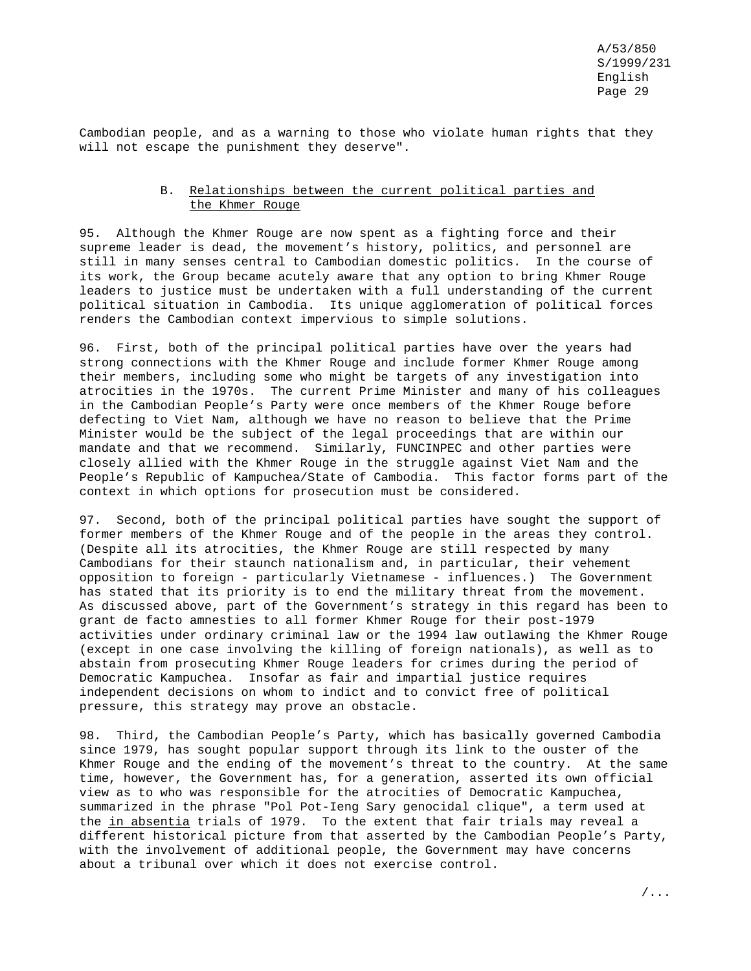Cambodian people, and as a warning to those who violate human rights that they will not escape the punishment they deserve".

# B. Relationships between the current political parties and the Khmer Rouge

95. Although the Khmer Rouge are now spent as a fighting force and their supreme leader is dead, the movement's history, politics, and personnel are still in many senses central to Cambodian domestic politics. In the course of its work, the Group became acutely aware that any option to bring Khmer Rouge leaders to justice must be undertaken with a full understanding of the current political situation in Cambodia. Its unique agglomeration of political forces renders the Cambodian context impervious to simple solutions.

96. First, both of the principal political parties have over the years had strong connections with the Khmer Rouge and include former Khmer Rouge among their members, including some who might be targets of any investigation into atrocities in the 1970s. The current Prime Minister and many of his colleagues in the Cambodian People's Party were once members of the Khmer Rouge before defecting to Viet Nam, although we have no reason to believe that the Prime Minister would be the subject of the legal proceedings that are within our mandate and that we recommend. Similarly, FUNCINPEC and other parties were closely allied with the Khmer Rouge in the struggle against Viet Nam and the People's Republic of Kampuchea/State of Cambodia. This factor forms part of the context in which options for prosecution must be considered.

97. Second, both of the principal political parties have sought the support of former members of the Khmer Rouge and of the people in the areas they control. (Despite all its atrocities, the Khmer Rouge are still respected by many Cambodians for their staunch nationalism and, in particular, their vehement opposition to foreign - particularly Vietnamese - influences.) The Government has stated that its priority is to end the military threat from the movement. As discussed above, part of the Government's strategy in this regard has been to grant de facto amnesties to all former Khmer Rouge for their post-1979 activities under ordinary criminal law or the 1994 law outlawing the Khmer Rouge (except in one case involving the killing of foreign nationals), as well as to abstain from prosecuting Khmer Rouge leaders for crimes during the period of Democratic Kampuchea. Insofar as fair and impartial justice requires independent decisions on whom to indict and to convict free of political pressure, this strategy may prove an obstacle.

98. Third, the Cambodian People's Party, which has basically governed Cambodia since 1979, has sought popular support through its link to the ouster of the Khmer Rouge and the ending of the movement's threat to the country. At the same time, however, the Government has, for a generation, asserted its own official view as to who was responsible for the atrocities of Democratic Kampuchea, summarized in the phrase "Pol Pot-Ieng Sary genocidal clique", a term used at the in absentia trials of 1979. To the extent that fair trials may reveal a different historical picture from that asserted by the Cambodian People's Party, with the involvement of additional people, the Government may have concerns about a tribunal over which it does not exercise control.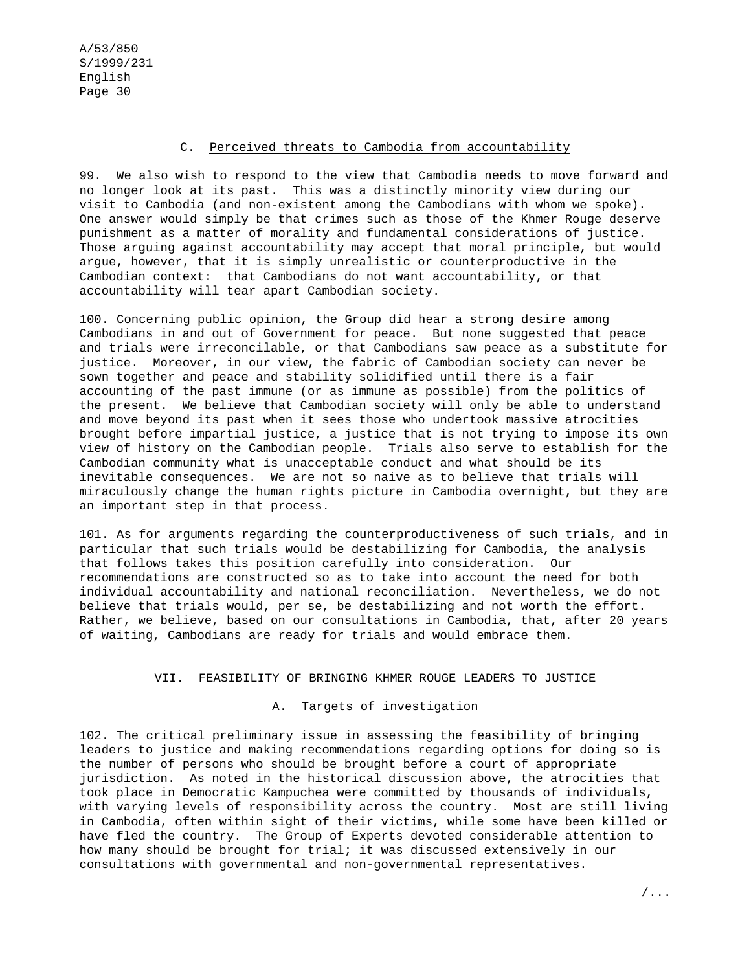#### C. Perceived threats to Cambodia from accountability

99. We also wish to respond to the view that Cambodia needs to move forward and no longer look at its past. This was a distinctly minority view during our visit to Cambodia (and non-existent among the Cambodians with whom we spoke). One answer would simply be that crimes such as those of the Khmer Rouge deserve punishment as a matter of morality and fundamental considerations of justice. Those arguing against accountability may accept that moral principle, but would argue, however, that it is simply unrealistic or counterproductive in the Cambodian context: that Cambodians do not want accountability, or that accountability will tear apart Cambodian society.

100. Concerning public opinion, the Group did hear a strong desire among Cambodians in and out of Government for peace. But none suggested that peace and trials were irreconcilable, or that Cambodians saw peace as a substitute for justice. Moreover, in our view, the fabric of Cambodian society can never be sown together and peace and stability solidified until there is a fair accounting of the past immune (or as immune as possible) from the politics of the present. We believe that Cambodian society will only be able to understand and move beyond its past when it sees those who undertook massive atrocities brought before impartial justice, a justice that is not trying to impose its own view of history on the Cambodian people. Trials also serve to establish for the Cambodian community what is unacceptable conduct and what should be its inevitable consequences. We are not so naive as to believe that trials will miraculously change the human rights picture in Cambodia overnight, but they are an important step in that process.

101. As for arguments regarding the counterproductiveness of such trials, and in particular that such trials would be destabilizing for Cambodia, the analysis that follows takes this position carefully into consideration. Our recommendations are constructed so as to take into account the need for both individual accountability and national reconciliation. Nevertheless, we do not believe that trials would, per se, be destabilizing and not worth the effort. Rather, we believe, based on our consultations in Cambodia, that, after 20 years of waiting, Cambodians are ready for trials and would embrace them.

#### VII. FEASIBILITY OF BRINGING KHMER ROUGE LEADERS TO JUSTICE

## A. Targets of investigation

102. The critical preliminary issue in assessing the feasibility of bringing leaders to justice and making recommendations regarding options for doing so is the number of persons who should be brought before a court of appropriate jurisdiction. As noted in the historical discussion above, the atrocities that took place in Democratic Kampuchea were committed by thousands of individuals, with varying levels of responsibility across the country. Most are still living in Cambodia, often within sight of their victims, while some have been killed or have fled the country. The Group of Experts devoted considerable attention to how many should be brought for trial; it was discussed extensively in our consultations with governmental and non-governmental representatives.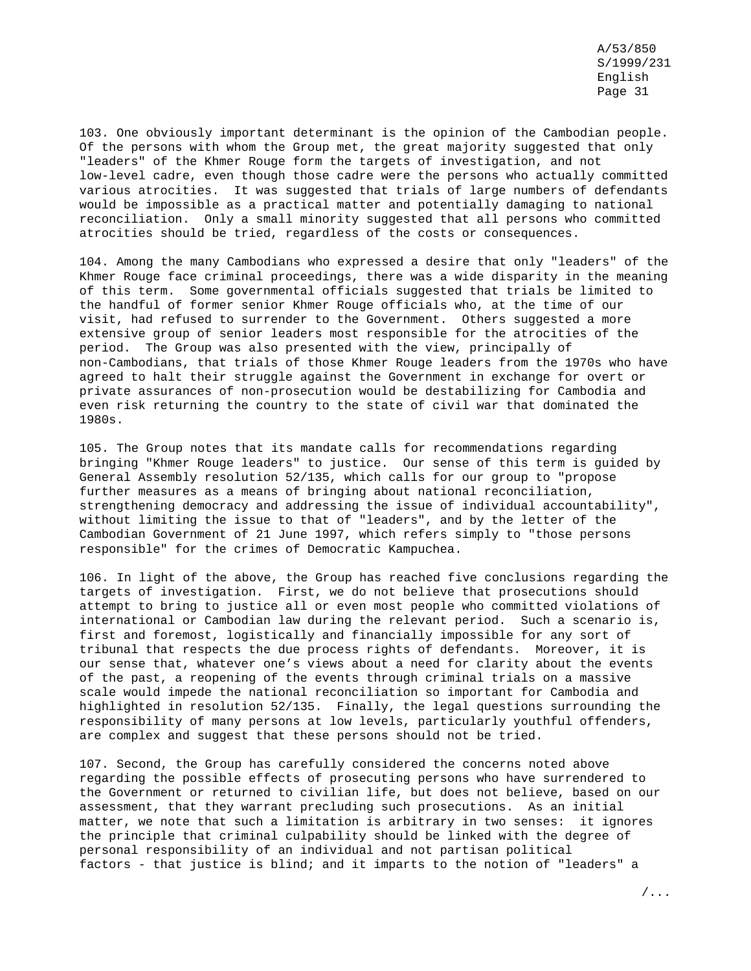103. One obviously important determinant is the opinion of the Cambodian people. Of the persons with whom the Group met, the great majority suggested that only "leaders" of the Khmer Rouge form the targets of investigation, and not low-level cadre, even though those cadre were the persons who actually committed various atrocities. It was suggested that trials of large numbers of defendants would be impossible as a practical matter and potentially damaging to national reconciliation. Only a small minority suggested that all persons who committed atrocities should be tried, regardless of the costs or consequences.

104. Among the many Cambodians who expressed a desire that only "leaders" of the Khmer Rouge face criminal proceedings, there was a wide disparity in the meaning of this term. Some governmental officials suggested that trials be limited to the handful of former senior Khmer Rouge officials who, at the time of our visit, had refused to surrender to the Government. Others suggested a more extensive group of senior leaders most responsible for the atrocities of the period. The Group was also presented with the view, principally of non-Cambodians, that trials of those Khmer Rouge leaders from the 1970s who have agreed to halt their struggle against the Government in exchange for overt or private assurances of non-prosecution would be destabilizing for Cambodia and even risk returning the country to the state of civil war that dominated the 1980s.

105. The Group notes that its mandate calls for recommendations regarding bringing "Khmer Rouge leaders" to justice. Our sense of this term is guided by General Assembly resolution 52/135, which calls for our group to "propose further measures as a means of bringing about national reconciliation, strengthening democracy and addressing the issue of individual accountability", without limiting the issue to that of "leaders", and by the letter of the Cambodian Government of 21 June 1997, which refers simply to "those persons responsible" for the crimes of Democratic Kampuchea.

106. In light of the above, the Group has reached five conclusions regarding the targets of investigation. First, we do not believe that prosecutions should attempt to bring to justice all or even most people who committed violations of international or Cambodian law during the relevant period. Such a scenario is, first and foremost, logistically and financially impossible for any sort of tribunal that respects the due process rights of defendants. Moreover, it is our sense that, whatever one's views about a need for clarity about the events of the past, a reopening of the events through criminal trials on a massive scale would impede the national reconciliation so important for Cambodia and highlighted in resolution 52/135. Finally, the legal questions surrounding the responsibility of many persons at low levels, particularly youthful offenders, are complex and suggest that these persons should not be tried.

107. Second, the Group has carefully considered the concerns noted above regarding the possible effects of prosecuting persons who have surrendered to the Government or returned to civilian life, but does not believe, based on our assessment, that they warrant precluding such prosecutions. As an initial matter, we note that such a limitation is arbitrary in two senses: it ignores the principle that criminal culpability should be linked with the degree of personal responsibility of an individual and not partisan political factors - that justice is blind; and it imparts to the notion of "leaders" a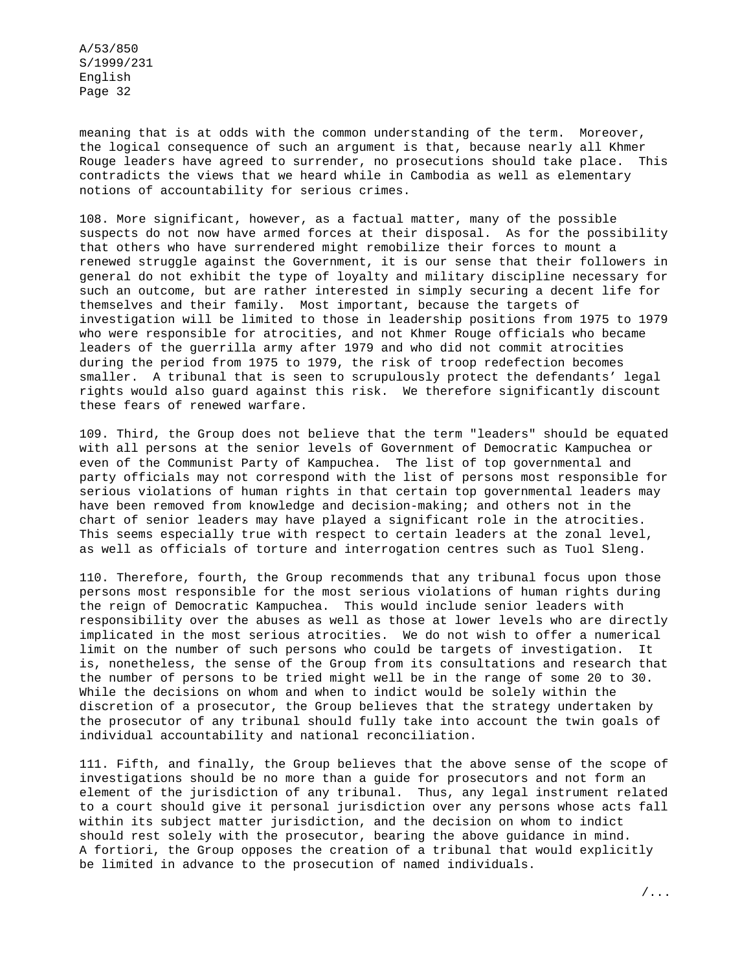meaning that is at odds with the common understanding of the term. Moreover, the logical consequence of such an argument is that, because nearly all Khmer Rouge leaders have agreed to surrender, no prosecutions should take place. This contradicts the views that we heard while in Cambodia as well as elementary notions of accountability for serious crimes.

108. More significant, however, as a factual matter, many of the possible suspects do not now have armed forces at their disposal. As for the possibility that others who have surrendered might remobilize their forces to mount a renewed struggle against the Government, it is our sense that their followers in general do not exhibit the type of loyalty and military discipline necessary for such an outcome, but are rather interested in simply securing a decent life for themselves and their family. Most important, because the targets of investigation will be limited to those in leadership positions from 1975 to 1979 who were responsible for atrocities, and not Khmer Rouge officials who became leaders of the guerrilla army after 1979 and who did not commit atrocities during the period from 1975 to 1979, the risk of troop redefection becomes smaller. A tribunal that is seen to scrupulously protect the defendants' legal rights would also guard against this risk. We therefore significantly discount these fears of renewed warfare.

109. Third, the Group does not believe that the term "leaders" should be equated with all persons at the senior levels of Government of Democratic Kampuchea or even of the Communist Party of Kampuchea. The list of top governmental and party officials may not correspond with the list of persons most responsible for serious violations of human rights in that certain top governmental leaders may have been removed from knowledge and decision-making; and others not in the chart of senior leaders may have played a significant role in the atrocities. This seems especially true with respect to certain leaders at the zonal level, as well as officials of torture and interrogation centres such as Tuol Sleng.

110. Therefore, fourth, the Group recommends that any tribunal focus upon those persons most responsible for the most serious violations of human rights during the reign of Democratic Kampuchea. This would include senior leaders with responsibility over the abuses as well as those at lower levels who are directly implicated in the most serious atrocities. We do not wish to offer a numerical limit on the number of such persons who could be targets of investigation. It is, nonetheless, the sense of the Group from its consultations and research that the number of persons to be tried might well be in the range of some 20 to 30. While the decisions on whom and when to indict would be solely within the discretion of a prosecutor, the Group believes that the strategy undertaken by the prosecutor of any tribunal should fully take into account the twin goals of individual accountability and national reconciliation.

111. Fifth, and finally, the Group believes that the above sense of the scope of investigations should be no more than a guide for prosecutors and not form an element of the jurisdiction of any tribunal. Thus, any legal instrument related to a court should give it personal jurisdiction over any persons whose acts fall within its subject matter jurisdiction, and the decision on whom to indict should rest solely with the prosecutor, bearing the above guidance in mind. A fortiori, the Group opposes the creation of a tribunal that would explicitly be limited in advance to the prosecution of named individuals.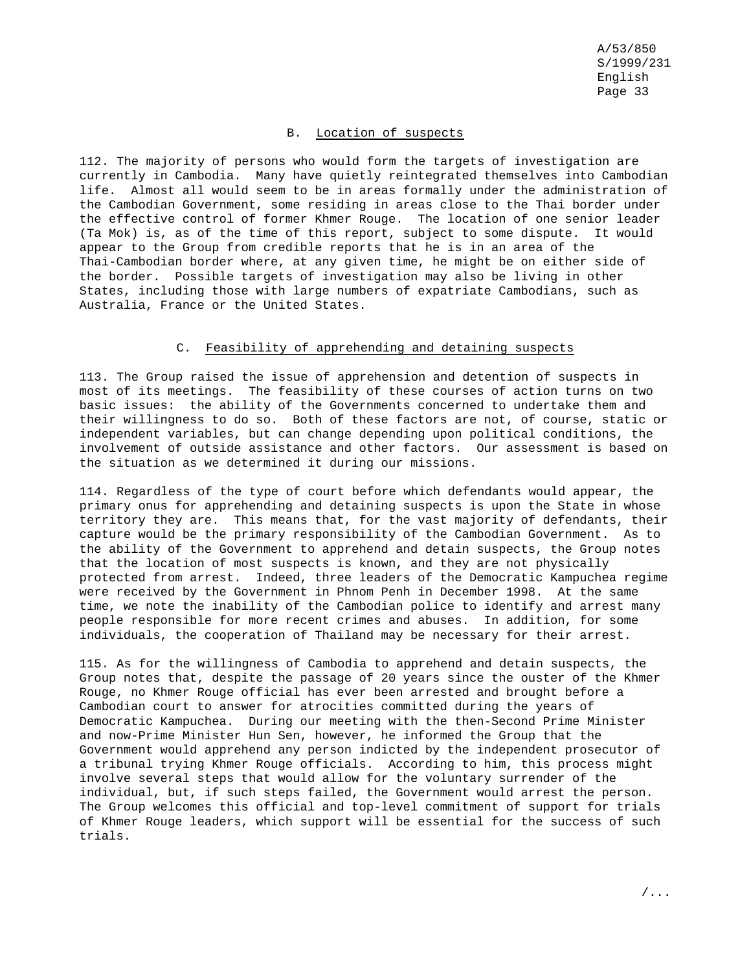### B. Location of suspects

112. The majority of persons who would form the targets of investigation are currently in Cambodia. Many have quietly reintegrated themselves into Cambodian life. Almost all would seem to be in areas formally under the administration of the Cambodian Government, some residing in areas close to the Thai border under the effective control of former Khmer Rouge. The location of one senior leader (Ta Mok) is, as of the time of this report, subject to some dispute. It would appear to the Group from credible reports that he is in an area of the Thai-Cambodian border where, at any given time, he might be on either side of the border. Possible targets of investigation may also be living in other States, including those with large numbers of expatriate Cambodians, such as Australia, France or the United States.

#### C. Feasibility of apprehending and detaining suspects

113. The Group raised the issue of apprehension and detention of suspects in most of its meetings. The feasibility of these courses of action turns on two basic issues: the ability of the Governments concerned to undertake them and their willingness to do so. Both of these factors are not, of course, static or independent variables, but can change depending upon political conditions, the involvement of outside assistance and other factors. Our assessment is based on the situation as we determined it during our missions.

114. Regardless of the type of court before which defendants would appear, the primary onus for apprehending and detaining suspects is upon the State in whose territory they are. This means that, for the vast majority of defendants, their capture would be the primary responsibility of the Cambodian Government. As to the ability of the Government to apprehend and detain suspects, the Group notes that the location of most suspects is known, and they are not physically protected from arrest. Indeed, three leaders of the Democratic Kampuchea regime were received by the Government in Phnom Penh in December 1998. At the same time, we note the inability of the Cambodian police to identify and arrest many people responsible for more recent crimes and abuses. In addition, for some individuals, the cooperation of Thailand may be necessary for their arrest.

115. As for the willingness of Cambodia to apprehend and detain suspects, the Group notes that, despite the passage of 20 years since the ouster of the Khmer Rouge, no Khmer Rouge official has ever been arrested and brought before a Cambodian court to answer for atrocities committed during the years of Democratic Kampuchea. During our meeting with the then-Second Prime Minister and now-Prime Minister Hun Sen, however, he informed the Group that the Government would apprehend any person indicted by the independent prosecutor of a tribunal trying Khmer Rouge officials. According to him, this process might involve several steps that would allow for the voluntary surrender of the individual, but, if such steps failed, the Government would arrest the person. The Group welcomes this official and top-level commitment of support for trials of Khmer Rouge leaders, which support will be essential for the success of such trials.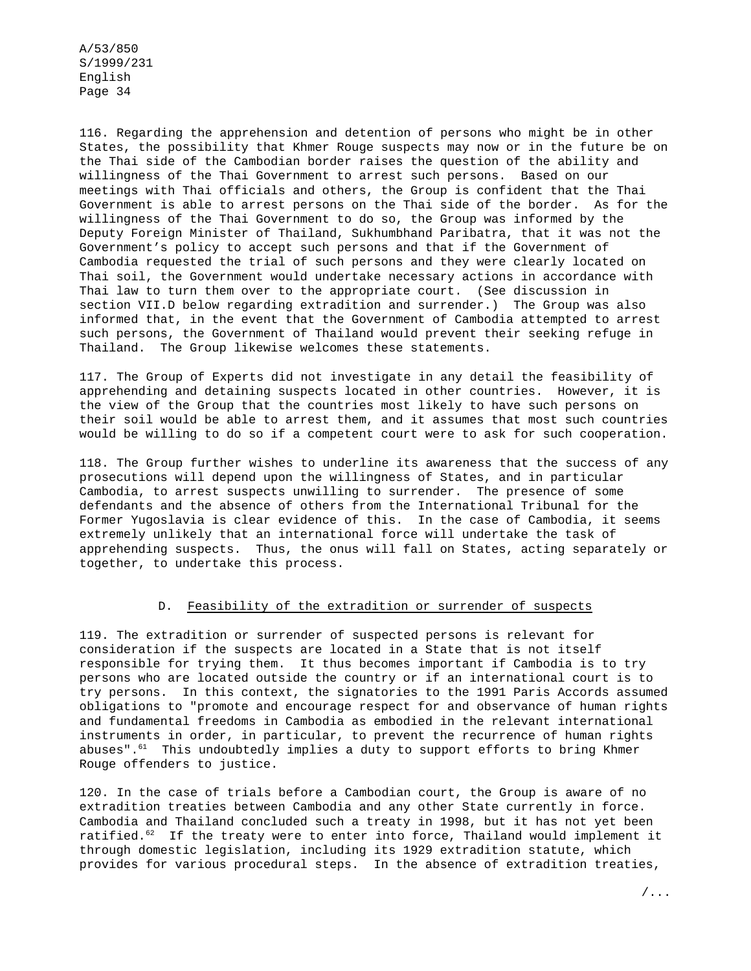116. Regarding the apprehension and detention of persons who might be in other States, the possibility that Khmer Rouge suspects may now or in the future be on the Thai side of the Cambodian border raises the question of the ability and willingness of the Thai Government to arrest such persons. Based on our meetings with Thai officials and others, the Group is confident that the Thai Government is able to arrest persons on the Thai side of the border. As for the willingness of the Thai Government to do so, the Group was informed by the Deputy Foreign Minister of Thailand, Sukhumbhand Paribatra, that it was not the Government's policy to accept such persons and that if the Government of Cambodia requested the trial of such persons and they were clearly located on Thai soil, the Government would undertake necessary actions in accordance with Thai law to turn them over to the appropriate court. (See discussion in section VII.D below regarding extradition and surrender.) The Group was also informed that, in the event that the Government of Cambodia attempted to arrest such persons, the Government of Thailand would prevent their seeking refuge in Thailand. The Group likewise welcomes these statements.

117. The Group of Experts did not investigate in any detail the feasibility of apprehending and detaining suspects located in other countries. However, it is the view of the Group that the countries most likely to have such persons on their soil would be able to arrest them, and it assumes that most such countries would be willing to do so if a competent court were to ask for such cooperation.

118. The Group further wishes to underline its awareness that the success of any prosecutions will depend upon the willingness of States, and in particular Cambodia, to arrest suspects unwilling to surrender. The presence of some defendants and the absence of others from the International Tribunal for the Former Yugoslavia is clear evidence of this. In the case of Cambodia, it seems extremely unlikely that an international force will undertake the task of apprehending suspects. Thus, the onus will fall on States, acting separately or together, to undertake this process.

### D. Feasibility of the extradition or surrender of suspects

119. The extradition or surrender of suspected persons is relevant for consideration if the suspects are located in a State that is not itself responsible for trying them. It thus becomes important if Cambodia is to try persons who are located outside the country or if an international court is to try persons. In this context, the signatories to the 1991 Paris Accords assumed obligations to "promote and encourage respect for and observance of human rights and fundamental freedoms in Cambodia as embodied in the relevant international instruments in order, in particular, to prevent the recurrence of human rights abuses".<sup>61</sup> This undoubtedly implies a duty to support efforts to bring Khmer Rouge offenders to justice.

120. In the case of trials before a Cambodian court, the Group is aware of no extradition treaties between Cambodia and any other State currently in force. Cambodia and Thailand concluded such a treaty in 1998, but it has not yet been ratified.<sup>62</sup> If the treaty were to enter into force, Thailand would implement it through domestic legislation, including its 1929 extradition statute, which provides for various procedural steps. In the absence of extradition treaties,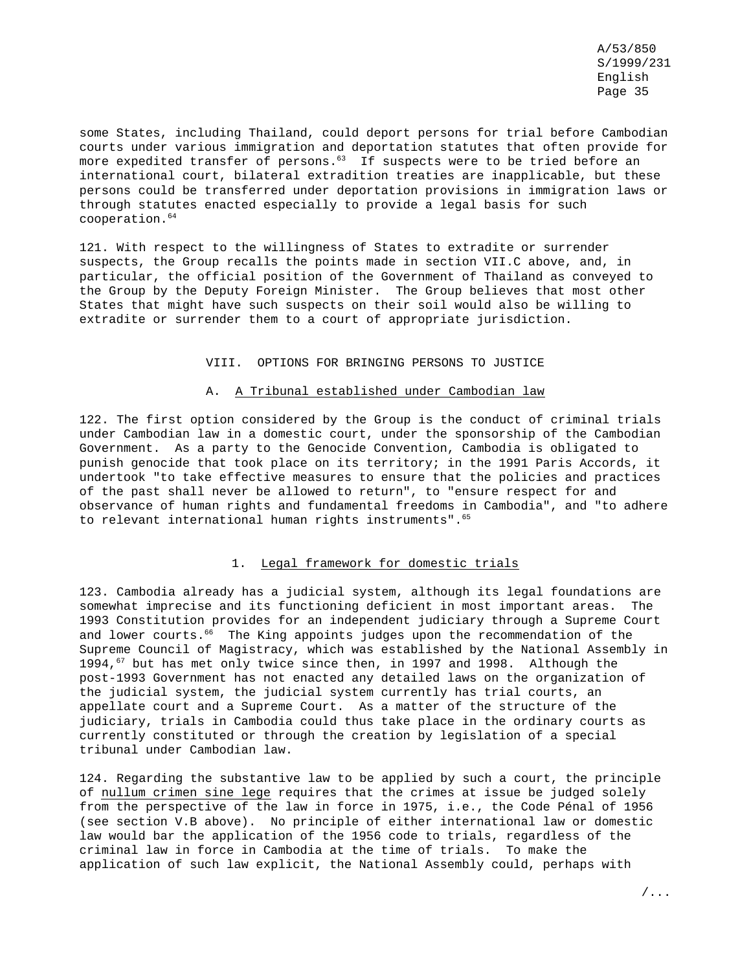some States, including Thailand, could deport persons for trial before Cambodian courts under various immigration and deportation statutes that often provide for more expedited transfer of persons.<sup>63</sup> If suspects were to be tried before an international court, bilateral extradition treaties are inapplicable, but these persons could be transferred under deportation provisions in immigration laws or through statutes enacted especially to provide a legal basis for such  $cooperation.<sup>64</sup>$ 

121. With respect to the willingness of States to extradite or surrender suspects, the Group recalls the points made in section VII.C above, and, in particular, the official position of the Government of Thailand as conveyed to the Group by the Deputy Foreign Minister. The Group believes that most other States that might have such suspects on their soil would also be willing to extradite or surrender them to a court of appropriate jurisdiction.

### VIII. OPTIONS FOR BRINGING PERSONS TO JUSTICE

### A. A Tribunal established under Cambodian law

122. The first option considered by the Group is the conduct of criminal trials under Cambodian law in a domestic court, under the sponsorship of the Cambodian Government. As a party to the Genocide Convention, Cambodia is obligated to punish genocide that took place on its territory; in the 1991 Paris Accords, it undertook "to take effective measures to ensure that the policies and practices of the past shall never be allowed to return", to "ensure respect for and observance of human rights and fundamental freedoms in Cambodia", and "to adhere to relevant international human rights instruments".<sup>65</sup>

### 1. Legal framework for domestic trials

123. Cambodia already has a judicial system, although its legal foundations are somewhat imprecise and its functioning deficient in most important areas. The 1993 Constitution provides for an independent judiciary through a Supreme Court and lower courts.<sup>66</sup> The King appoints judges upon the recommendation of the Supreme Council of Magistracy, which was established by the National Assembly in 1994,<sup>67</sup> but has met only twice since then, in 1997 and 1998. Although the post-1993 Government has not enacted any detailed laws on the organization of the judicial system, the judicial system currently has trial courts, an appellate court and a Supreme Court. As a matter of the structure of the judiciary, trials in Cambodia could thus take place in the ordinary courts as currently constituted or through the creation by legislation of a special tribunal under Cambodian law.

124. Regarding the substantive law to be applied by such a court, the principle of nullum crimen sine lege requires that the crimes at issue be judged solely from the perspective of the law in force in 1975, i.e., the Code Pénal of 1956 (see section V.B above). No principle of either international law or domestic law would bar the application of the 1956 code to trials, regardless of the criminal law in force in Cambodia at the time of trials. To make the application of such law explicit, the National Assembly could, perhaps with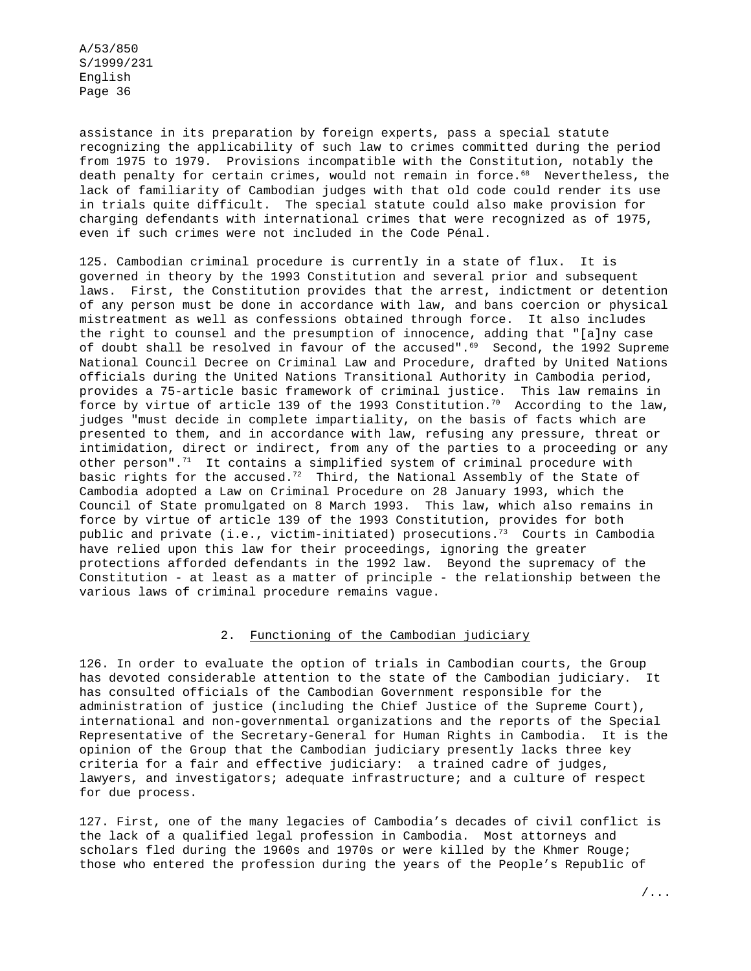assistance in its preparation by foreign experts, pass a special statute recognizing the applicability of such law to crimes committed during the period from 1975 to 1979. Provisions incompatible with the Constitution, notably the death penalty for certain crimes, would not remain in force.<sup>68</sup> Nevertheless, the lack of familiarity of Cambodian judges with that old code could render its use in trials quite difficult. The special statute could also make provision for charging defendants with international crimes that were recognized as of 1975, even if such crimes were not included in the Code Pénal.

125. Cambodian criminal procedure is currently in a state of flux. It is governed in theory by the 1993 Constitution and several prior and subsequent laws. First, the Constitution provides that the arrest, indictment or detention of any person must be done in accordance with law, and bans coercion or physical mistreatment as well as confessions obtained through force. It also includes the right to counsel and the presumption of innocence, adding that "[a]ny case of doubt shall be resolved in favour of the accused".<sup>69</sup> Second, the 1992 Supreme National Council Decree on Criminal Law and Procedure, drafted by United Nations officials during the United Nations Transitional Authority in Cambodia period, provides a 75-article basic framework of criminal justice. This law remains in force by virtue of article 139 of the 1993 Constitution.<sup>70</sup> According to the law, judges "must decide in complete impartiality, on the basis of facts which are presented to them, and in accordance with law, refusing any pressure, threat or intimidation, direct or indirect, from any of the parties to a proceeding or any other person".<sup>71</sup> It contains a simplified system of criminal procedure with basic rights for the accused.<sup>72</sup> Third, the National Assembly of the State of Cambodia adopted a Law on Criminal Procedure on 28 January 1993, which the Council of State promulgated on 8 March 1993. This law, which also remains in force by virtue of article 139 of the 1993 Constitution, provides for both public and private (i.e., victim-initiated) prosecutions.<sup>73</sup> Courts in Cambodia have relied upon this law for their proceedings, ignoring the greater protections afforded defendants in the 1992 law. Beyond the supremacy of the Constitution - at least as a matter of principle - the relationship between the various laws of criminal procedure remains vague.

### 2. Functioning of the Cambodian judiciary

126. In order to evaluate the option of trials in Cambodian courts, the Group has devoted considerable attention to the state of the Cambodian judiciary. It has consulted officials of the Cambodian Government responsible for the administration of justice (including the Chief Justice of the Supreme Court), international and non-governmental organizations and the reports of the Special Representative of the Secretary-General for Human Rights in Cambodia. It is the opinion of the Group that the Cambodian judiciary presently lacks three key criteria for a fair and effective judiciary: a trained cadre of judges, lawyers, and investigators; adequate infrastructure; and a culture of respect for due process.

127. First, one of the many legacies of Cambodia's decades of civil conflict is the lack of a qualified legal profession in Cambodia. Most attorneys and scholars fled during the 1960s and 1970s or were killed by the Khmer Rouge; those who entered the profession during the years of the People's Republic of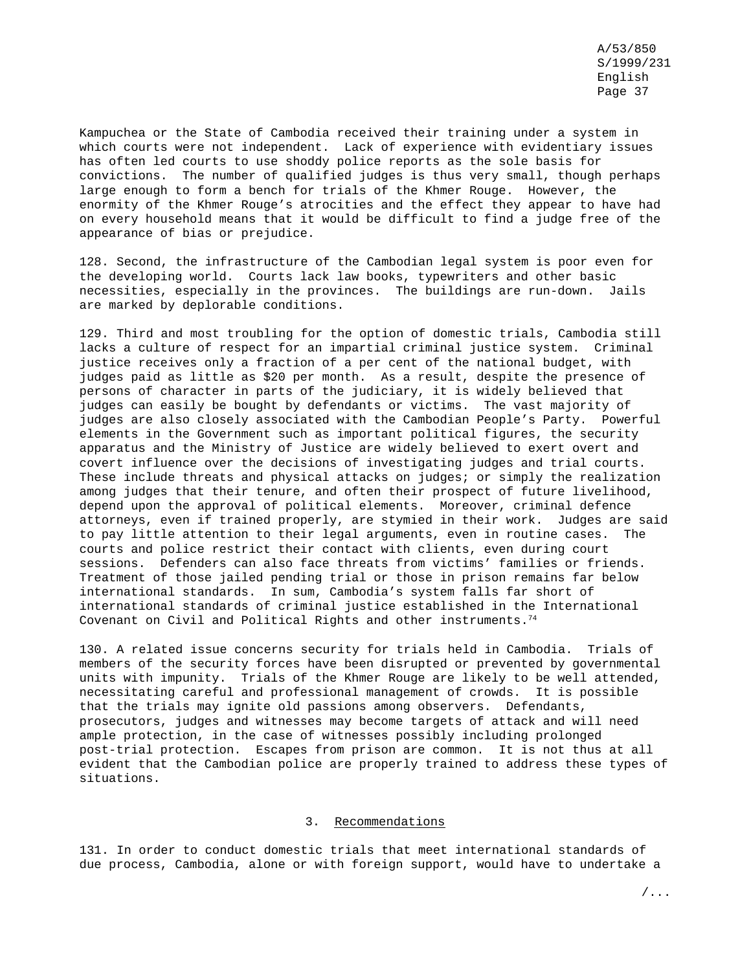Kampuchea or the State of Cambodia received their training under a system in which courts were not independent. Lack of experience with evidentiary issues has often led courts to use shoddy police reports as the sole basis for convictions. The number of qualified judges is thus very small, though perhaps large enough to form a bench for trials of the Khmer Rouge. However, the enormity of the Khmer Rouge's atrocities and the effect they appear to have had on every household means that it would be difficult to find a judge free of the appearance of bias or prejudice.

128. Second, the infrastructure of the Cambodian legal system is poor even for the developing world. Courts lack law books, typewriters and other basic necessities, especially in the provinces. The buildings are run-down. Jails are marked by deplorable conditions.

129. Third and most troubling for the option of domestic trials, Cambodia still lacks a culture of respect for an impartial criminal justice system. Criminal justice receives only a fraction of a per cent of the national budget, with judges paid as little as \$20 per month. As a result, despite the presence of persons of character in parts of the judiciary, it is widely believed that judges can easily be bought by defendants or victims. The vast majority of judges are also closely associated with the Cambodian People's Party. Powerful elements in the Government such as important political figures, the security apparatus and the Ministry of Justice are widely believed to exert overt and covert influence over the decisions of investigating judges and trial courts. These include threats and physical attacks on judges; or simply the realization among judges that their tenure, and often their prospect of future livelihood, depend upon the approval of political elements. Moreover, criminal defence attorneys, even if trained properly, are stymied in their work. Judges are said to pay little attention to their legal arguments, even in routine cases. The courts and police restrict their contact with clients, even during court sessions. Defenders can also face threats from victims' families or friends. Treatment of those jailed pending trial or those in prison remains far below international standards. In sum, Cambodia's system falls far short of international standards of criminal justice established in the International Covenant on Civil and Political Rights and other instruments. $74$ 

130. A related issue concerns security for trials held in Cambodia. Trials of members of the security forces have been disrupted or prevented by governmental units with impunity. Trials of the Khmer Rouge are likely to be well attended, necessitating careful and professional management of crowds. It is possible that the trials may ignite old passions among observers. Defendants, prosecutors, judges and witnesses may become targets of attack and will need ample protection, in the case of witnesses possibly including prolonged post-trial protection. Escapes from prison are common. It is not thus at all evident that the Cambodian police are properly trained to address these types of situations.

### 3. Recommendations

131. In order to conduct domestic trials that meet international standards of due process, Cambodia, alone or with foreign support, would have to undertake a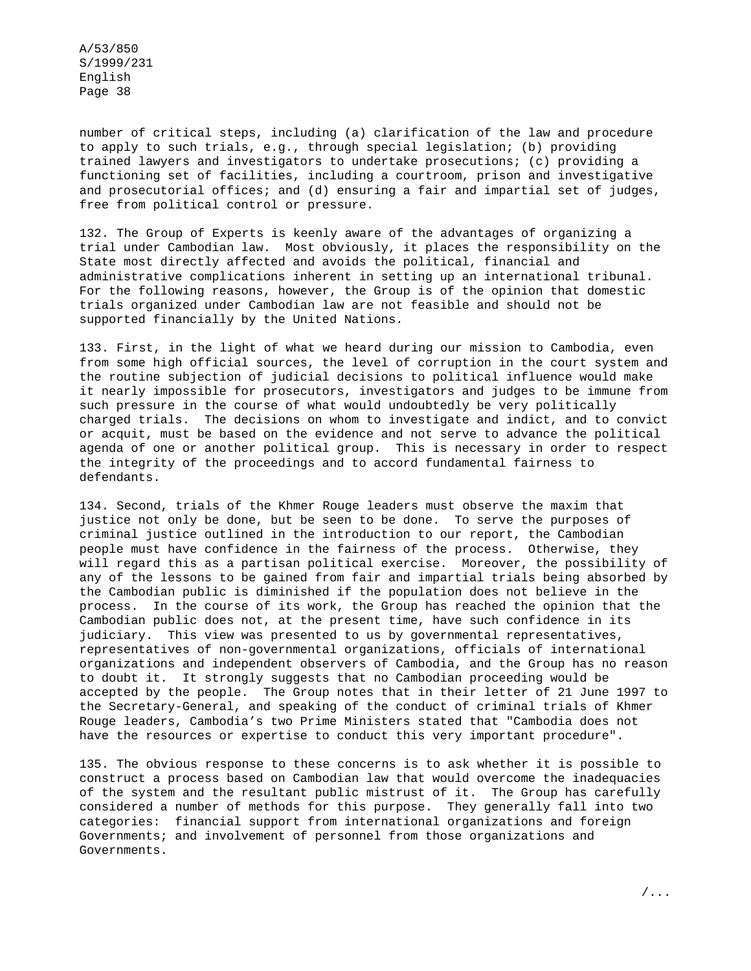number of critical steps, including (a) clarification of the law and procedure to apply to such trials, e.g., through special legislation; (b) providing trained lawyers and investigators to undertake prosecutions; (c) providing a functioning set of facilities, including a courtroom, prison and investigative and prosecutorial offices; and (d) ensuring a fair and impartial set of judges, free from political control or pressure.

132. The Group of Experts is keenly aware of the advantages of organizing a trial under Cambodian law. Most obviously, it places the responsibility on the State most directly affected and avoids the political, financial and administrative complications inherent in setting up an international tribunal. For the following reasons, however, the Group is of the opinion that domestic trials organized under Cambodian law are not feasible and should not be supported financially by the United Nations.

133. First, in the light of what we heard during our mission to Cambodia, even from some high official sources, the level of corruption in the court system and the routine subjection of judicial decisions to political influence would make it nearly impossible for prosecutors, investigators and judges to be immune from such pressure in the course of what would undoubtedly be very politically charged trials. The decisions on whom to investigate and indict, and to convict or acquit, must be based on the evidence and not serve to advance the political agenda of one or another political group. This is necessary in order to respect the integrity of the proceedings and to accord fundamental fairness to defendants.

134. Second, trials of the Khmer Rouge leaders must observe the maxim that justice not only be done, but be seen to be done. To serve the purposes of criminal justice outlined in the introduction to our report, the Cambodian people must have confidence in the fairness of the process. Otherwise, they will regard this as a partisan political exercise. Moreover, the possibility of any of the lessons to be gained from fair and impartial trials being absorbed by the Cambodian public is diminished if the population does not believe in the process. In the course of its work, the Group has reached the opinion that the Cambodian public does not, at the present time, have such confidence in its judiciary. This view was presented to us by governmental representatives, representatives of non-governmental organizations, officials of international organizations and independent observers of Cambodia, and the Group has no reason to doubt it. It strongly suggests that no Cambodian proceeding would be accepted by the people. The Group notes that in their letter of 21 June 1997 to the Secretary-General, and speaking of the conduct of criminal trials of Khmer Rouge leaders, Cambodia's two Prime Ministers stated that "Cambodia does not have the resources or expertise to conduct this very important procedure".

135. The obvious response to these concerns is to ask whether it is possible to construct a process based on Cambodian law that would overcome the inadequacies of the system and the resultant public mistrust of it. The Group has carefully considered a number of methods for this purpose. They generally fall into two categories: financial support from international organizations and foreign Governments; and involvement of personnel from those organizations and Governments.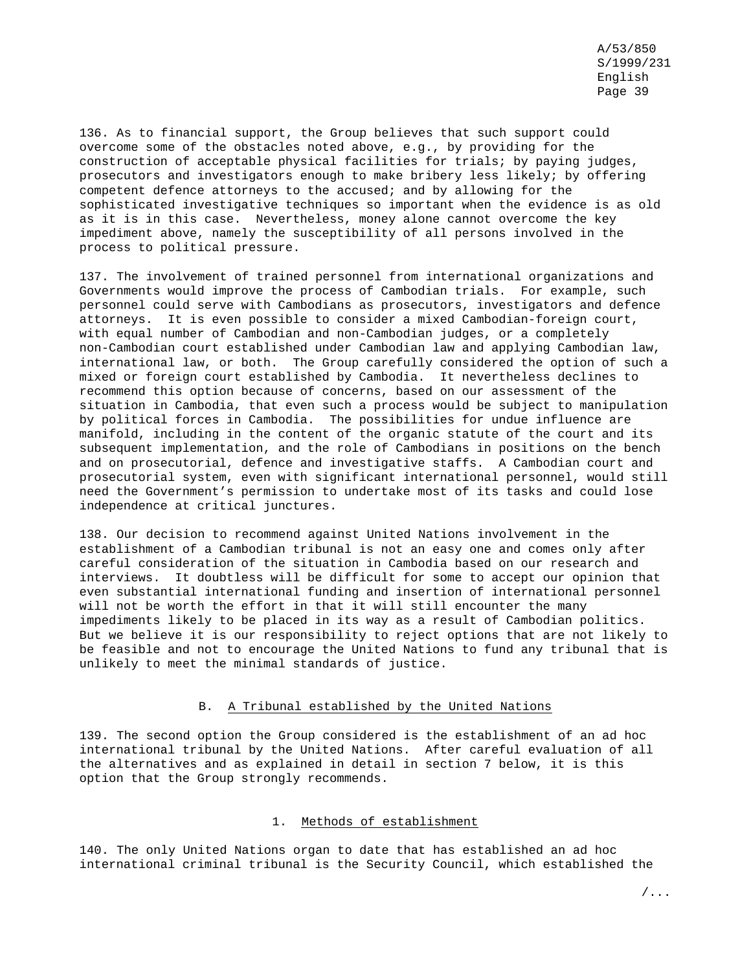136. As to financial support, the Group believes that such support could overcome some of the obstacles noted above, e.g., by providing for the construction of acceptable physical facilities for trials; by paying judges, prosecutors and investigators enough to make bribery less likely; by offering competent defence attorneys to the accused; and by allowing for the sophisticated investigative techniques so important when the evidence is as old as it is in this case. Nevertheless, money alone cannot overcome the key impediment above, namely the susceptibility of all persons involved in the process to political pressure.

137. The involvement of trained personnel from international organizations and Governments would improve the process of Cambodian trials. For example, such personnel could serve with Cambodians as prosecutors, investigators and defence attorneys. It is even possible to consider a mixed Cambodian-foreign court, with equal number of Cambodian and non-Cambodian judges, or a completely non-Cambodian court established under Cambodian law and applying Cambodian law, international law, or both. The Group carefully considered the option of such a mixed or foreign court established by Cambodia. It nevertheless declines to recommend this option because of concerns, based on our assessment of the situation in Cambodia, that even such a process would be subject to manipulation by political forces in Cambodia. The possibilities for undue influence are manifold, including in the content of the organic statute of the court and its subsequent implementation, and the role of Cambodians in positions on the bench and on prosecutorial, defence and investigative staffs. A Cambodian court and prosecutorial system, even with significant international personnel, would still need the Government's permission to undertake most of its tasks and could lose independence at critical junctures.

138. Our decision to recommend against United Nations involvement in the establishment of a Cambodian tribunal is not an easy one and comes only after careful consideration of the situation in Cambodia based on our research and interviews. It doubtless will be difficult for some to accept our opinion that even substantial international funding and insertion of international personnel will not be worth the effort in that it will still encounter the many impediments likely to be placed in its way as a result of Cambodian politics. But we believe it is our responsibility to reject options that are not likely to be feasible and not to encourage the United Nations to fund any tribunal that is unlikely to meet the minimal standards of justice.

## B. A Tribunal established by the United Nations

139. The second option the Group considered is the establishment of an ad hoc international tribunal by the United Nations. After careful evaluation of all the alternatives and as explained in detail in section 7 below, it is this option that the Group strongly recommends.

### 1. Methods of establishment

140. The only United Nations organ to date that has established an ad hoc international criminal tribunal is the Security Council, which established the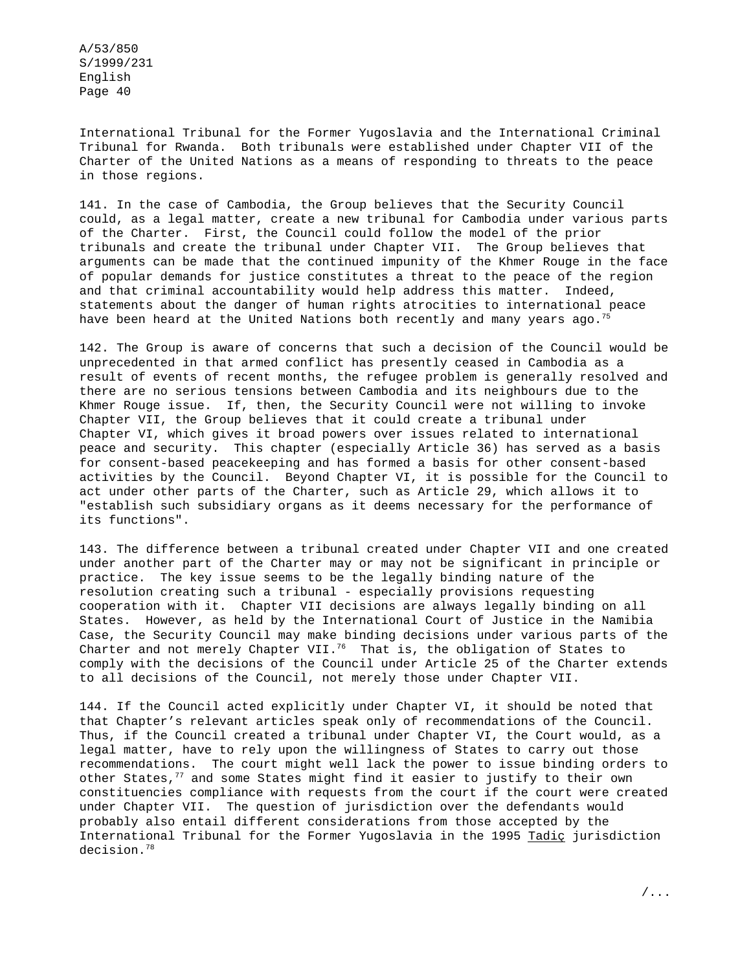International Tribunal for the Former Yugoslavia and the International Criminal Tribunal for Rwanda. Both tribunals were established under Chapter VII of the Charter of the United Nations as a means of responding to threats to the peace in those regions.

141. In the case of Cambodia, the Group believes that the Security Council could, as a legal matter, create a new tribunal for Cambodia under various parts of the Charter. First, the Council could follow the model of the prior tribunals and create the tribunal under Chapter VII. The Group believes that arguments can be made that the continued impunity of the Khmer Rouge in the face of popular demands for justice constitutes a threat to the peace of the region and that criminal accountability would help address this matter. Indeed, statements about the danger of human rights atrocities to international peace have been heard at the United Nations both recently and many years ago.<sup>75</sup>

142. The Group is aware of concerns that such a decision of the Council would be unprecedented in that armed conflict has presently ceased in Cambodia as a result of events of recent months, the refugee problem is generally resolved and there are no serious tensions between Cambodia and its neighbours due to the Khmer Rouge issue. If, then, the Security Council were not willing to invoke Chapter VII, the Group believes that it could create a tribunal under Chapter VI, which gives it broad powers over issues related to international peace and security. This chapter (especially Article 36) has served as a basis for consent-based peacekeeping and has formed a basis for other consent-based activities by the Council. Beyond Chapter VI, it is possible for the Council to act under other parts of the Charter, such as Article 29, which allows it to "establish such subsidiary organs as it deems necessary for the performance of its functions".

143. The difference between a tribunal created under Chapter VII and one created under another part of the Charter may or may not be significant in principle or practice. The key issue seems to be the legally binding nature of the resolution creating such a tribunal - especially provisions requesting cooperation with it. Chapter VII decisions are always legally binding on all States. However, as held by the International Court of Justice in the Namibia Case, the Security Council may make binding decisions under various parts of the Charter and not merely Chapter VII.<sup>76</sup> That is, the obligation of States to comply with the decisions of the Council under Article 25 of the Charter extends to all decisions of the Council, not merely those under Chapter VII.

144. If the Council acted explicitly under Chapter VI, it should be noted that that Chapter's relevant articles speak only of recommendations of the Council. Thus, if the Council created a tribunal under Chapter VI, the Court would, as a legal matter, have to rely upon the willingness of States to carry out those recommendations. The court might well lack the power to issue binding orders to other States, $77$  and some States might find it easier to justify to their own constituencies compliance with requests from the court if the court were created under Chapter VII. The question of jurisdiction over the defendants would probably also entail different considerations from those accepted by the International Tribunal for the Former Yugoslavia in the 1995 Tadiç jurisdiction decision.78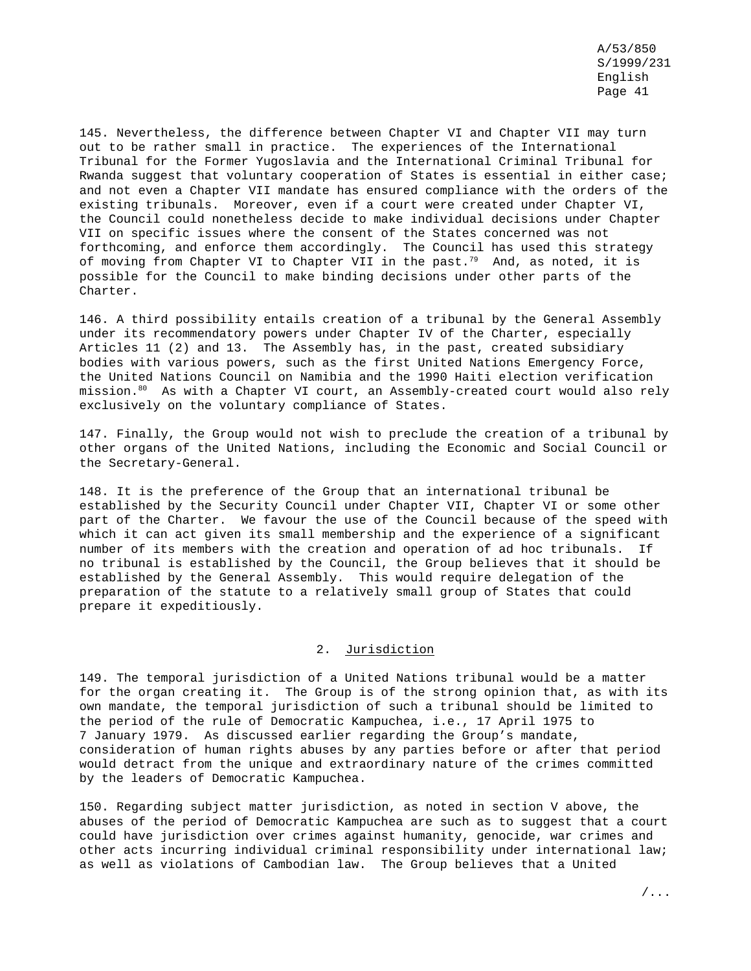145. Nevertheless, the difference between Chapter VI and Chapter VII may turn out to be rather small in practice. The experiences of the International Tribunal for the Former Yugoslavia and the International Criminal Tribunal for Rwanda suggest that voluntary cooperation of States is essential in either case; and not even a Chapter VII mandate has ensured compliance with the orders of the existing tribunals. Moreover, even if a court were created under Chapter VI, the Council could nonetheless decide to make individual decisions under Chapter VII on specific issues where the consent of the States concerned was not forthcoming, and enforce them accordingly. The Council has used this strategy of moving from Chapter VI to Chapter VII in the past.<sup>79</sup> And, as noted, it is possible for the Council to make binding decisions under other parts of the Charter.

146. A third possibility entails creation of a tribunal by the General Assembly under its recommendatory powers under Chapter IV of the Charter, especially Articles 11 (2) and 13. The Assembly has, in the past, created subsidiary bodies with various powers, such as the first United Nations Emergency Force, the United Nations Council on Namibia and the 1990 Haiti election verification mission.80 As with a Chapter VI court, an Assembly-created court would also rely exclusively on the voluntary compliance of States.

147. Finally, the Group would not wish to preclude the creation of a tribunal by other organs of the United Nations, including the Economic and Social Council or the Secretary-General.

148. It is the preference of the Group that an international tribunal be established by the Security Council under Chapter VII, Chapter VI or some other part of the Charter. We favour the use of the Council because of the speed with which it can act given its small membership and the experience of a significant number of its members with the creation and operation of ad hoc tribunals. If no tribunal is established by the Council, the Group believes that it should be established by the General Assembly. This would require delegation of the preparation of the statute to a relatively small group of States that could prepare it expeditiously.

# 2. Jurisdiction

149. The temporal jurisdiction of a United Nations tribunal would be a matter for the organ creating it. The Group is of the strong opinion that, as with its own mandate, the temporal jurisdiction of such a tribunal should be limited to the period of the rule of Democratic Kampuchea, i.e., 17 April 1975 to 7 January 1979. As discussed earlier regarding the Group's mandate, consideration of human rights abuses by any parties before or after that period would detract from the unique and extraordinary nature of the crimes committed by the leaders of Democratic Kampuchea.

150. Regarding subject matter jurisdiction, as noted in section V above, the abuses of the period of Democratic Kampuchea are such as to suggest that a court could have jurisdiction over crimes against humanity, genocide, war crimes and other acts incurring individual criminal responsibility under international law; as well as violations of Cambodian law. The Group believes that a United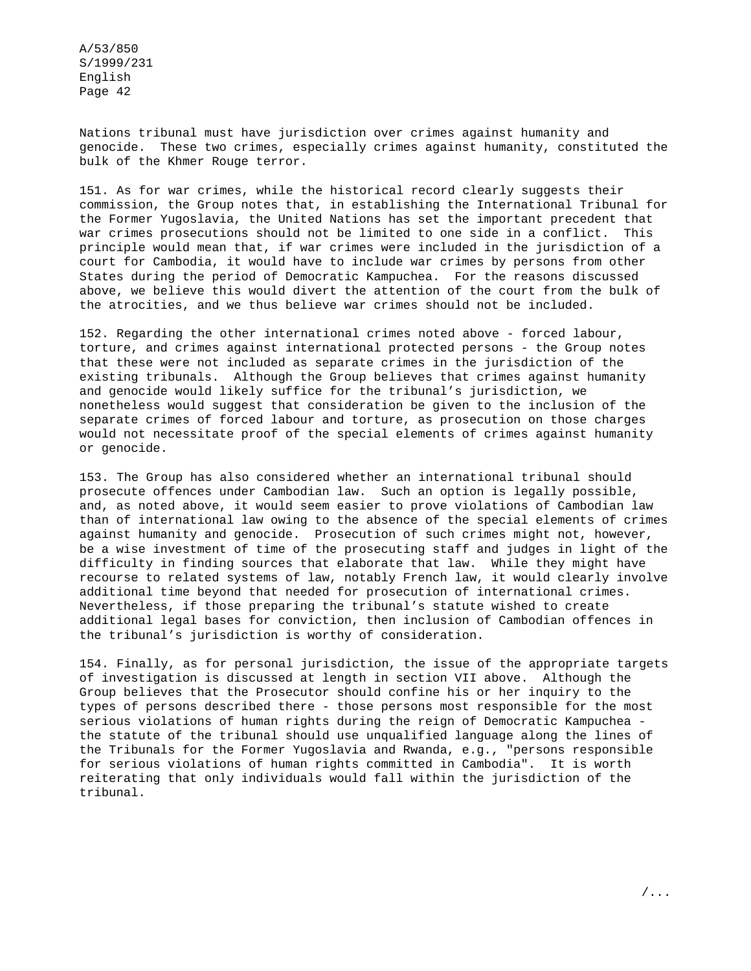Nations tribunal must have jurisdiction over crimes against humanity and genocide. These two crimes, especially crimes against humanity, constituted the bulk of the Khmer Rouge terror.

151. As for war crimes, while the historical record clearly suggests their commission, the Group notes that, in establishing the International Tribunal for the Former Yugoslavia, the United Nations has set the important precedent that war crimes prosecutions should not be limited to one side in a conflict. This principle would mean that, if war crimes were included in the jurisdiction of a court for Cambodia, it would have to include war crimes by persons from other States during the period of Democratic Kampuchea. For the reasons discussed above, we believe this would divert the attention of the court from the bulk of the atrocities, and we thus believe war crimes should not be included.

152. Regarding the other international crimes noted above - forced labour, torture, and crimes against international protected persons - the Group notes that these were not included as separate crimes in the jurisdiction of the existing tribunals. Although the Group believes that crimes against humanity and genocide would likely suffice for the tribunal's jurisdiction, we nonetheless would suggest that consideration be given to the inclusion of the separate crimes of forced labour and torture, as prosecution on those charges would not necessitate proof of the special elements of crimes against humanity or genocide.

153. The Group has also considered whether an international tribunal should prosecute offences under Cambodian law. Such an option is legally possible, and, as noted above, it would seem easier to prove violations of Cambodian law than of international law owing to the absence of the special elements of crimes against humanity and genocide. Prosecution of such crimes might not, however, be a wise investment of time of the prosecuting staff and judges in light of the difficulty in finding sources that elaborate that law. While they might have recourse to related systems of law, notably French law, it would clearly involve additional time beyond that needed for prosecution of international crimes. Nevertheless, if those preparing the tribunal's statute wished to create additional legal bases for conviction, then inclusion of Cambodian offences in the tribunal's jurisdiction is worthy of consideration.

154. Finally, as for personal jurisdiction, the issue of the appropriate targets of investigation is discussed at length in section VII above. Although the Group believes that the Prosecutor should confine his or her inquiry to the types of persons described there - those persons most responsible for the most serious violations of human rights during the reign of Democratic Kampuchea the statute of the tribunal should use unqualified language along the lines of the Tribunals for the Former Yugoslavia and Rwanda, e.g., "persons responsible for serious violations of human rights committed in Cambodia". It is worth reiterating that only individuals would fall within the jurisdiction of the tribunal.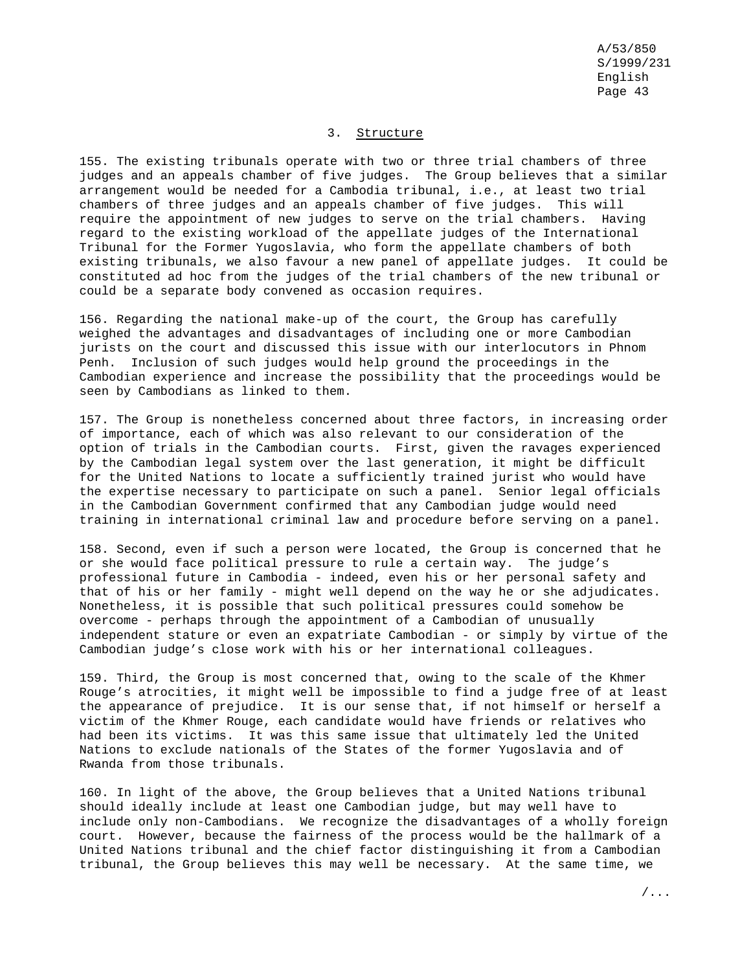### 3. Structure

155. The existing tribunals operate with two or three trial chambers of three judges and an appeals chamber of five judges. The Group believes that a similar arrangement would be needed for a Cambodia tribunal, i.e., at least two trial chambers of three judges and an appeals chamber of five judges. This will require the appointment of new judges to serve on the trial chambers. Having regard to the existing workload of the appellate judges of the International Tribunal for the Former Yugoslavia, who form the appellate chambers of both existing tribunals, we also favour a new panel of appellate judges. It could be constituted ad hoc from the judges of the trial chambers of the new tribunal or could be a separate body convened as occasion requires.

156. Regarding the national make-up of the court, the Group has carefully weighed the advantages and disadvantages of including one or more Cambodian jurists on the court and discussed this issue with our interlocutors in Phnom Penh. Inclusion of such judges would help ground the proceedings in the Cambodian experience and increase the possibility that the proceedings would be seen by Cambodians as linked to them.

157. The Group is nonetheless concerned about three factors, in increasing order of importance, each of which was also relevant to our consideration of the option of trials in the Cambodian courts. First, given the ravages experienced by the Cambodian legal system over the last generation, it might be difficult for the United Nations to locate a sufficiently trained jurist who would have the expertise necessary to participate on such a panel. Senior legal officials in the Cambodian Government confirmed that any Cambodian judge would need training in international criminal law and procedure before serving on a panel.

158. Second, even if such a person were located, the Group is concerned that he or she would face political pressure to rule a certain way. The judge's professional future in Cambodia - indeed, even his or her personal safety and that of his or her family - might well depend on the way he or she adjudicates. Nonetheless, it is possible that such political pressures could somehow be overcome - perhaps through the appointment of a Cambodian of unusually independent stature or even an expatriate Cambodian - or simply by virtue of the Cambodian judge's close work with his or her international colleagues.

159. Third, the Group is most concerned that, owing to the scale of the Khmer Rouge's atrocities, it might well be impossible to find a judge free of at least the appearance of prejudice. It is our sense that, if not himself or herself a victim of the Khmer Rouge, each candidate would have friends or relatives who had been its victims. It was this same issue that ultimately led the United Nations to exclude nationals of the States of the former Yugoslavia and of Rwanda from those tribunals.

160. In light of the above, the Group believes that a United Nations tribunal should ideally include at least one Cambodian judge, but may well have to include only non-Cambodians. We recognize the disadvantages of a wholly foreign court. However, because the fairness of the process would be the hallmark of a United Nations tribunal and the chief factor distinguishing it from a Cambodian tribunal, the Group believes this may well be necessary. At the same time, we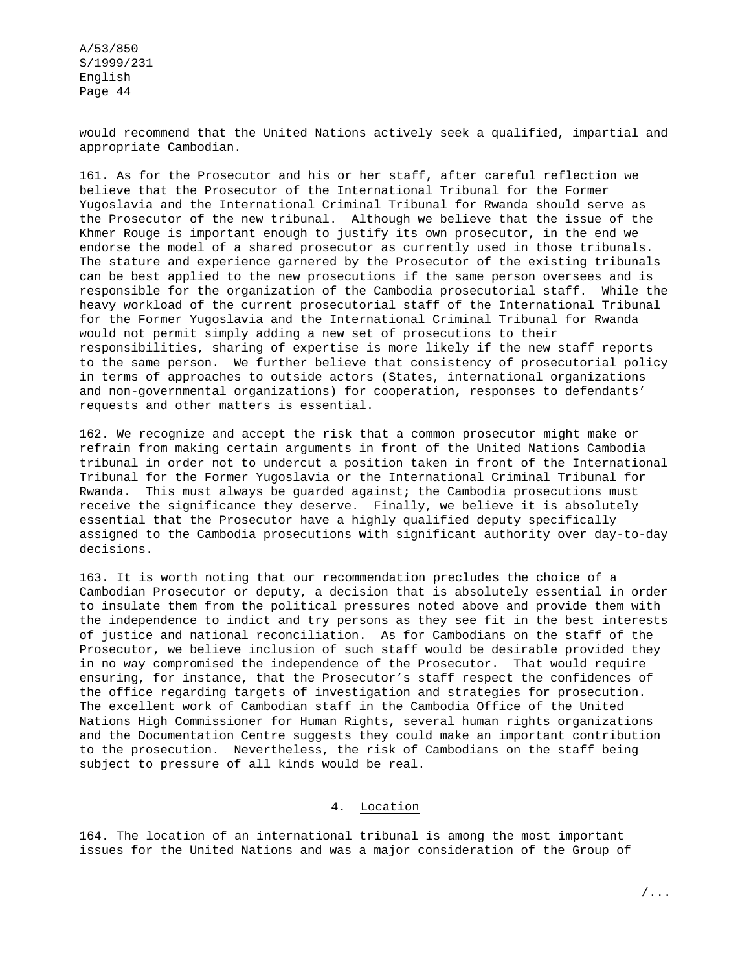would recommend that the United Nations actively seek a qualified, impartial and appropriate Cambodian.

161. As for the Prosecutor and his or her staff, after careful reflection we believe that the Prosecutor of the International Tribunal for the Former Yugoslavia and the International Criminal Tribunal for Rwanda should serve as the Prosecutor of the new tribunal. Although we believe that the issue of the Khmer Rouge is important enough to justify its own prosecutor, in the end we endorse the model of a shared prosecutor as currently used in those tribunals. The stature and experience garnered by the Prosecutor of the existing tribunals can be best applied to the new prosecutions if the same person oversees and is responsible for the organization of the Cambodia prosecutorial staff. While the heavy workload of the current prosecutorial staff of the International Tribunal for the Former Yugoslavia and the International Criminal Tribunal for Rwanda would not permit simply adding a new set of prosecutions to their responsibilities, sharing of expertise is more likely if the new staff reports to the same person. We further believe that consistency of prosecutorial policy in terms of approaches to outside actors (States, international organizations and non-governmental organizations) for cooperation, responses to defendants' requests and other matters is essential.

162. We recognize and accept the risk that a common prosecutor might make or refrain from making certain arguments in front of the United Nations Cambodia tribunal in order not to undercut a position taken in front of the International Tribunal for the Former Yugoslavia or the International Criminal Tribunal for Rwanda. This must always be guarded against; the Cambodia prosecutions must receive the significance they deserve. Finally, we believe it is absolutely essential that the Prosecutor have a highly qualified deputy specifically assigned to the Cambodia prosecutions with significant authority over day-to-day decisions.

163. It is worth noting that our recommendation precludes the choice of a Cambodian Prosecutor or deputy, a decision that is absolutely essential in order to insulate them from the political pressures noted above and provide them with the independence to indict and try persons as they see fit in the best interests of justice and national reconciliation. As for Cambodians on the staff of the Prosecutor, we believe inclusion of such staff would be desirable provided they in no way compromised the independence of the Prosecutor. That would require ensuring, for instance, that the Prosecutor's staff respect the confidences of the office regarding targets of investigation and strategies for prosecution. The excellent work of Cambodian staff in the Cambodia Office of the United Nations High Commissioner for Human Rights, several human rights organizations and the Documentation Centre suggests they could make an important contribution to the prosecution. Nevertheless, the risk of Cambodians on the staff being subject to pressure of all kinds would be real.

## 4. Location

164. The location of an international tribunal is among the most important issues for the United Nations and was a major consideration of the Group of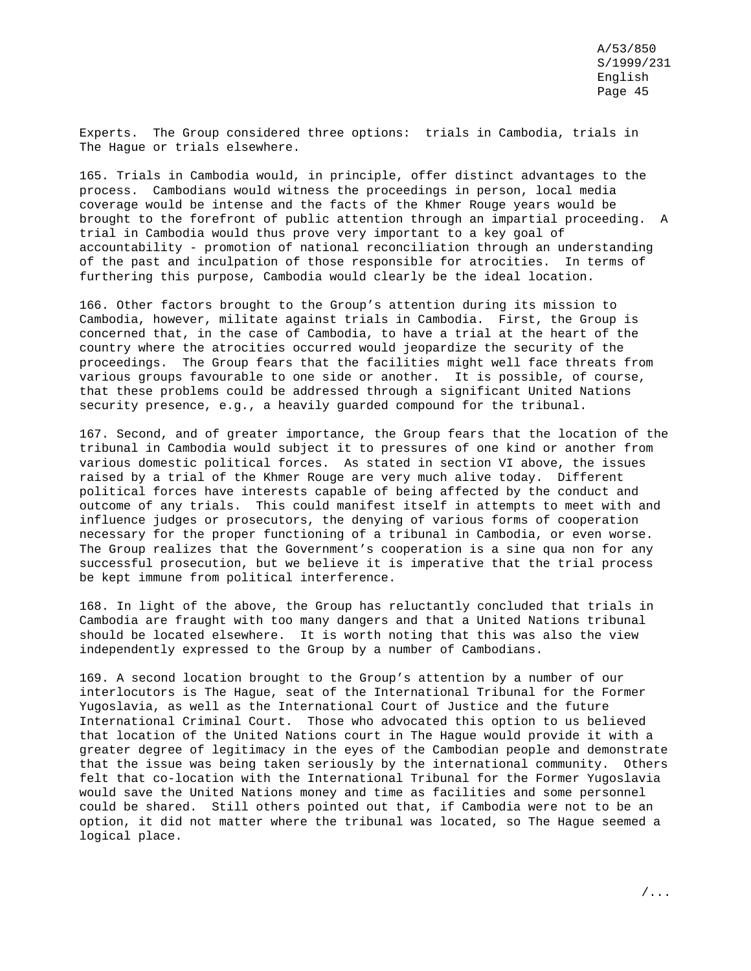Experts. The Group considered three options: trials in Cambodia, trials in The Hague or trials elsewhere.

165. Trials in Cambodia would, in principle, offer distinct advantages to the process. Cambodians would witness the proceedings in person, local media coverage would be intense and the facts of the Khmer Rouge years would be brought to the forefront of public attention through an impartial proceeding. A trial in Cambodia would thus prove very important to a key goal of accountability - promotion of national reconciliation through an understanding of the past and inculpation of those responsible for atrocities. In terms of furthering this purpose, Cambodia would clearly be the ideal location.

166. Other factors brought to the Group's attention during its mission to Cambodia, however, militate against trials in Cambodia. First, the Group is concerned that, in the case of Cambodia, to have a trial at the heart of the country where the atrocities occurred would jeopardize the security of the proceedings. The Group fears that the facilities might well face threats from various groups favourable to one side or another. It is possible, of course, that these problems could be addressed through a significant United Nations security presence, e.g., a heavily guarded compound for the tribunal.

167. Second, and of greater importance, the Group fears that the location of the tribunal in Cambodia would subject it to pressures of one kind or another from various domestic political forces. As stated in section VI above, the issues raised by a trial of the Khmer Rouge are very much alive today. Different political forces have interests capable of being affected by the conduct and outcome of any trials. This could manifest itself in attempts to meet with and influence judges or prosecutors, the denying of various forms of cooperation necessary for the proper functioning of a tribunal in Cambodia, or even worse. The Group realizes that the Government's cooperation is a sine qua non for any successful prosecution, but we believe it is imperative that the trial process be kept immune from political interference.

168. In light of the above, the Group has reluctantly concluded that trials in Cambodia are fraught with too many dangers and that a United Nations tribunal should be located elsewhere. It is worth noting that this was also the view independently expressed to the Group by a number of Cambodians.

169. A second location brought to the Group's attention by a number of our interlocutors is The Hague, seat of the International Tribunal for the Former Yugoslavia, as well as the International Court of Justice and the future International Criminal Court. Those who advocated this option to us believed that location of the United Nations court in The Hague would provide it with a greater degree of legitimacy in the eyes of the Cambodian people and demonstrate that the issue was being taken seriously by the international community. Others felt that co-location with the International Tribunal for the Former Yugoslavia would save the United Nations money and time as facilities and some personnel could be shared. Still others pointed out that, if Cambodia were not to be an option, it did not matter where the tribunal was located, so The Hague seemed a logical place.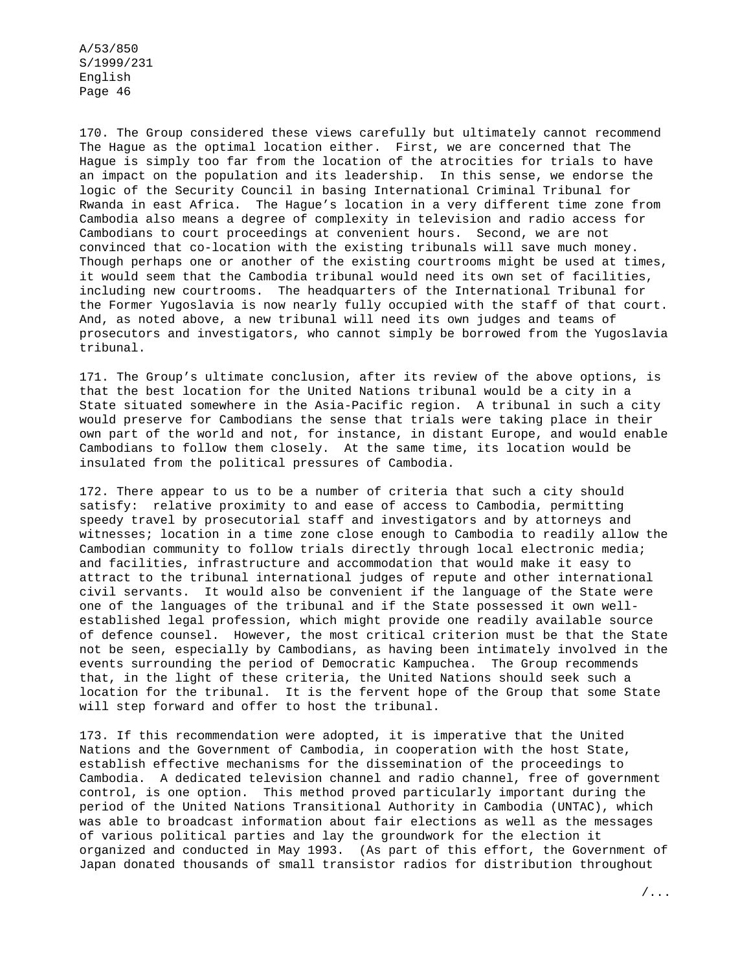170. The Group considered these views carefully but ultimately cannot recommend The Hague as the optimal location either. First, we are concerned that The Hague is simply too far from the location of the atrocities for trials to have an impact on the population and its leadership. In this sense, we endorse the logic of the Security Council in basing International Criminal Tribunal for Rwanda in east Africa. The Hague's location in a very different time zone from Cambodia also means a degree of complexity in television and radio access for Cambodians to court proceedings at convenient hours. Second, we are not convinced that co-location with the existing tribunals will save much money. Though perhaps one or another of the existing courtrooms might be used at times, it would seem that the Cambodia tribunal would need its own set of facilities, including new courtrooms. The headquarters of the International Tribunal for the Former Yugoslavia is now nearly fully occupied with the staff of that court. And, as noted above, a new tribunal will need its own judges and teams of prosecutors and investigators, who cannot simply be borrowed from the Yugoslavia tribunal.

171. The Group's ultimate conclusion, after its review of the above options, is that the best location for the United Nations tribunal would be a city in a State situated somewhere in the Asia-Pacific region. A tribunal in such a city would preserve for Cambodians the sense that trials were taking place in their own part of the world and not, for instance, in distant Europe, and would enable Cambodians to follow them closely. At the same time, its location would be insulated from the political pressures of Cambodia.

172. There appear to us to be a number of criteria that such a city should satisfy: relative proximity to and ease of access to Cambodia, permitting speedy travel by prosecutorial staff and investigators and by attorneys and witnesses; location in a time zone close enough to Cambodia to readily allow the Cambodian community to follow trials directly through local electronic media; and facilities, infrastructure and accommodation that would make it easy to attract to the tribunal international judges of repute and other international civil servants. It would also be convenient if the language of the State were one of the languages of the tribunal and if the State possessed it own wellestablished legal profession, which might provide one readily available source of defence counsel. However, the most critical criterion must be that the State not be seen, especially by Cambodians, as having been intimately involved in the events surrounding the period of Democratic Kampuchea. The Group recommends that, in the light of these criteria, the United Nations should seek such a location for the tribunal. It is the fervent hope of the Group that some State will step forward and offer to host the tribunal.

173. If this recommendation were adopted, it is imperative that the United Nations and the Government of Cambodia, in cooperation with the host State, establish effective mechanisms for the dissemination of the proceedings to Cambodia. A dedicated television channel and radio channel, free of government control, is one option. This method proved particularly important during the period of the United Nations Transitional Authority in Cambodia (UNTAC), which was able to broadcast information about fair elections as well as the messages of various political parties and lay the groundwork for the election it organized and conducted in May 1993. (As part of this effort, the Government of Japan donated thousands of small transistor radios for distribution throughout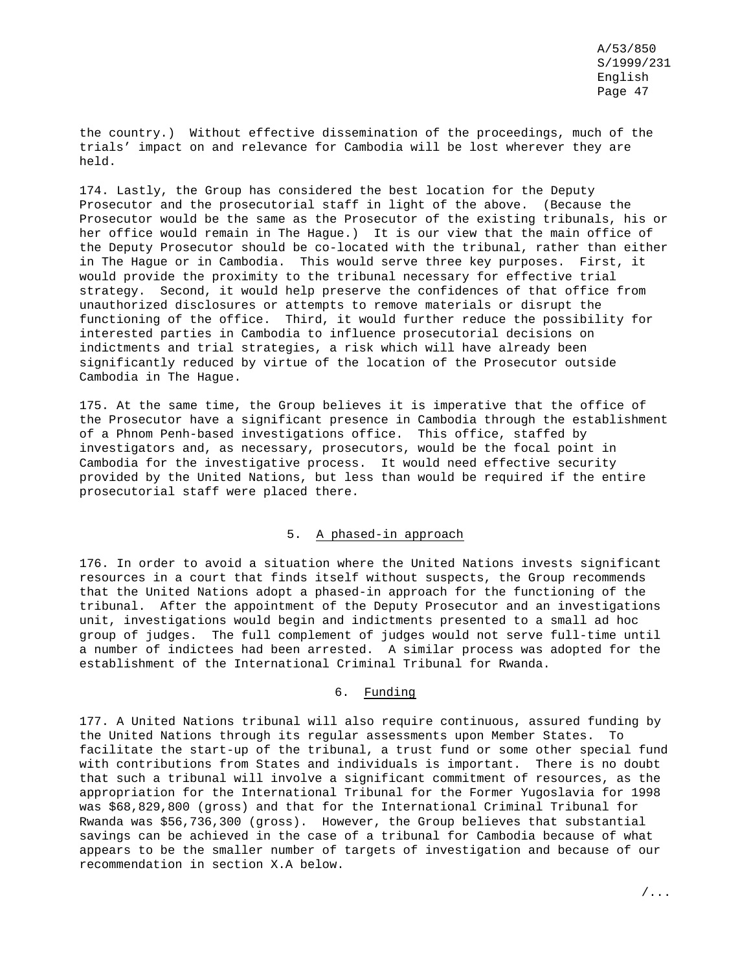the country.) Without effective dissemination of the proceedings, much of the trials' impact on and relevance for Cambodia will be lost wherever they are held.

174. Lastly, the Group has considered the best location for the Deputy Prosecutor and the prosecutorial staff in light of the above. (Because the Prosecutor would be the same as the Prosecutor of the existing tribunals, his or her office would remain in The Hague.) It is our view that the main office of the Deputy Prosecutor should be co-located with the tribunal, rather than either in The Hague or in Cambodia. This would serve three key purposes. First, it would provide the proximity to the tribunal necessary for effective trial strategy. Second, it would help preserve the confidences of that office from unauthorized disclosures or attempts to remove materials or disrupt the functioning of the office. Third, it would further reduce the possibility for interested parties in Cambodia to influence prosecutorial decisions on indictments and trial strategies, a risk which will have already been significantly reduced by virtue of the location of the Prosecutor outside Cambodia in The Hague.

175. At the same time, the Group believes it is imperative that the office of the Prosecutor have a significant presence in Cambodia through the establishment of a Phnom Penh-based investigations office. This office, staffed by investigators and, as necessary, prosecutors, would be the focal point in Cambodia for the investigative process. It would need effective security provided by the United Nations, but less than would be required if the entire prosecutorial staff were placed there.

## 5. A phased-in approach

176. In order to avoid a situation where the United Nations invests significant resources in a court that finds itself without suspects, the Group recommends that the United Nations adopt a phased-in approach for the functioning of the tribunal. After the appointment of the Deputy Prosecutor and an investigations unit, investigations would begin and indictments presented to a small ad hoc group of judges. The full complement of judges would not serve full-time until a number of indictees had been arrested. A similar process was adopted for the establishment of the International Criminal Tribunal for Rwanda.

### 6. Funding

177. A United Nations tribunal will also require continuous, assured funding by the United Nations through its regular assessments upon Member States. To facilitate the start-up of the tribunal, a trust fund or some other special fund with contributions from States and individuals is important. There is no doubt that such a tribunal will involve a significant commitment of resources, as the appropriation for the International Tribunal for the Former Yugoslavia for 1998 was \$68,829,800 (gross) and that for the International Criminal Tribunal for Rwanda was \$56,736,300 (gross). However, the Group believes that substantial savings can be achieved in the case of a tribunal for Cambodia because of what appears to be the smaller number of targets of investigation and because of our recommendation in section X.A below.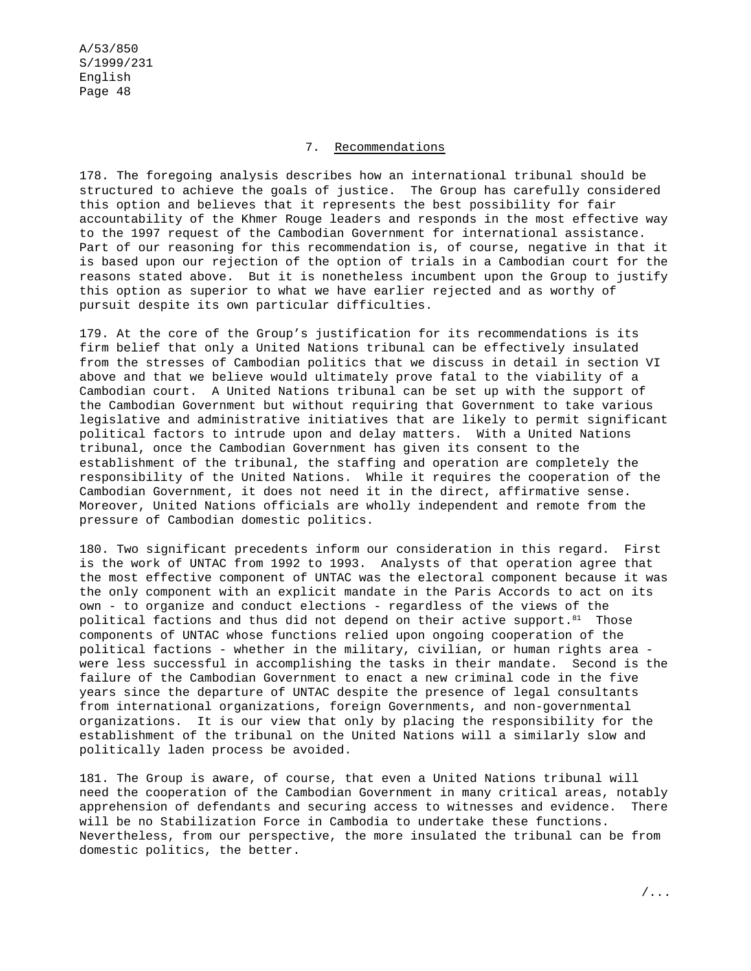## 7. Recommendations

178. The foregoing analysis describes how an international tribunal should be structured to achieve the goals of justice. The Group has carefully considered this option and believes that it represents the best possibility for fair accountability of the Khmer Rouge leaders and responds in the most effective way to the 1997 request of the Cambodian Government for international assistance. Part of our reasoning for this recommendation is, of course, negative in that it is based upon our rejection of the option of trials in a Cambodian court for the reasons stated above. But it is nonetheless incumbent upon the Group to justify this option as superior to what we have earlier rejected and as worthy of pursuit despite its own particular difficulties.

179. At the core of the Group's justification for its recommendations is its firm belief that only a United Nations tribunal can be effectively insulated from the stresses of Cambodian politics that we discuss in detail in section VI above and that we believe would ultimately prove fatal to the viability of a Cambodian court. A United Nations tribunal can be set up with the support of the Cambodian Government but without requiring that Government to take various legislative and administrative initiatives that are likely to permit significant political factors to intrude upon and delay matters. With a United Nations tribunal, once the Cambodian Government has given its consent to the establishment of the tribunal, the staffing and operation are completely the responsibility of the United Nations. While it requires the cooperation of the Cambodian Government, it does not need it in the direct, affirmative sense. Moreover, United Nations officials are wholly independent and remote from the pressure of Cambodian domestic politics.

180. Two significant precedents inform our consideration in this regard. First is the work of UNTAC from 1992 to 1993. Analysts of that operation agree that the most effective component of UNTAC was the electoral component because it was the only component with an explicit mandate in the Paris Accords to act on its own - to organize and conduct elections - regardless of the views of the political factions and thus did not depend on their active support.<sup>81</sup> Those components of UNTAC whose functions relied upon ongoing cooperation of the political factions - whether in the military, civilian, or human rights area were less successful in accomplishing the tasks in their mandate. Second is the failure of the Cambodian Government to enact a new criminal code in the five years since the departure of UNTAC despite the presence of legal consultants from international organizations, foreign Governments, and non-governmental organizations. It is our view that only by placing the responsibility for the establishment of the tribunal on the United Nations will a similarly slow and politically laden process be avoided.

181. The Group is aware, of course, that even a United Nations tribunal will need the cooperation of the Cambodian Government in many critical areas, notably apprehension of defendants and securing access to witnesses and evidence. There will be no Stabilization Force in Cambodia to undertake these functions. Nevertheless, from our perspective, the more insulated the tribunal can be from domestic politics, the better.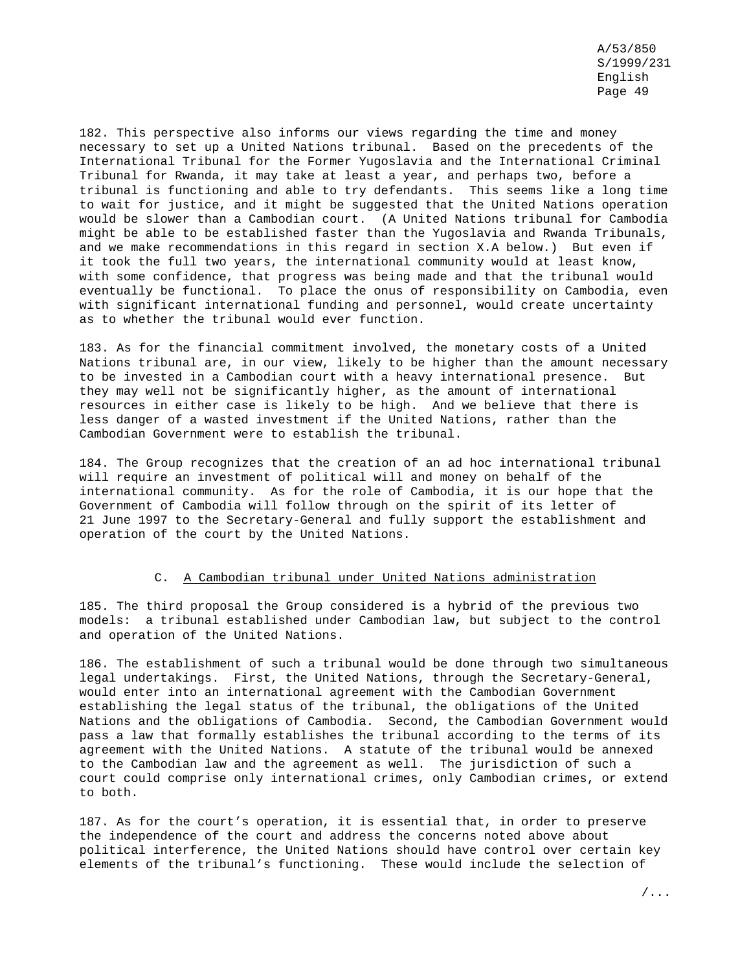182. This perspective also informs our views regarding the time and money necessary to set up a United Nations tribunal. Based on the precedents of the International Tribunal for the Former Yugoslavia and the International Criminal Tribunal for Rwanda, it may take at least a year, and perhaps two, before a tribunal is functioning and able to try defendants. This seems like a long time to wait for justice, and it might be suggested that the United Nations operation would be slower than a Cambodian court. (A United Nations tribunal for Cambodia might be able to be established faster than the Yugoslavia and Rwanda Tribunals, and we make recommendations in this regard in section X.A below.) But even if it took the full two years, the international community would at least know, with some confidence, that progress was being made and that the tribunal would eventually be functional. To place the onus of responsibility on Cambodia, even with significant international funding and personnel, would create uncertainty as to whether the tribunal would ever function.

183. As for the financial commitment involved, the monetary costs of a United Nations tribunal are, in our view, likely to be higher than the amount necessary to be invested in a Cambodian court with a heavy international presence. But they may well not be significantly higher, as the amount of international resources in either case is likely to be high. And we believe that there is less danger of a wasted investment if the United Nations, rather than the Cambodian Government were to establish the tribunal.

184. The Group recognizes that the creation of an ad hoc international tribunal will require an investment of political will and money on behalf of the international community. As for the role of Cambodia, it is our hope that the Government of Cambodia will follow through on the spirit of its letter of 21 June 1997 to the Secretary-General and fully support the establishment and operation of the court by the United Nations.

### C. A Cambodian tribunal under United Nations administration

185. The third proposal the Group considered is a hybrid of the previous two models: a tribunal established under Cambodian law, but subject to the control and operation of the United Nations.

186. The establishment of such a tribunal would be done through two simultaneous legal undertakings. First, the United Nations, through the Secretary-General, would enter into an international agreement with the Cambodian Government establishing the legal status of the tribunal, the obligations of the United Nations and the obligations of Cambodia. Second, the Cambodian Government would pass a law that formally establishes the tribunal according to the terms of its agreement with the United Nations. A statute of the tribunal would be annexed to the Cambodian law and the agreement as well. The jurisdiction of such a court could comprise only international crimes, only Cambodian crimes, or extend to both.

187. As for the court's operation, it is essential that, in order to preserve the independence of the court and address the concerns noted above about political interference, the United Nations should have control over certain key elements of the tribunal's functioning. These would include the selection of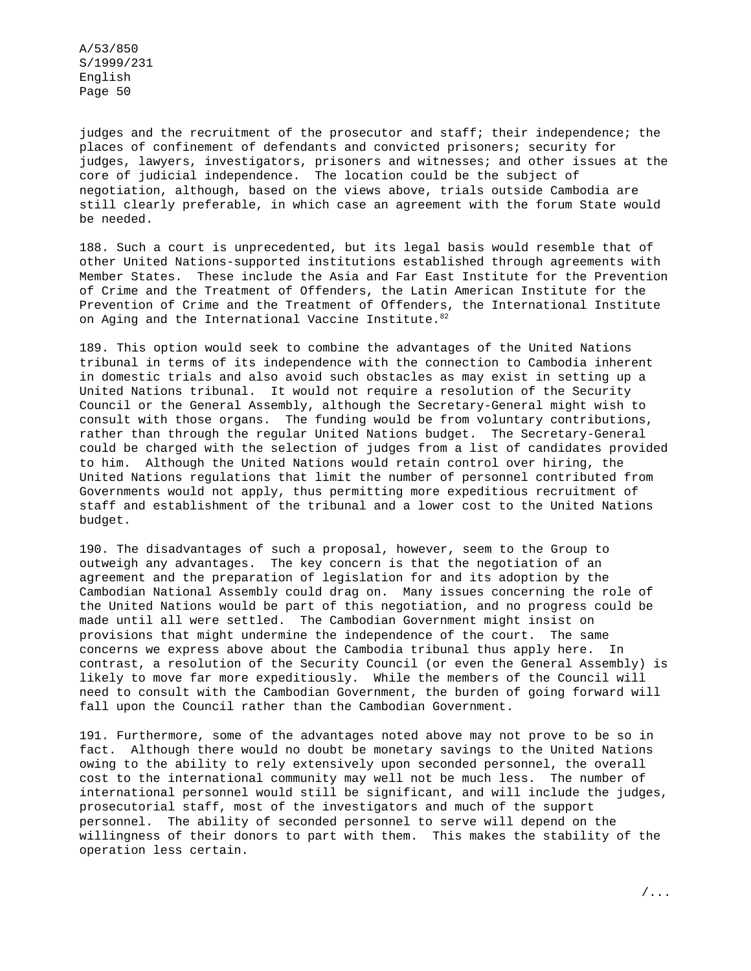judges and the recruitment of the prosecutor and staff; their independence; the places of confinement of defendants and convicted prisoners; security for judges, lawyers, investigators, prisoners and witnesses; and other issues at the core of judicial independence. The location could be the subject of negotiation, although, based on the views above, trials outside Cambodia are still clearly preferable, in which case an agreement with the forum State would be needed.

188. Such a court is unprecedented, but its legal basis would resemble that of other United Nations-supported institutions established through agreements with Member States. These include the Asia and Far East Institute for the Prevention of Crime and the Treatment of Offenders, the Latin American Institute for the Prevention of Crime and the Treatment of Offenders, the International Institute on Aging and the International Vaccine Institute. 82

189. This option would seek to combine the advantages of the United Nations tribunal in terms of its independence with the connection to Cambodia inherent in domestic trials and also avoid such obstacles as may exist in setting up a United Nations tribunal. It would not require a resolution of the Security Council or the General Assembly, although the Secretary-General might wish to consult with those organs. The funding would be from voluntary contributions, rather than through the regular United Nations budget. The Secretary-General could be charged with the selection of judges from a list of candidates provided to him. Although the United Nations would retain control over hiring, the United Nations regulations that limit the number of personnel contributed from Governments would not apply, thus permitting more expeditious recruitment of staff and establishment of the tribunal and a lower cost to the United Nations budget.

190. The disadvantages of such a proposal, however, seem to the Group to outweigh any advantages. The key concern is that the negotiation of an agreement and the preparation of legislation for and its adoption by the Cambodian National Assembly could drag on. Many issues concerning the role of the United Nations would be part of this negotiation, and no progress could be made until all were settled. The Cambodian Government might insist on provisions that might undermine the independence of the court. The same concerns we express above about the Cambodia tribunal thus apply here. In contrast, a resolution of the Security Council (or even the General Assembly) is likely to move far more expeditiously. While the members of the Council will need to consult with the Cambodian Government, the burden of going forward will fall upon the Council rather than the Cambodian Government.

191. Furthermore, some of the advantages noted above may not prove to be so in fact. Although there would no doubt be monetary savings to the United Nations owing to the ability to rely extensively upon seconded personnel, the overall cost to the international community may well not be much less. The number of international personnel would still be significant, and will include the judges, prosecutorial staff, most of the investigators and much of the support personnel. The ability of seconded personnel to serve will depend on the willingness of their donors to part with them. This makes the stability of the operation less certain.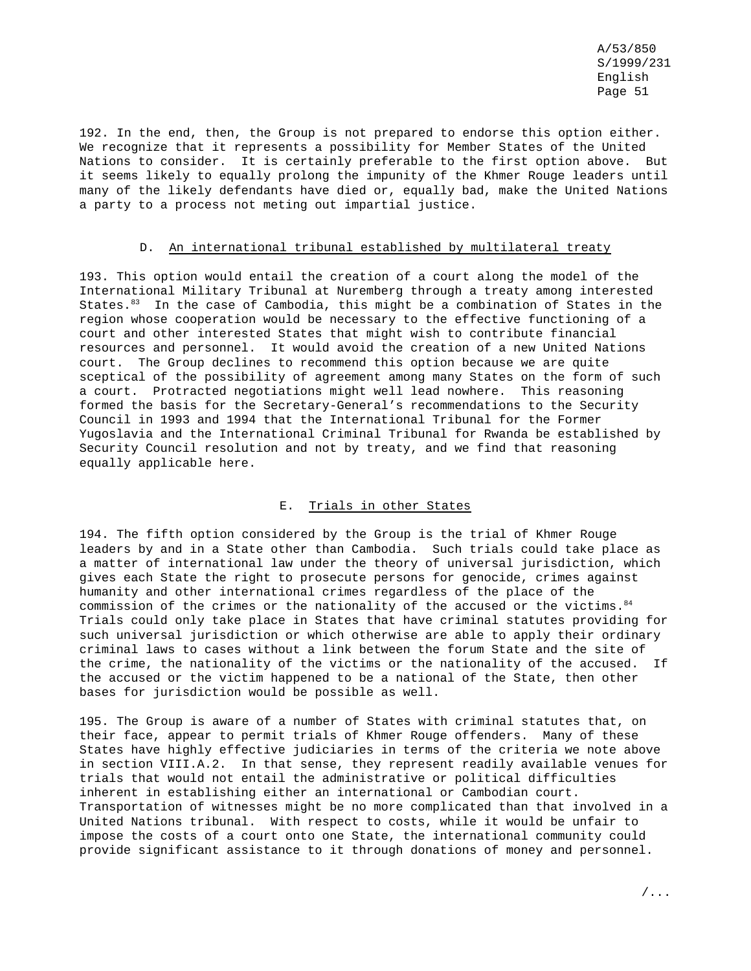192. In the end, then, the Group is not prepared to endorse this option either. We recognize that it represents a possibility for Member States of the United Nations to consider. It is certainly preferable to the first option above. But it seems likely to equally prolong the impunity of the Khmer Rouge leaders until many of the likely defendants have died or, equally bad, make the United Nations a party to a process not meting out impartial justice.

#### D. An international tribunal established by multilateral treaty

193. This option would entail the creation of a court along the model of the International Military Tribunal at Nuremberg through a treaty among interested States.83 In the case of Cambodia, this might be a combination of States in the region whose cooperation would be necessary to the effective functioning of a court and other interested States that might wish to contribute financial resources and personnel. It would avoid the creation of a new United Nations court. The Group declines to recommend this option because we are quite sceptical of the possibility of agreement among many States on the form of such a court. Protracted negotiations might well lead nowhere. This reasoning formed the basis for the Secretary-General's recommendations to the Security Council in 1993 and 1994 that the International Tribunal for the Former Yugoslavia and the International Criminal Tribunal for Rwanda be established by Security Council resolution and not by treaty, and we find that reasoning equally applicable here.

### E. Trials in other States

194. The fifth option considered by the Group is the trial of Khmer Rouge leaders by and in a State other than Cambodia. Such trials could take place as a matter of international law under the theory of universal jurisdiction, which gives each State the right to prosecute persons for genocide, crimes against humanity and other international crimes regardless of the place of the commission of the crimes or the nationality of the accused or the victims.  $84$ Trials could only take place in States that have criminal statutes providing for such universal jurisdiction or which otherwise are able to apply their ordinary criminal laws to cases without a link between the forum State and the site of the crime, the nationality of the victims or the nationality of the accused. If the accused or the victim happened to be a national of the State, then other bases for jurisdiction would be possible as well.

195. The Group is aware of a number of States with criminal statutes that, on their face, appear to permit trials of Khmer Rouge offenders. Many of these States have highly effective judiciaries in terms of the criteria we note above in section VIII.A.2. In that sense, they represent readily available venues for trials that would not entail the administrative or political difficulties inherent in establishing either an international or Cambodian court. Transportation of witnesses might be no more complicated than that involved in a United Nations tribunal. With respect to costs, while it would be unfair to impose the costs of a court onto one State, the international community could provide significant assistance to it through donations of money and personnel.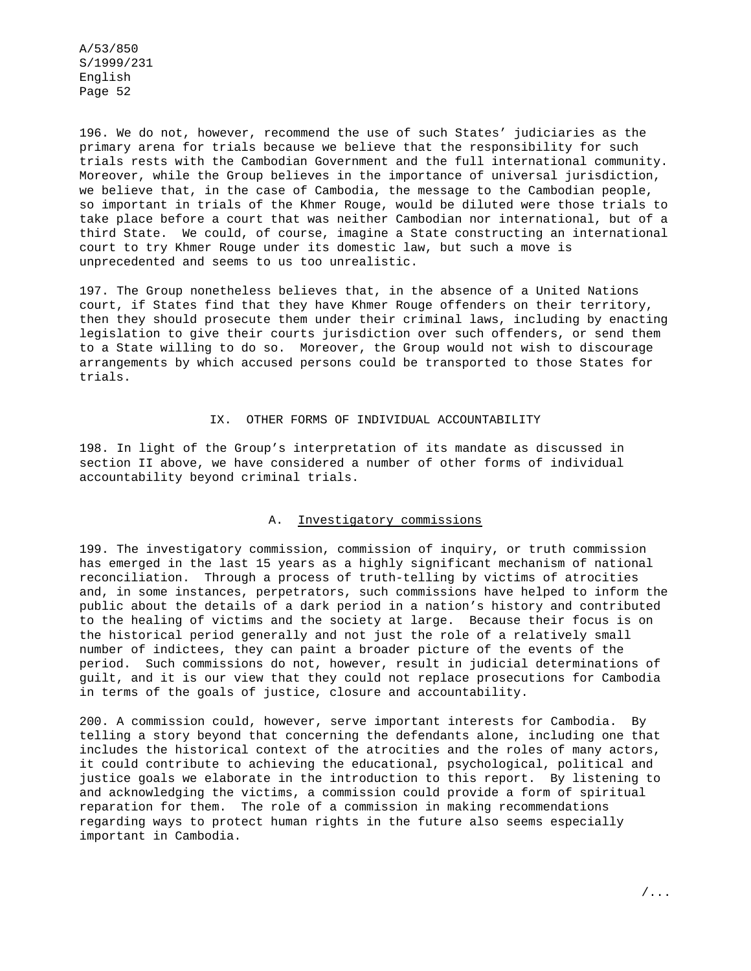196. We do not, however, recommend the use of such States' judiciaries as the primary arena for trials because we believe that the responsibility for such trials rests with the Cambodian Government and the full international community. Moreover, while the Group believes in the importance of universal jurisdiction, we believe that, in the case of Cambodia, the message to the Cambodian people, so important in trials of the Khmer Rouge, would be diluted were those trials to take place before a court that was neither Cambodian nor international, but of a third State. We could, of course, imagine a State constructing an international court to try Khmer Rouge under its domestic law, but such a move is unprecedented and seems to us too unrealistic.

197. The Group nonetheless believes that, in the absence of a United Nations court, if States find that they have Khmer Rouge offenders on their territory, then they should prosecute them under their criminal laws, including by enacting legislation to give their courts jurisdiction over such offenders, or send them to a State willing to do so. Moreover, the Group would not wish to discourage arrangements by which accused persons could be transported to those States for trials.

#### IX. OTHER FORMS OF INDIVIDUAL ACCOUNTABILITY

198. In light of the Group's interpretation of its mandate as discussed in section II above, we have considered a number of other forms of individual accountability beyond criminal trials.

#### A. Investigatory commissions

199. The investigatory commission, commission of inquiry, or truth commission has emerged in the last 15 years as a highly significant mechanism of national reconciliation. Through a process of truth-telling by victims of atrocities and, in some instances, perpetrators, such commissions have helped to inform the public about the details of a dark period in a nation's history and contributed to the healing of victims and the society at large. Because their focus is on the historical period generally and not just the role of a relatively small number of indictees, they can paint a broader picture of the events of the period. Such commissions do not, however, result in judicial determinations of guilt, and it is our view that they could not replace prosecutions for Cambodia in terms of the goals of justice, closure and accountability.

200. A commission could, however, serve important interests for Cambodia. By telling a story beyond that concerning the defendants alone, including one that includes the historical context of the atrocities and the roles of many actors, it could contribute to achieving the educational, psychological, political and justice goals we elaborate in the introduction to this report. By listening to and acknowledging the victims, a commission could provide a form of spiritual reparation for them. The role of a commission in making recommendations regarding ways to protect human rights in the future also seems especially important in Cambodia.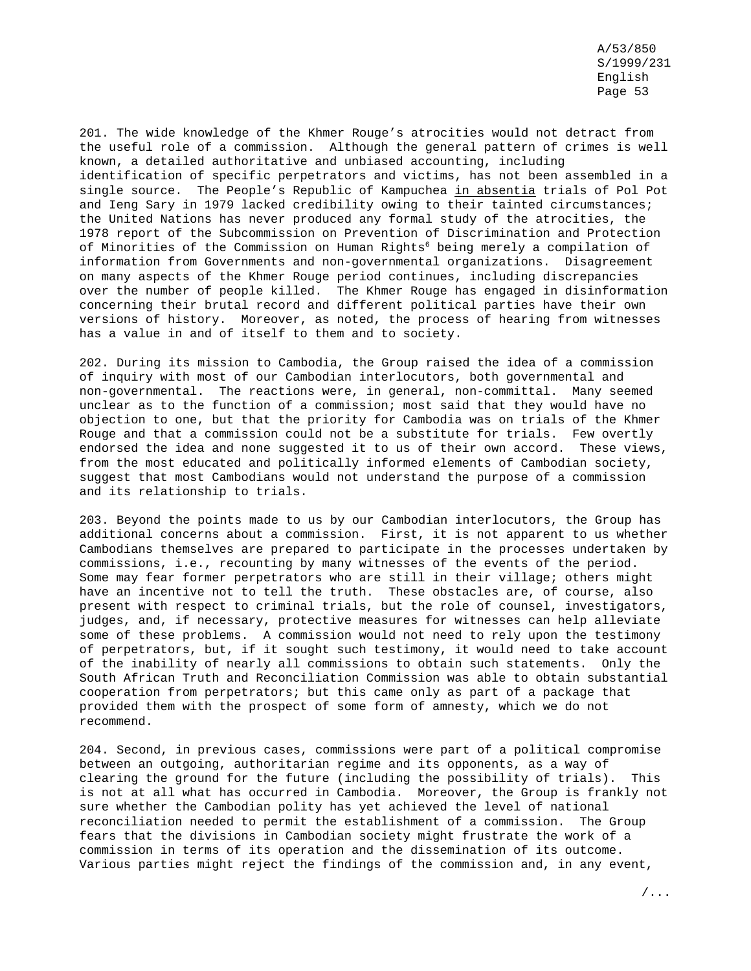201. The wide knowledge of the Khmer Rouge's atrocities would not detract from the useful role of a commission. Although the general pattern of crimes is well known, a detailed authoritative and unbiased accounting, including identification of specific perpetrators and victims, has not been assembled in a single source. The People's Republic of Kampuchea in absentia trials of Pol Pot and Ieng Sary in 1979 lacked credibility owing to their tainted circumstances; the United Nations has never produced any formal study of the atrocities, the 1978 report of the Subcommission on Prevention of Discrimination and Protection of Minorities of the Commission on Human Rights<sup>6</sup> being merely a compilation of information from Governments and non-governmental organizations. Disagreement on many aspects of the Khmer Rouge period continues, including discrepancies over the number of people killed. The Khmer Rouge has engaged in disinformation concerning their brutal record and different political parties have their own versions of history. Moreover, as noted, the process of hearing from witnesses has a value in and of itself to them and to society.

202. During its mission to Cambodia, the Group raised the idea of a commission of inquiry with most of our Cambodian interlocutors, both governmental and non-governmental. The reactions were, in general, non-committal. Many seemed unclear as to the function of a commission; most said that they would have no objection to one, but that the priority for Cambodia was on trials of the Khmer Rouge and that a commission could not be a substitute for trials. Few overtly endorsed the idea and none suggested it to us of their own accord. These views, from the most educated and politically informed elements of Cambodian society, suggest that most Cambodians would not understand the purpose of a commission and its relationship to trials.

203. Beyond the points made to us by our Cambodian interlocutors, the Group has additional concerns about a commission. First, it is not apparent to us whether Cambodians themselves are prepared to participate in the processes undertaken by commissions, i.e., recounting by many witnesses of the events of the period. Some may fear former perpetrators who are still in their village; others might have an incentive not to tell the truth. These obstacles are, of course, also present with respect to criminal trials, but the role of counsel, investigators, judges, and, if necessary, protective measures for witnesses can help alleviate some of these problems. A commission would not need to rely upon the testimony of perpetrators, but, if it sought such testimony, it would need to take account of the inability of nearly all commissions to obtain such statements. Only the South African Truth and Reconciliation Commission was able to obtain substantial cooperation from perpetrators; but this came only as part of a package that provided them with the prospect of some form of amnesty, which we do not recommend.

204. Second, in previous cases, commissions were part of a political compromise between an outgoing, authoritarian regime and its opponents, as a way of clearing the ground for the future (including the possibility of trials). This is not at all what has occurred in Cambodia. Moreover, the Group is frankly not sure whether the Cambodian polity has yet achieved the level of national reconciliation needed to permit the establishment of a commission. The Group fears that the divisions in Cambodian society might frustrate the work of a commission in terms of its operation and the dissemination of its outcome. Various parties might reject the findings of the commission and, in any event,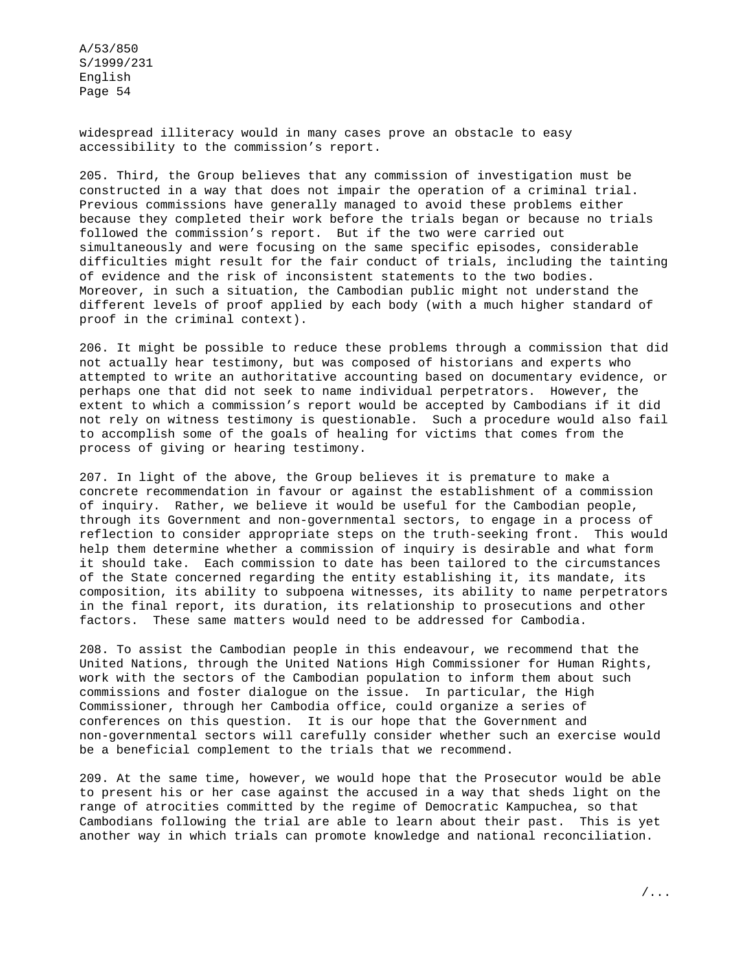widespread illiteracy would in many cases prove an obstacle to easy accessibility to the commission's report.

205. Third, the Group believes that any commission of investigation must be constructed in a way that does not impair the operation of a criminal trial. Previous commissions have generally managed to avoid these problems either because they completed their work before the trials began or because no trials followed the commission's report. But if the two were carried out simultaneously and were focusing on the same specific episodes, considerable difficulties might result for the fair conduct of trials, including the tainting of evidence and the risk of inconsistent statements to the two bodies. Moreover, in such a situation, the Cambodian public might not understand the different levels of proof applied by each body (with a much higher standard of proof in the criminal context).

206. It might be possible to reduce these problems through a commission that did not actually hear testimony, but was composed of historians and experts who attempted to write an authoritative accounting based on documentary evidence, or perhaps one that did not seek to name individual perpetrators. However, the extent to which a commission's report would be accepted by Cambodians if it did not rely on witness testimony is questionable. Such a procedure would also fail to accomplish some of the goals of healing for victims that comes from the process of giving or hearing testimony.

207. In light of the above, the Group believes it is premature to make a concrete recommendation in favour or against the establishment of a commission of inquiry. Rather, we believe it would be useful for the Cambodian people, through its Government and non-governmental sectors, to engage in a process of reflection to consider appropriate steps on the truth-seeking front. This would help them determine whether a commission of inquiry is desirable and what form it should take. Each commission to date has been tailored to the circumstances of the State concerned regarding the entity establishing it, its mandate, its composition, its ability to subpoena witnesses, its ability to name perpetrators in the final report, its duration, its relationship to prosecutions and other factors. These same matters would need to be addressed for Cambodia.

208. To assist the Cambodian people in this endeavour, we recommend that the United Nations, through the United Nations High Commissioner for Human Rights, work with the sectors of the Cambodian population to inform them about such commissions and foster dialogue on the issue. In particular, the High Commissioner, through her Cambodia office, could organize a series of conferences on this question. It is our hope that the Government and non-governmental sectors will carefully consider whether such an exercise would be a beneficial complement to the trials that we recommend.

209. At the same time, however, we would hope that the Prosecutor would be able to present his or her case against the accused in a way that sheds light on the range of atrocities committed by the regime of Democratic Kampuchea, so that Cambodians following the trial are able to learn about their past. This is yet another way in which trials can promote knowledge and national reconciliation.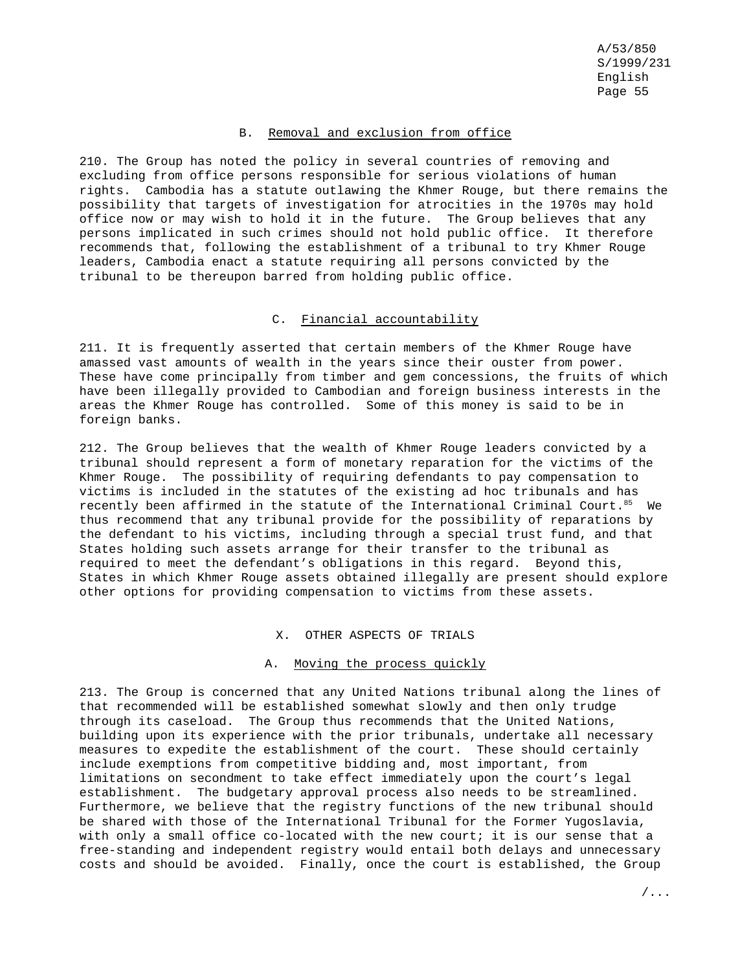### B. Removal and exclusion from office

210. The Group has noted the policy in several countries of removing and excluding from office persons responsible for serious violations of human rights. Cambodia has a statute outlawing the Khmer Rouge, but there remains the possibility that targets of investigation for atrocities in the 1970s may hold office now or may wish to hold it in the future. The Group believes that any persons implicated in such crimes should not hold public office. It therefore recommends that, following the establishment of a tribunal to try Khmer Rouge leaders, Cambodia enact a statute requiring all persons convicted by the tribunal to be thereupon barred from holding public office.

### C. Financial accountability

211. It is frequently asserted that certain members of the Khmer Rouge have amassed vast amounts of wealth in the years since their ouster from power. These have come principally from timber and gem concessions, the fruits of which have been illegally provided to Cambodian and foreign business interests in the areas the Khmer Rouge has controlled. Some of this money is said to be in foreign banks.

212. The Group believes that the wealth of Khmer Rouge leaders convicted by a tribunal should represent a form of monetary reparation for the victims of the Khmer Rouge. The possibility of requiring defendants to pay compensation to victims is included in the statutes of the existing ad hoc tribunals and has recently been affirmed in the statute of the International Criminal Court.<sup>85</sup> We thus recommend that any tribunal provide for the possibility of reparations by the defendant to his victims, including through a special trust fund, and that States holding such assets arrange for their transfer to the tribunal as required to meet the defendant's obligations in this regard. Beyond this, States in which Khmer Rouge assets obtained illegally are present should explore other options for providing compensation to victims from these assets.

### X. OTHER ASPECTS OF TRIALS

#### A. Moving the process quickly

213. The Group is concerned that any United Nations tribunal along the lines of that recommended will be established somewhat slowly and then only trudge through its caseload. The Group thus recommends that the United Nations, building upon its experience with the prior tribunals, undertake all necessary measures to expedite the establishment of the court. These should certainly include exemptions from competitive bidding and, most important, from limitations on secondment to take effect immediately upon the court's legal establishment. The budgetary approval process also needs to be streamlined. Furthermore, we believe that the registry functions of the new tribunal should be shared with those of the International Tribunal for the Former Yugoslavia, with only a small office co-located with the new court; it is our sense that a free-standing and independent registry would entail both delays and unnecessary costs and should be avoided. Finally, once the court is established, the Group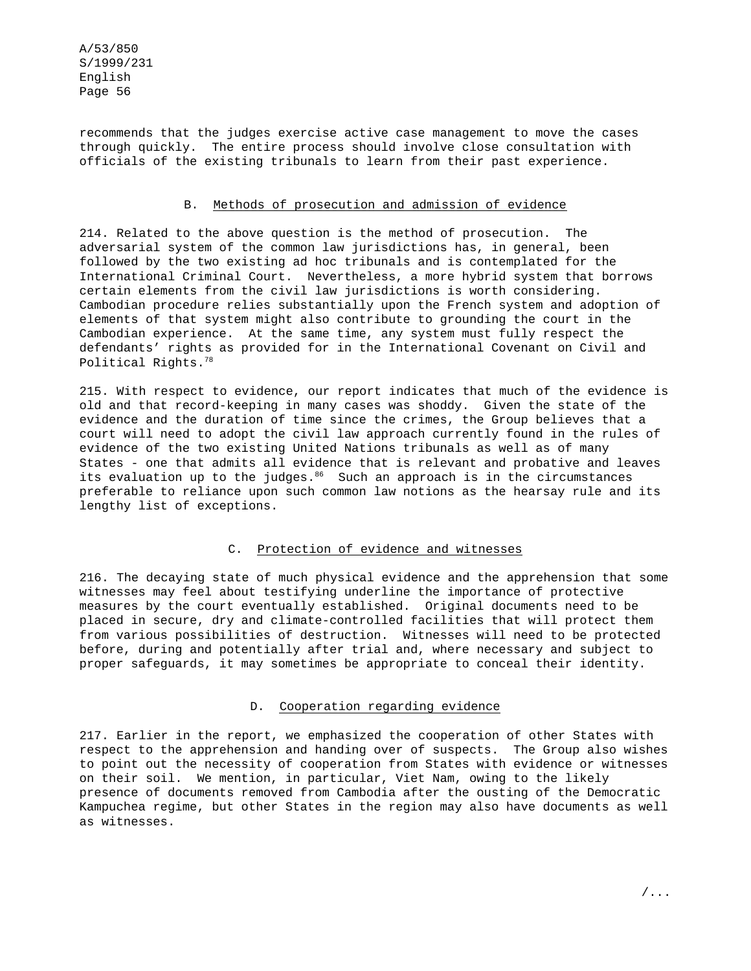recommends that the judges exercise active case management to move the cases through quickly. The entire process should involve close consultation with officials of the existing tribunals to learn from their past experience.

### B. Methods of prosecution and admission of evidence

214. Related to the above question is the method of prosecution. The adversarial system of the common law jurisdictions has, in general, been followed by the two existing ad hoc tribunals and is contemplated for the International Criminal Court. Nevertheless, a more hybrid system that borrows certain elements from the civil law jurisdictions is worth considering. Cambodian procedure relies substantially upon the French system and adoption of elements of that system might also contribute to grounding the court in the Cambodian experience. At the same time, any system must fully respect the defendants' rights as provided for in the International Covenant on Civil and Political Rights.78

215. With respect to evidence, our report indicates that much of the evidence is old and that record-keeping in many cases was shoddy. Given the state of the evidence and the duration of time since the crimes, the Group believes that a court will need to adopt the civil law approach currently found in the rules of evidence of the two existing United Nations tribunals as well as of many States - one that admits all evidence that is relevant and probative and leaves its evaluation up to the judges.<sup>86</sup> Such an approach is in the circumstances preferable to reliance upon such common law notions as the hearsay rule and its lengthy list of exceptions.

### C. Protection of evidence and witnesses

216. The decaying state of much physical evidence and the apprehension that some witnesses may feel about testifying underline the importance of protective measures by the court eventually established. Original documents need to be placed in secure, dry and climate-controlled facilities that will protect them from various possibilities of destruction. Witnesses will need to be protected before, during and potentially after trial and, where necessary and subject to proper safeguards, it may sometimes be appropriate to conceal their identity.

### D. Cooperation regarding evidence

217. Earlier in the report, we emphasized the cooperation of other States with respect to the apprehension and handing over of suspects. The Group also wishes to point out the necessity of cooperation from States with evidence or witnesses on their soil. We mention, in particular, Viet Nam, owing to the likely presence of documents removed from Cambodia after the ousting of the Democratic Kampuchea regime, but other States in the region may also have documents as well as witnesses.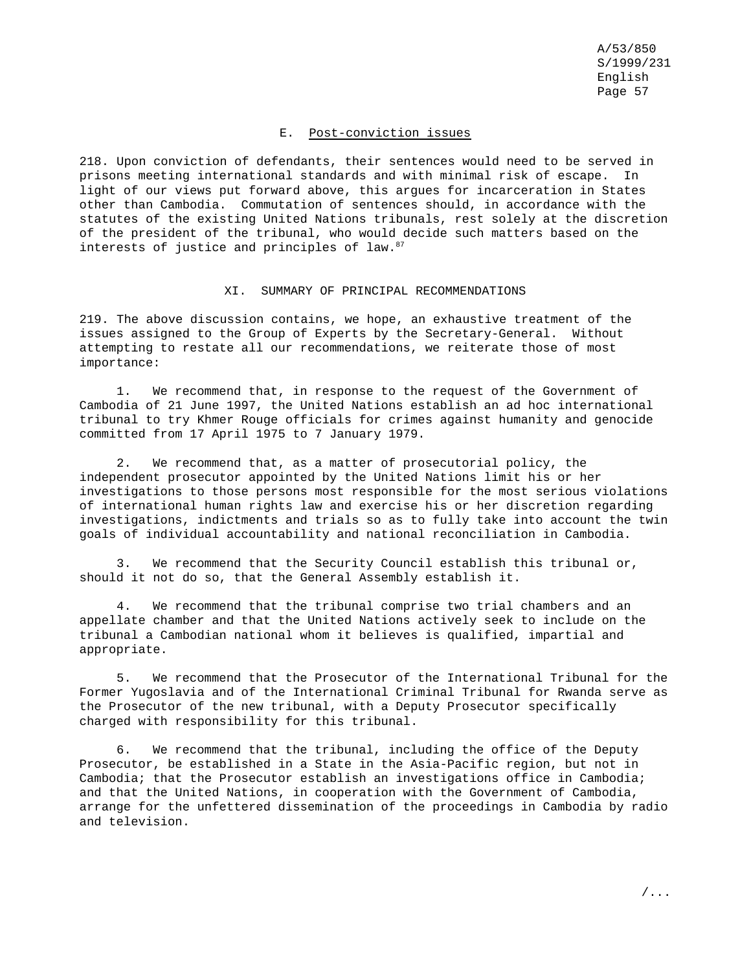### E. Post-conviction issues

218. Upon conviction of defendants, their sentences would need to be served in prisons meeting international standards and with minimal risk of escape. In light of our views put forward above, this argues for incarceration in States other than Cambodia. Commutation of sentences should, in accordance with the statutes of the existing United Nations tribunals, rest solely at the discretion of the president of the tribunal, who would decide such matters based on the interests of justice and principles of law.<sup>87</sup>

#### XI. SUMMARY OF PRINCIPAL RECOMMENDATIONS

219. The above discussion contains, we hope, an exhaustive treatment of the issues assigned to the Group of Experts by the Secretary-General. Without attempting to restate all our recommendations, we reiterate those of most importance:

1. We recommend that, in response to the request of the Government of Cambodia of 21 June 1997, the United Nations establish an ad hoc international tribunal to try Khmer Rouge officials for crimes against humanity and genocide committed from 17 April 1975 to 7 January 1979.

2. We recommend that, as a matter of prosecutorial policy, the independent prosecutor appointed by the United Nations limit his or her investigations to those persons most responsible for the most serious violations of international human rights law and exercise his or her discretion regarding investigations, indictments and trials so as to fully take into account the twin goals of individual accountability and national reconciliation in Cambodia.

3. We recommend that the Security Council establish this tribunal or, should it not do so, that the General Assembly establish it.

4. We recommend that the tribunal comprise two trial chambers and an appellate chamber and that the United Nations actively seek to include on the tribunal a Cambodian national whom it believes is qualified, impartial and appropriate.

5. We recommend that the Prosecutor of the International Tribunal for the Former Yugoslavia and of the International Criminal Tribunal for Rwanda serve as the Prosecutor of the new tribunal, with a Deputy Prosecutor specifically charged with responsibility for this tribunal.

6. We recommend that the tribunal, including the office of the Deputy Prosecutor, be established in a State in the Asia-Pacific region, but not in Cambodia; that the Prosecutor establish an investigations office in Cambodia; and that the United Nations, in cooperation with the Government of Cambodia, arrange for the unfettered dissemination of the proceedings in Cambodia by radio and television.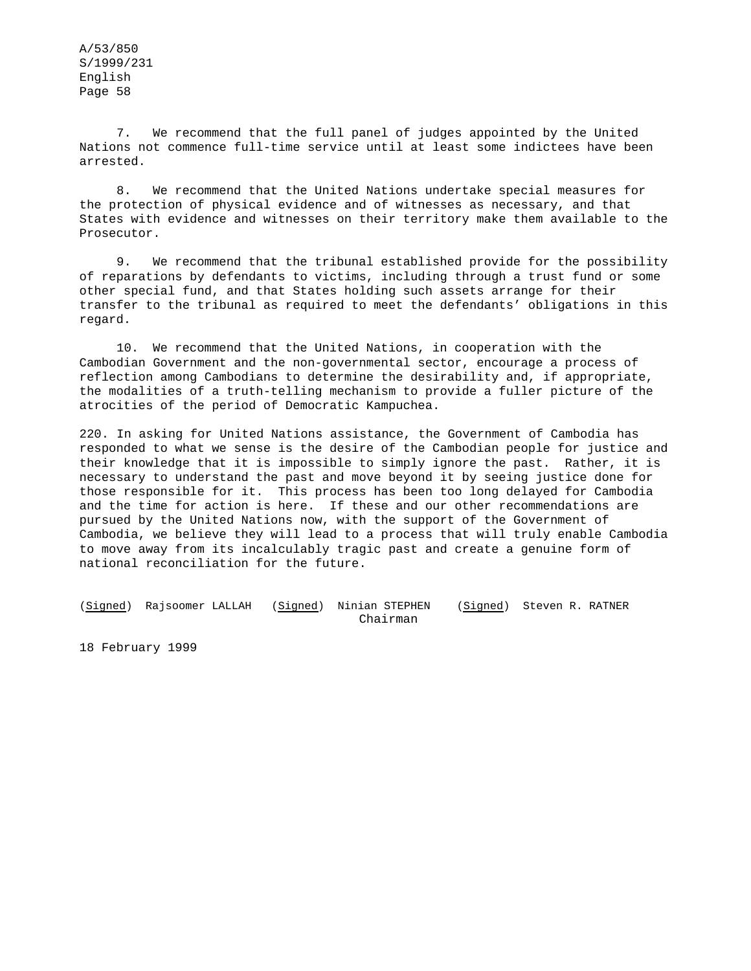7. We recommend that the full panel of judges appointed by the United Nations not commence full-time service until at least some indictees have been arrested.

8. We recommend that the United Nations undertake special measures for the protection of physical evidence and of witnesses as necessary, and that States with evidence and witnesses on their territory make them available to the Prosecutor.

9. We recommend that the tribunal established provide for the possibility of reparations by defendants to victims, including through a trust fund or some other special fund, and that States holding such assets arrange for their transfer to the tribunal as required to meet the defendants' obligations in this regard.

10. We recommend that the United Nations, in cooperation with the Cambodian Government and the non-governmental sector, encourage a process of reflection among Cambodians to determine the desirability and, if appropriate, the modalities of a truth-telling mechanism to provide a fuller picture of the atrocities of the period of Democratic Kampuchea.

220. In asking for United Nations assistance, the Government of Cambodia has responded to what we sense is the desire of the Cambodian people for justice and their knowledge that it is impossible to simply ignore the past. Rather, it is necessary to understand the past and move beyond it by seeing justice done for those responsible for it. This process has been too long delayed for Cambodia and the time for action is here. If these and our other recommendations are pursued by the United Nations now, with the support of the Government of Cambodia, we believe they will lead to a process that will truly enable Cambodia to move away from its incalculably tragic past and create a genuine form of national reconciliation for the future.

(Signed) Rajsoomer LALLAH (Signed) Ninian STEPHEN (Signed) Steven R. RATNER Chairman

18 February 1999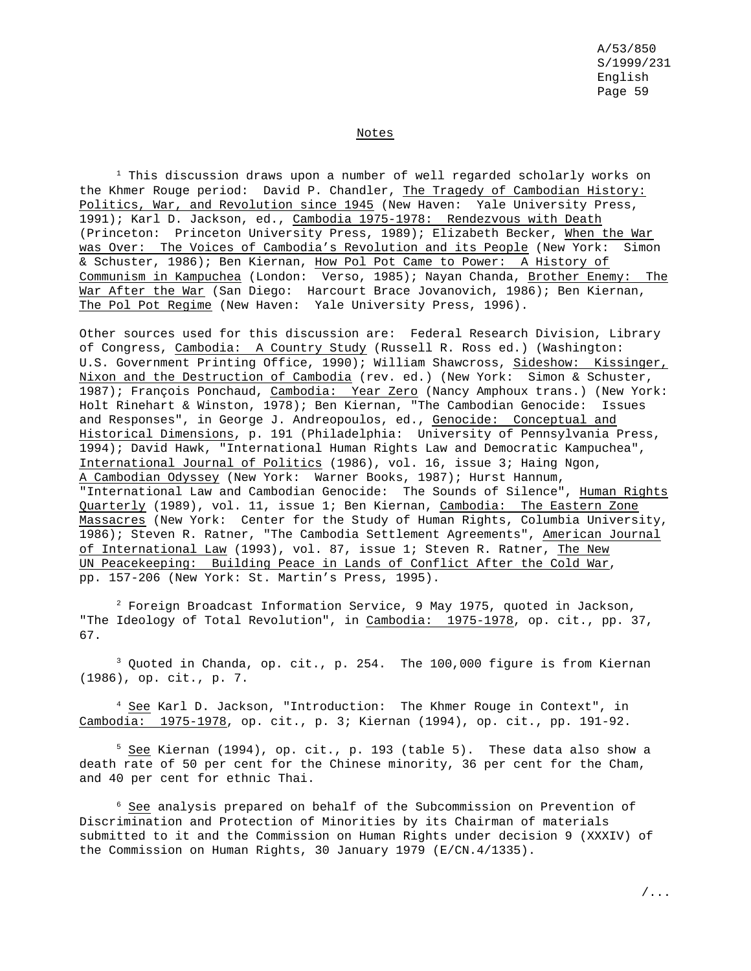### Notes

 $1$  This discussion draws upon a number of well regarded scholarly works on the Khmer Rouge period: David P. Chandler, The Tragedy of Cambodian History: Politics, War, and Revolution since 1945 (New Haven: Yale University Press, 1991); Karl D. Jackson, ed., Cambodia 1975-1978: Rendezvous with Death (Princeton: Princeton University Press, 1989); Elizabeth Becker, When the War was Over: The Voices of Cambodia's Revolution and its People (New York: Simon & Schuster, 1986); Ben Kiernan, How Pol Pot Came to Power: A History of Communism in Kampuchea (London: Verso, 1985); Nayan Chanda, Brother Enemy: The War After the War (San Diego: Harcourt Brace Jovanovich, 1986); Ben Kiernan, The Pol Pot Regime (New Haven: Yale University Press, 1996).

Other sources used for this discussion are: Federal Research Division, Library of Congress, Cambodia: A Country Study (Russell R. Ross ed.) (Washington: U.S. Government Printing Office, 1990); William Shawcross, Sideshow: Kissinger, Nixon and the Destruction of Cambodia (rev. ed.) (New York: Simon & Schuster, 1987); François Ponchaud, Cambodia: Year Zero (Nancy Amphoux trans.) (New York: Holt Rinehart & Winston, 1978); Ben Kiernan, "The Cambodian Genocide: Issues and Responses", in George J. Andreopoulos, ed., Genocide: Conceptual and Historical Dimensions, p. 191 (Philadelphia: University of Pennsylvania Press, 1994); David Hawk, "International Human Rights Law and Democratic Kampuchea", International Journal of Politics (1986), vol. 16, issue 3; Haing Ngon, A Cambodian Odyssey (New York: Warner Books, 1987); Hurst Hannum, "International Law and Cambodian Genocide: The Sounds of Silence", Human Rights Quarterly (1989), vol. 11, issue 1; Ben Kiernan, Cambodia: The Eastern Zone Massacres (New York: Center for the Study of Human Rights, Columbia University, 1986); Steven R. Ratner, "The Cambodia Settlement Agreements", American Journal of International Law (1993), vol. 87, issue 1; Steven R. Ratner, The New UN Peacekeeping: Building Peace in Lands of Conflict After the Cold War, pp. 157-206 (New York: St. Martin's Press, 1995).

<sup>2</sup> Foreign Broadcast Information Service, 9 May 1975, quoted in Jackson, "The Ideology of Total Revolution", in Cambodia: 1975-1978, op. cit., pp. 37, 67.

 $3$  Quoted in Chanda, op. cit., p. 254. The 100,000 figure is from Kiernan (1986), op. cit., p. 7.

<sup>4</sup> See Karl D. Jackson, "Introduction: The Khmer Rouge in Context", in Cambodia: 1975-1978, op. cit., p. 3; Kiernan (1994), op. cit., pp. 191-92.

 $5$  See Kiernan (1994), op. cit., p. 193 (table 5). These data also show a death rate of 50 per cent for the Chinese minority, 36 per cent for the Cham, and 40 per cent for ethnic Thai.

<sup>6</sup> See analysis prepared on behalf of the Subcommission on Prevention of Discrimination and Protection of Minorities by its Chairman of materials submitted to it and the Commission on Human Rights under decision 9 (XXXIV) of the Commission on Human Rights, 30 January 1979 (E/CN.4/1335).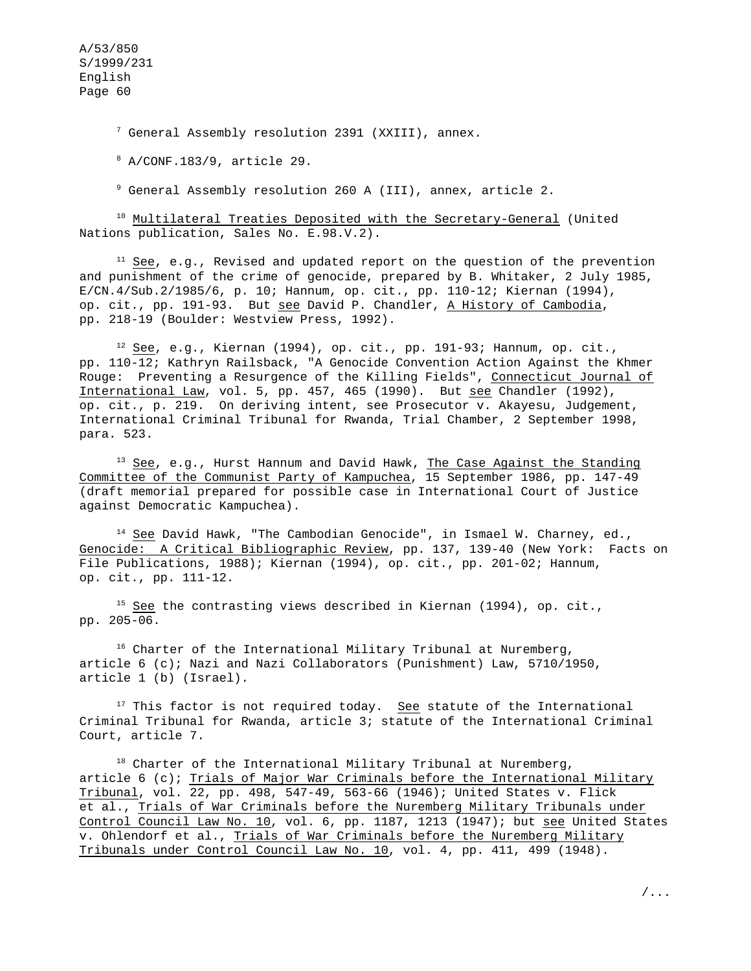$^7$  General Assembly resolution 2391 (XXIII), annex.

<sup>8</sup> A/CONF.183/9, article 29.

<sup>9</sup> General Assembly resolution 260 A (III), annex, article 2.

<sup>10</sup> Multilateral Treaties Deposited with the Secretary-General (United Nations publication, Sales No. E.98.V.2).

 $11$  See, e.g., Revised and updated report on the question of the prevention and punishment of the crime of genocide, prepared by B. Whitaker, 2 July 1985, E/CN.4/Sub.2/1985/6, p. 10; Hannum, op. cit., pp. 110-12; Kiernan (1994), op. cit., pp. 191-93. But see David P. Chandler, A History of Cambodia, pp. 218-19 (Boulder: Westview Press, 1992).

 $12$  See, e.g., Kiernan (1994), op. cit., pp. 191-93; Hannum, op. cit., pp. 110-12; Kathryn Railsback, "A Genocide Convention Action Against the Khmer Rouge: Preventing a Resurgence of the Killing Fields", Connecticut Journal of International Law, vol. 5, pp. 457, 465 (1990). But see Chandler (1992), op. cit., p. 219. On deriving intent, see Prosecutor v. Akayesu, Judgement, International Criminal Tribunal for Rwanda, Trial Chamber, 2 September 1998, para. 523.

 $13$  See, e.g., Hurst Hannum and David Hawk, The Case Against the Standing Committee of the Communist Party of Kampuchea, 15 September 1986, pp. 147-49 (draft memorial prepared for possible case in International Court of Justice against Democratic Kampuchea).

 $14$  See David Hawk, "The Cambodian Genocide", in Ismael W. Charney, ed., Genocide: A Critical Bibliographic Review, pp. 137, 139-40 (New York: Facts on File Publications, 1988); Kiernan (1994), op. cit., pp. 201-02; Hannum, op. cit., pp. 111-12.

<sup>15</sup> See the contrasting views described in Kiernan (1994), op. cit., pp. 205-06.

 $16$  Charter of the International Military Tribunal at Nuremberg, article  $6$  (c); Nazi and Nazi Collaborators (Punishment) Law,  $5710/1950$ , article 1 (b) (Israel).

<sup>17</sup> This factor is not required today. <u>See</u> statute of the International Criminal Tribunal for Rwanda, article 3; statute of the International Criminal Court, article 7.

 $18$  Charter of the International Military Tribunal at Nuremberg, article 6 (c); Trials of Major War Criminals before the International Military Tribunal, vol. 22, pp. 498, 547-49, 563-66 (1946); United States v. Flick et al., Trials of War Criminals before the Nuremberg Military Tribunals under Control Council Law No. 10, vol. 6, pp. 1187, 1213 (1947); but see United States v. Ohlendorf et al., Trials of War Criminals before the Nuremberg Military Tribunals under Control Council Law No. 10, vol. 4, pp. 411, 499 (1948).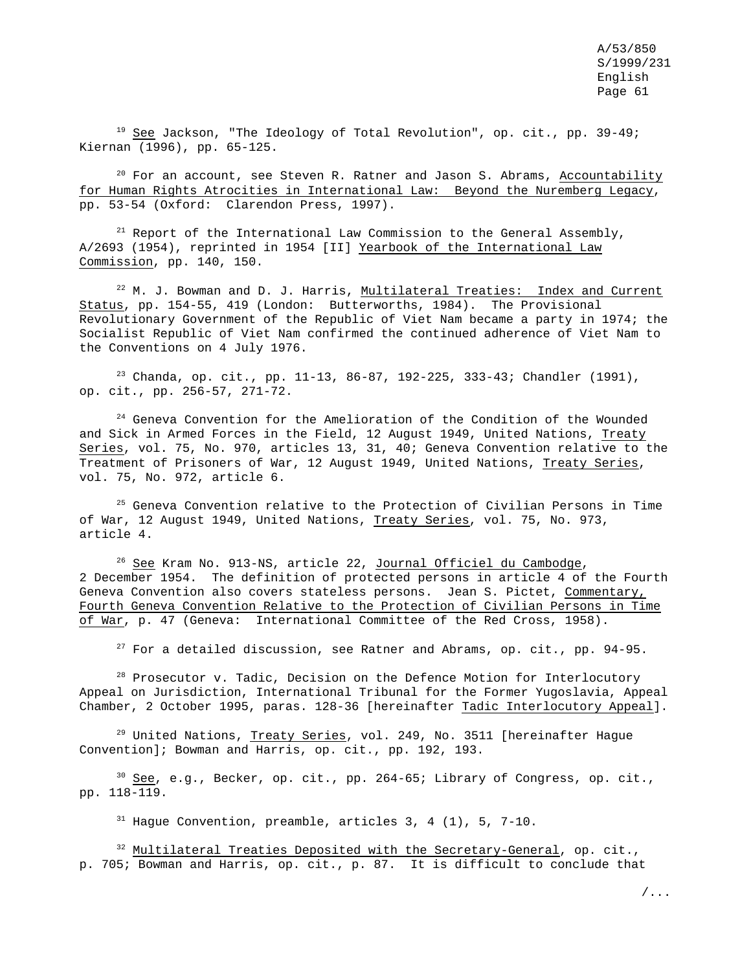<sup>19</sup> See Jackson, "The Ideology of Total Revolution", op. cit., pp. 39-49; Kiernan (1996), pp. 65-125.

 $20$  For an account, see Steven R. Ratner and Jason S. Abrams, Accountability for Human Rights Atrocities in International Law: Beyond the Nuremberg Legacy, pp. 53-54 (Oxford: Clarendon Press, 1997).

 $21$  Report of the International Law Commission to the General Assembly, A/2693 (1954), reprinted in 1954 [II] Yearbook of the International Law Commission, pp. 140, 150.

 $22$  M. J. Bowman and D. J. Harris, Multilateral Treaties: Index and Current Status, pp. 154-55, 419 (London: Butterworths, 1984). The Provisional Revolutionary Government of the Republic of Viet Nam became a party in 1974; the Socialist Republic of Viet Nam confirmed the continued adherence of Viet Nam to the Conventions on 4 July 1976.

<sup>23</sup> Chanda, op. cit., pp. 11-13, 86-87, 192-225, 333-43; Chandler (1991), op. cit., pp. 256-57, 271-72.

<sup>24</sup> Geneva Convention for the Amelioration of the Condition of the Wounded and Sick in Armed Forces in the Field, 12 August 1949, United Nations, Treaty Series, vol. 75, No. 970, articles 13, 31, 40; Geneva Convention relative to the Treatment of Prisoners of War, 12 August 1949, United Nations, Treaty Series, vol. 75, No. 972, article 6.

 $25$  Geneva Convention relative to the Protection of Civilian Persons in Time of War, 12 August 1949, United Nations, Treaty Series, vol. 75, No. 973, article 4.

<sup>26</sup> See Kram No. 913-NS, article 22, Journal Officiel du Cambodge, 2 December 1954. The definition of protected persons in article 4 of the Fourth Geneva Convention also covers stateless persons. Jean S. Pictet, Commentary, Fourth Geneva Convention Relative to the Protection of Civilian Persons in Time of War, p. 47 (Geneva: International Committee of the Red Cross, 1958).

 $27$  For a detailed discussion, see Ratner and Abrams, op. cit., pp. 94-95.

<sup>28</sup> Prosecutor v. Tadic, Decision on the Defence Motion for Interlocutory Appeal on Jurisdiction, International Tribunal for the Former Yugoslavia, Appeal Chamber, 2 October 1995, paras. 128-36 [hereinafter Tadic Interlocutory Appeal].

<sup>29</sup> United Nations, Treaty Series, vol. 249, No. 3511 [hereinafter Hague Convention]; Bowman and Harris, op. cit., pp. 192, 193.

 $30$  See, e.g., Becker, op. cit., pp. 264-65; Library of Congress, op. cit., pp. 118-119.

<sup>31</sup> Hague Convention, preamble, articles 3, 4 (1), 5, 7-10.

<sup>32</sup> Multilateral Treaties Deposited with the Secretary-General, op. cit., p. 705; Bowman and Harris, op. cit., p. 87. It is difficult to conclude that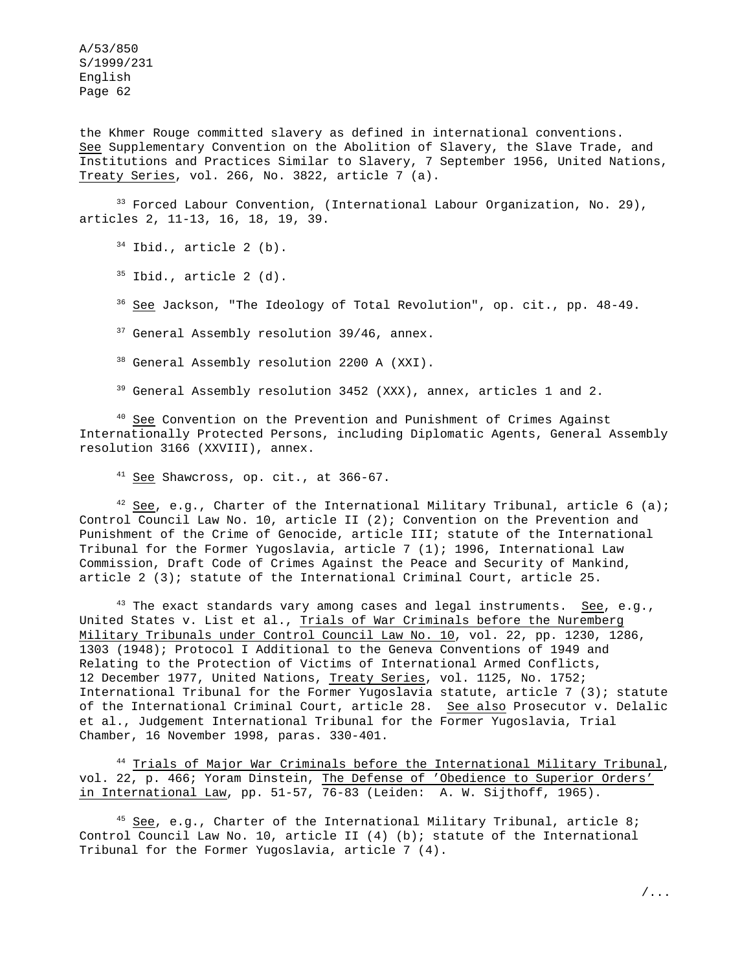the Khmer Rouge committed slavery as defined in international conventions. See Supplementary Convention on the Abolition of Slavery, the Slave Trade, and Institutions and Practices Similar to Slavery, 7 September 1956, United Nations, Treaty Series, vol. 266, No. 3822, article 7 (a).

<sup>33</sup> Forced Labour Convention, (International Labour Organization, No. 29), articles 2, 11-13, 16, 18, 19, 39.

<sup>34</sup> Ibid., article 2 (b).

 $35$  Ibid., article 2 (d).

<sup>36</sup> See Jackson, "The Ideology of Total Revolution", op. cit., pp. 48-49.

<sup>37</sup> General Assembly resolution 39/46, annex.

<sup>38</sup> General Assembly resolution 2200 A (XXI).

<sup>39</sup> General Assembly resolution 3452 (XXX), annex, articles 1 and 2.

<sup>40</sup> See Convention on the Prevention and Punishment of Crimes Against Internationally Protected Persons, including Diplomatic Agents, General Assembly resolution 3166 (XXVIII), annex.

 $41$  See Shawcross, op. cit., at 366-67.

 $42$  See, e.g., Charter of the International Military Tribunal, article 6 (a); Control Council Law No. 10, article II (2); Convention on the Prevention and Punishment of the Crime of Genocide, article III; statute of the International Tribunal for the Former Yugoslavia, article 7 (1); 1996, International Law Commission, Draft Code of Crimes Against the Peace and Security of Mankind, article 2 (3); statute of the International Criminal Court, article 25.

 $43$  The exact standards vary among cases and legal instruments. See, e.g., United States v. List et al., Trials of War Criminals before the Nuremberg Military Tribunals under Control Council Law No. 10, vol. 22, pp. 1230, 1286, 1303 (1948); Protocol I Additional to the Geneva Conventions of 1949 and Relating to the Protection of Victims of International Armed Conflicts, 12 December 1977, United Nations, Treaty Series, vol. 1125, No. 1752; International Tribunal for the Former Yugoslavia statute, article 7 (3); statute of the International Criminal Court, article 28. See also Prosecutor v. Delalic et al., Judgement International Tribunal for the Former Yugoslavia, Trial Chamber, 16 November 1998, paras. 330-401.

<sup>44</sup> Trials of Major War Criminals before the International Military Tribunal, vol. 22, p. 466; Yoram Dinstein, The Defense of 'Obedience to Superior Orders' in International Law, pp. 51-57, 76-83 (Leiden: A. W. Sijthoff, 1965).

 $45$  See, e.g., Charter of the International Military Tribunal, article 8; Control Council Law No. 10, article II (4) (b); statute of the International Tribunal for the Former Yugoslavia, article 7 (4).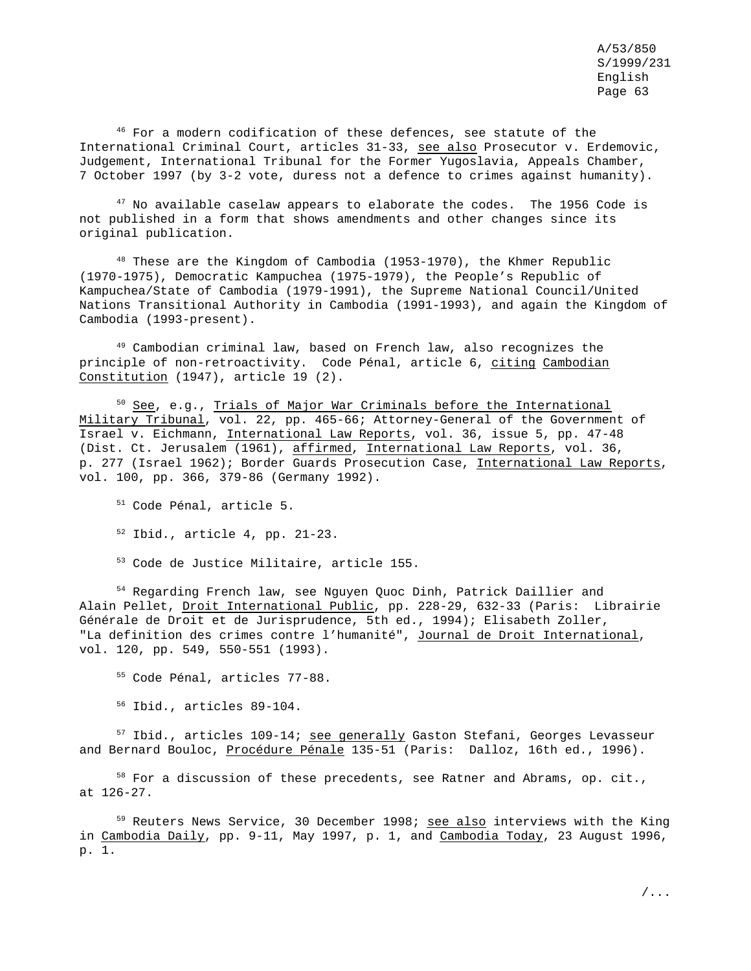$46$  For a modern codification of these defences, see statute of the International Criminal Court, articles 31-33, see also Prosecutor v. Erdemovic, Judgement, International Tribunal for the Former Yugoslavia, Appeals Chamber, 7 October 1997 (by 3-2 vote, duress not a defence to crimes against humanity).

 $47$  No available caselaw appears to elaborate the codes. The 1956 Code is not published in a form that shows amendments and other changes since its original publication.

 $48$  These are the Kingdom of Cambodia (1953-1970), the Khmer Republic (1970-1975), Democratic Kampuchea (1975-1979), the People's Republic of Kampuchea/State of Cambodia (1979-1991), the Supreme National Council/United Nations Transitional Authority in Cambodia (1991-1993), and again the Kingdom of Cambodia (1993-present).

<sup>49</sup> Cambodian criminal law, based on French law, also recognizes the principle of non-retroactivity. Code Pénal, article 6, citing Cambodian Constitution (1947), article 19 (2).

 $50$  See, e.g., Trials of Major War Criminals before the International Military Tribunal, vol. 22, pp. 465-66; Attorney-General of the Government of Israel v. Eichmann, International Law Reports, vol. 36, issue 5, pp. 47-48 (Dist. Ct. Jerusalem (1961), affirmed, International Law Reports, vol. 36, p. 277 (Israel 1962); Border Guards Prosecution Case, International Law Reports, vol. 100, pp. 366, 379-86 (Germany 1992).

<sup>51</sup> Code Pénal, article 5.

<sup>52</sup> Ibid., article 4, pp. 21-23.

<sup>53</sup> Code de Justice Militaire, article 155.

<sup>54</sup> Regarding French law, see Nguyen Quoc Dinh, Patrick Daillier and Alain Pellet, Droit International Public, pp. 228-29, 632-33 (Paris: Librairie Générale de Droit et de Jurisprudence, 5th ed., 1994); Elisabeth Zoller, "La definition des crimes contre l'humanité", Journal de Droit International, vol. 120, pp. 549, 550-551 (1993).

<sup>55</sup> Code Pénal, articles 77-88.

<sup>56</sup> Ibid., articles 89-104.

 $57$  Ibid., articles 109-14; see generally Gaston Stefani, Georges Levasseur and Bernard Bouloc, Procédure Pénale 135-51 (Paris: Dalloz, 16th ed., 1996).

<sup>58</sup> For a discussion of these precedents, see Ratner and Abrams, op. cit., at 126-27.

<sup>59</sup> Reuters News Service, 30 December 1998; see also interviews with the King in Cambodia Daily, pp. 9-11, May 1997, p. 1, and Cambodia Today, 23 August 1996, p. 1.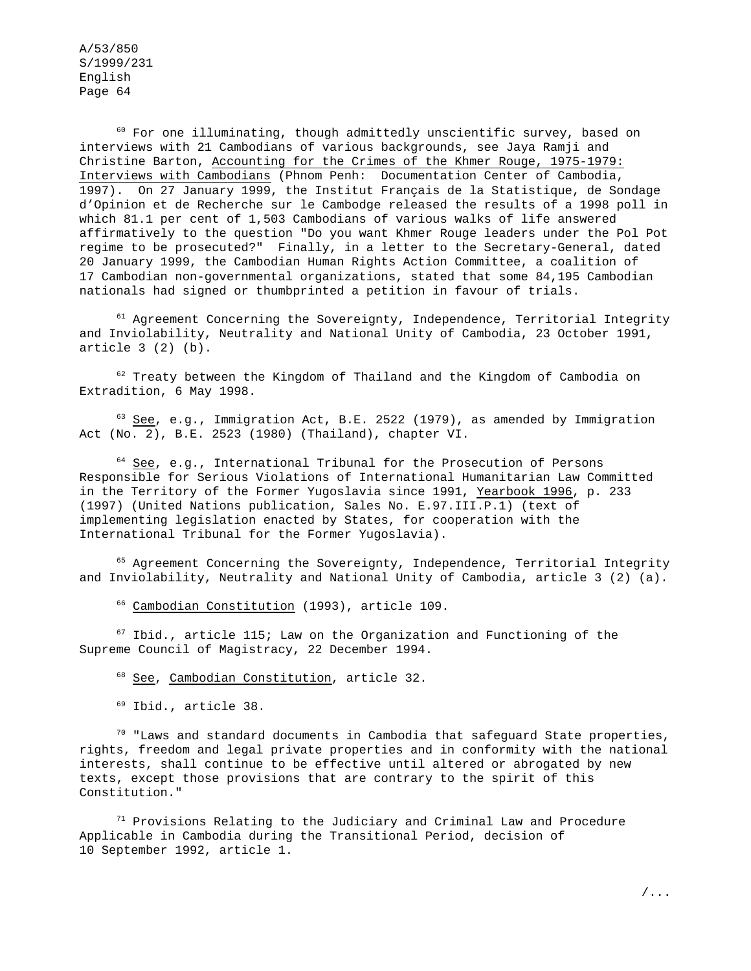<sup>60</sup> For one illuminating, though admittedly unscientific survey, based on interviews with 21 Cambodians of various backgrounds, see Jaya Ramji and Christine Barton, Accounting for the Crimes of the Khmer Rouge, 1975-1979: Interviews with Cambodians (Phnom Penh: Documentation Center of Cambodia, 1997). On 27 January 1999, the Institut Français de la Statistique, de Sondage d'Opinion et de Recherche sur le Cambodge released the results of a 1998 poll in which 81.1 per cent of 1,503 Cambodians of various walks of life answered affirmatively to the question "Do you want Khmer Rouge leaders under the Pol Pot regime to be prosecuted?" Finally, in a letter to the Secretary-General, dated 20 January 1999, the Cambodian Human Rights Action Committee, a coalition of 17 Cambodian non-governmental organizations, stated that some 84,195 Cambodian nationals had signed or thumbprinted a petition in favour of trials.

<sup>61</sup> Agreement Concerning the Sovereignty, Independence, Territorial Integrity and Inviolability, Neutrality and National Unity of Cambodia, 23 October 1991, article 3 (2) (b).

 $62$  Treaty between the Kingdom of Thailand and the Kingdom of Cambodia on Extradition, 6 May 1998.

 $63$  See, e.g., Immigration Act, B.E. 2522 (1979), as amended by Immigration Act (No. 2), B.E. 2523 (1980) (Thailand), chapter VI.

 $64$  See, e.g., International Tribunal for the Prosecution of Persons Responsible for Serious Violations of International Humanitarian Law Committed in the Territory of the Former Yugoslavia since 1991, Yearbook 1996, p. 233 (1997) (United Nations publication, Sales No. E.97.III.P.1) (text of implementing legislation enacted by States, for cooperation with the International Tribunal for the Former Yugoslavia).

<sup>65</sup> Agreement Concerning the Sovereignty, Independence, Territorial Integrity and Inviolability, Neutrality and National Unity of Cambodia, article 3 (2) (a).

<sup>66</sup> Cambodian Constitution (1993), article 109.

 $67$  Ibid., article 115; Law on the Organization and Functioning of the Supreme Council of Magistracy, 22 December 1994.

<sup>68</sup> See, Cambodian Constitution, article 32.

<sup>69</sup> Ibid., article 38.

 $70$  "Laws and standard documents in Cambodia that safeguard State properties, rights, freedom and legal private properties and in conformity with the national interests, shall continue to be effective until altered or abrogated by new texts, except those provisions that are contrary to the spirit of this Constitution."

 $71$  Provisions Relating to the Judiciary and Criminal Law and Procedure Applicable in Cambodia during the Transitional Period, decision of 10 September 1992, article 1.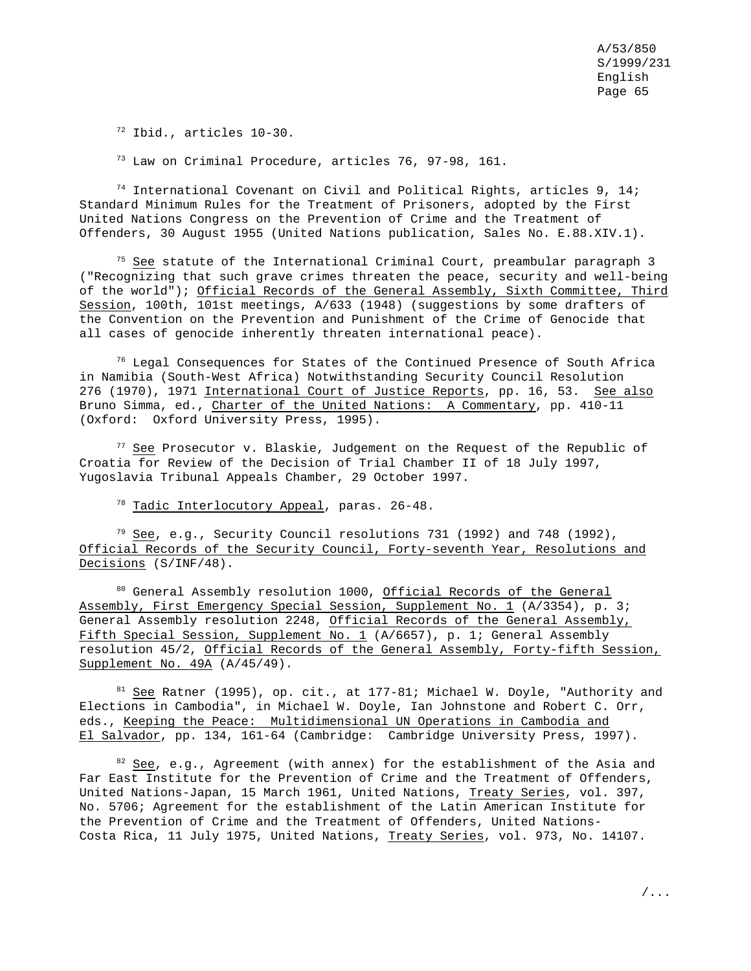<sup>72</sup> Ibid., articles 10-30.

<sup>73</sup> Law on Criminal Procedure, articles 76, 97-98, 161.

 $74$  International Covenant on Civil and Political Rights, articles 9, 14; Standard Minimum Rules for the Treatment of Prisoners, adopted by the First United Nations Congress on the Prevention of Crime and the Treatment of Offenders, 30 August 1955 (United Nations publication, Sales No. E.88.XIV.1).

 $75$  See statute of the International Criminal Court, preambular paragraph 3 ("Recognizing that such grave crimes threaten the peace, security and well-being of the world"); Official Records of the General Assembly, Sixth Committee, Third Session, 100th, 101st meetings, A/633 (1948) (suggestions by some drafters of the Convention on the Prevention and Punishment of the Crime of Genocide that all cases of genocide inherently threaten international peace).

 $76$  Legal Consequences for States of the Continued Presence of South Africa in Namibia (South-West Africa) Notwithstanding Security Council Resolution 276 (1970), 1971 International Court of Justice Reports, pp. 16, 53. See also Bruno Simma, ed., Charter of the United Nations: A Commentary, pp. 410-11 (Oxford: Oxford University Press, 1995).

<sup>77</sup> See Prosecutor v. Blaskie, Judgement on the Request of the Republic of Croatia for Review of the Decision of Trial Chamber II of 18 July 1997, Yugoslavia Tribunal Appeals Chamber, 29 October 1997.

<sup>78</sup> Tadic Interlocutory Appeal, paras. 26-48.

 $79$  See, e.g., Security Council resolutions 731 (1992) and 748 (1992), Official Records of the Security Council, Forty-seventh Year, Resolutions and Decisions (S/INF/48).

80 General Assembly resolution 1000, Official Records of the General Assembly, First Emergency Special Session, Supplement No. 1 (A/3354), p. 3; General Assembly resolution 2248, Official Records of the General Assembly, Fifth Special Session, Supplement No. 1 (A/6657), p. 1; General Assembly resolution 45/2, Official Records of the General Assembly, Forty-fifth Session, Supplement No. 49A (A/45/49).

 $81$  See Ratner (1995), op. cit., at 177-81; Michael W. Doyle, "Authority and Elections in Cambodia", in Michael W. Doyle, Ian Johnstone and Robert C. Orr, eds., Keeping the Peace: Multidimensional UN Operations in Cambodia and El Salvador, pp. 134, 161-64 (Cambridge: Cambridge University Press, 1997).

 $82$  See, e.g., Agreement (with annex) for the establishment of the Asia and Far East Institute for the Prevention of Crime and the Treatment of Offenders, United Nations-Japan, 15 March 1961, United Nations, Treaty Series, vol. 397, No. 5706; Agreement for the establishment of the Latin American Institute for the Prevention of Crime and the Treatment of Offenders, United Nations-Costa Rica, 11 July 1975, United Nations, Treaty Series, vol. 973, No. 14107.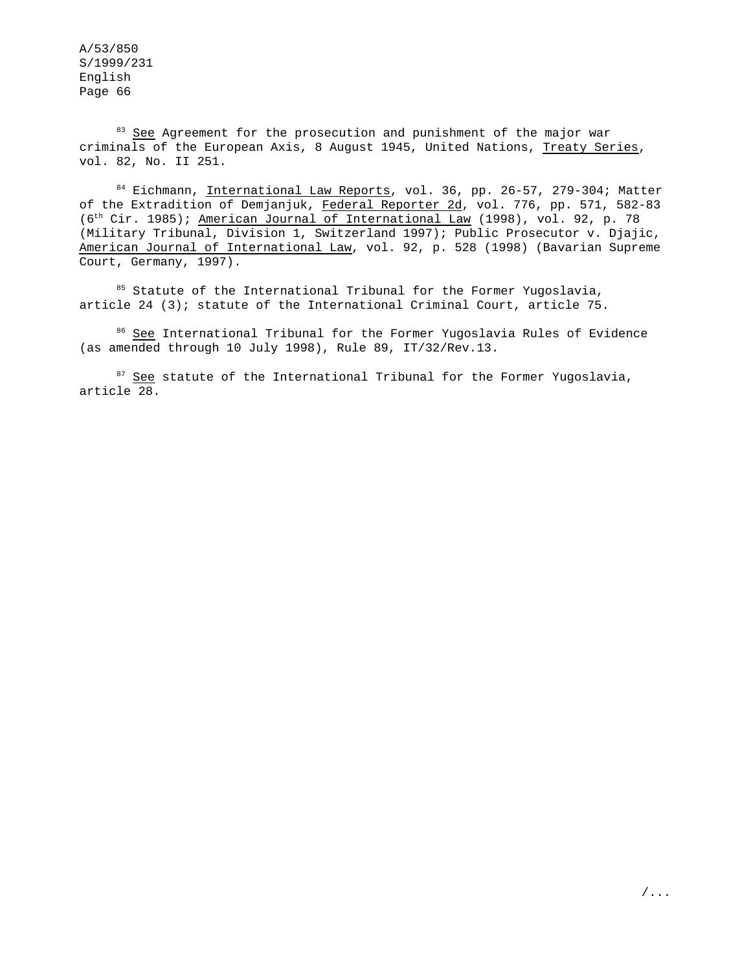<sup>83</sup> See Agreement for the prosecution and punishment of the major war criminals of the European Axis, 8 August 1945, United Nations, Treaty Series, vol. 82, No. II 251.

84 Eichmann, International Law Reports, vol. 36, pp. 26-57, 279-304; Matter of the Extradition of Demjanjuk, Federal Reporter 2d, vol. 776, pp. 571, 582-83 (6th Cir. 1985); American Journal of International Law (1998), vol. 92, p. 78 (Military Tribunal, Division 1, Switzerland 1997); Public Prosecutor v. Djajic, American Journal of International Law, vol. 92, p. 528 (1998) (Bavarian Supreme Court, Germany, 1997).

 $85$  Statute of the International Tribunal for the Former Yugoslavia, article 24 (3); statute of the International Criminal Court, article 75.

<sup>86</sup> See International Tribunal for the Former Yugoslavia Rules of Evidence (as amended through 10 July 1998), Rule 89, IT/32/Rev.13.

<sup>87</sup> See statute of the International Tribunal for the Former Yugoslavia, article 28.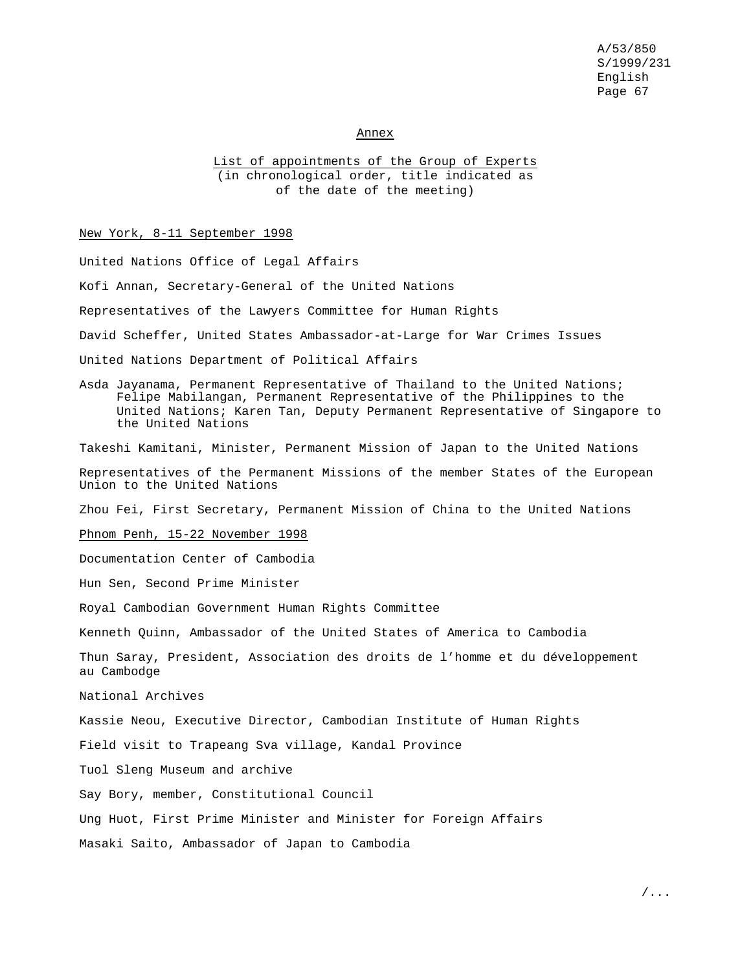Annex

List of appointments of the Group of Experts (in chronological order, title indicated as of the date of the meeting)

#### New York, 8-11 September 1998

United Nations Office of Legal Affairs Kofi Annan, Secretary-General of the United Nations Representatives of the Lawyers Committee for Human Rights David Scheffer, United States Ambassador-at-Large for War Crimes Issues United Nations Department of Political Affairs Asda Jayanama, Permanent Representative of Thailand to the United Nations; Felipe Mabilangan, Permanent Representative of the Philippines to the United Nations; Karen Tan, Deputy Permanent Representative of Singapore to the United Nations Takeshi Kamitani, Minister, Permanent Mission of Japan to the United Nations Representatives of the Permanent Missions of the member States of the European Union to the United Nations Zhou Fei, First Secretary, Permanent Mission of China to the United Nations Phnom Penh, 15-22 November 1998 Documentation Center of Cambodia Hun Sen, Second Prime Minister Royal Cambodian Government Human Rights Committee Kenneth Quinn, Ambassador of the United States of America to Cambodia Thun Saray, President, Association des droits de l'homme et du développement au Cambodge National Archives Kassie Neou, Executive Director, Cambodian Institute of Human Rights Field visit to Trapeang Sva village, Kandal Province Tuol Sleng Museum and archive Say Bory, member, Constitutional Council Ung Huot, First Prime Minister and Minister for Foreign Affairs Masaki Saito, Ambassador of Japan to Cambodia